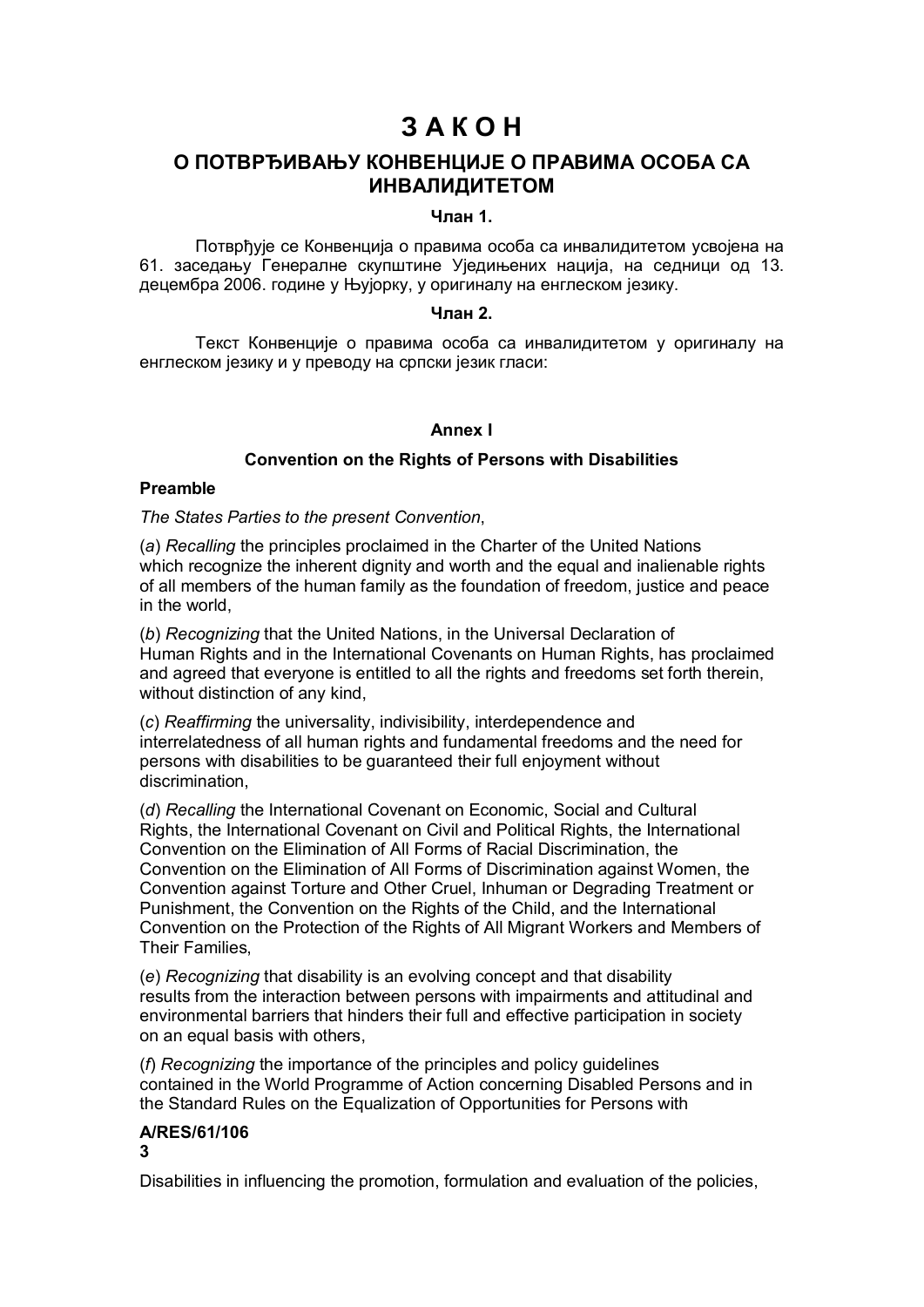# **З А К О Н**

# **О ПОТВРЂИВАЊУ КОНВЕНЦИЈЕ О ПРАВИМА ОСОБА СА ИНВАЛИДИТЕТОМ**

# **Члан 1.**

Потврђује се Конвенција о правима особа са инвалидитетом усвојена на 61. заседању Генералне скупштине Уједињених нација, на седници од 13. децембра 2006. године у Њујорку, у оригиналу на енглеском језику.

## **Члан 2.**

Текст Конвенције о правима особа са инвалидитетом у оригиналу на енглеском језику и у преводу на српски језик гласи:

## **Annex I**

# **Convention on the Rights of Persons with Disabilities**

## **Preamble**

*The States Parties to the present Convention*,

(*a*) *Recalling* the principles proclaimed in the Charter of the United Nations which recognize the inherent dignity and worth and the equal and inalienable rights of all members of the human family as the foundation of freedom, justice and peace in the world,

(*b*) *Recognizing* that the United Nations, in the Universal Declaration of Human Rights and in the International Covenants on Human Rights, has proclaimed and agreed that everyone is entitled to all the rights and freedoms set forth therein, without distinction of any kind,

(*c*) *Reaffirming* the universality, indivisibility, interdependence and interrelatedness of all human rights and fundamental freedoms and the need for persons with disabilities to be guaranteed their full enjoyment without discrimination,

(*d*) *Recalling* the International Covenant on Economic, Social and Cultural Rights, the International Covenant on Civil and Political Rights, the International Convention on the Elimination of All Forms of Racial Discrimination, the Convention on the Elimination of All Forms of Discrimination against Women, the Convention against Torture and Other Cruel, Inhuman or Degrading Treatment or Punishment, the Convention on the Rights of the Child, and the International Convention on the Protection of the Rights of All Migrant Workers and Members of Their Families,

(*e*) *Recognizing* that disability is an evolving concept and that disability results from the interaction between persons with impairments and attitudinal and environmental barriers that hinders their full and effective participation in society on an equal basis with others,

(*f*) *Recognizing* the importance of the principles and policy guidelines contained in the World Programme of Action concerning Disabled Persons and in the Standard Rules on the Equalization of Opportunities for Persons with

## **A/RES/61/106 3**

Disabilities in influencing the promotion, formulation and evaluation of the policies,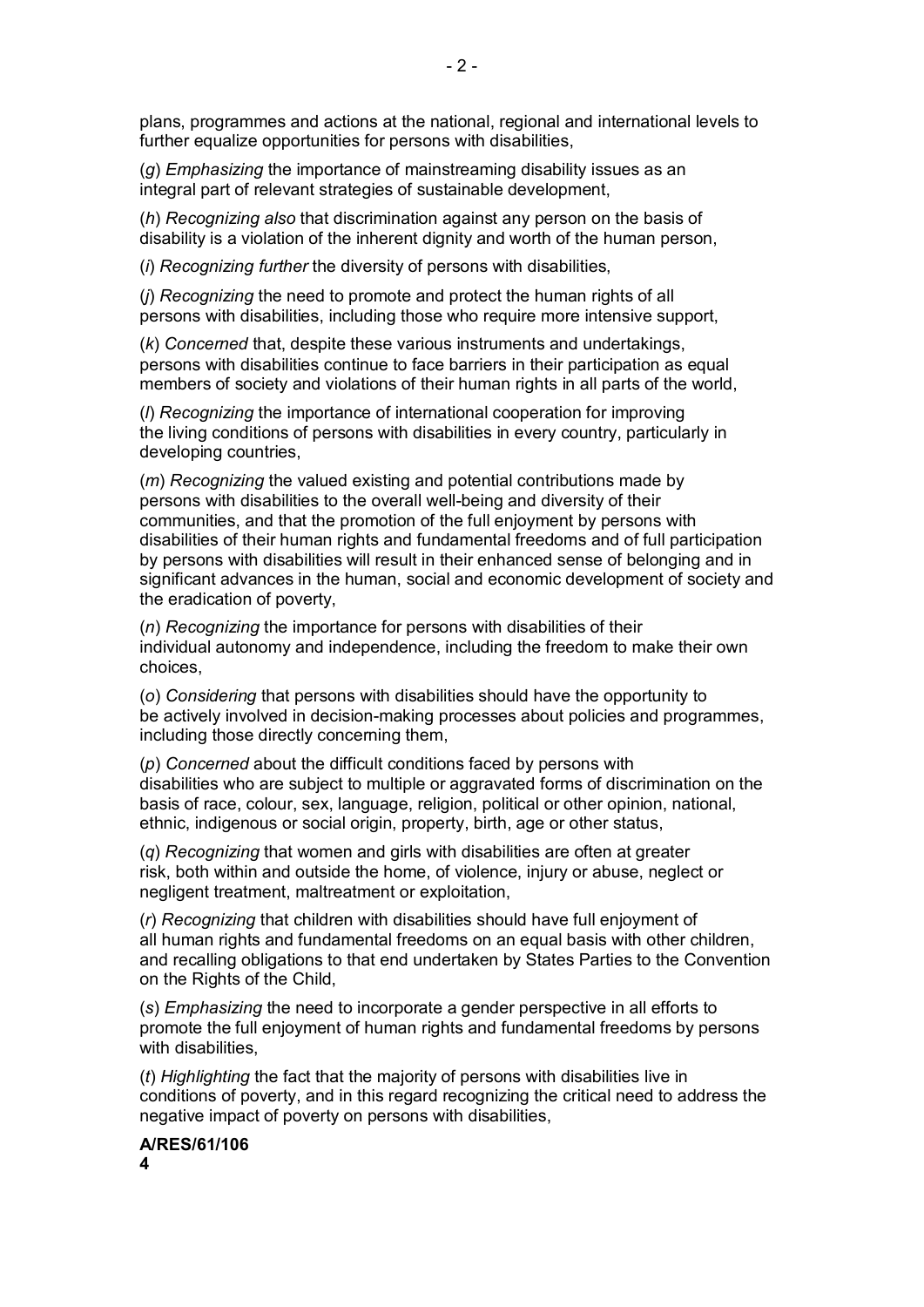plans, programmes and actions at the national, regional and international levels to further equalize opportunities for persons with disabilities.

(*g*) *Emphasizing* the importance of mainstreaming disability issues as an integral part of relevant strategies of sustainable development,

(*h*) *Recognizing also* that discrimination against any person on the basis of disability is a violation of the inherent dignity and worth of the human person,

(*i*) *Recognizing further* the diversity of persons with disabilities,

(*j*) *Recognizing* the need to promote and protect the human rights of all persons with disabilities, including those who require more intensive support,

(*k*) *Concerned* that, despite these various instruments and undertakings, persons with disabilities continue to face barriers in their participation as equal members of society and violations of their human rights in all parts of the world,

(*l*) *Recognizing* the importance of international cooperation for improving the living conditions of persons with disabilities in every country, particularly in developing countries,

(*m*) *Recognizing* the valued existing and potential contributions made by persons with disabilities to the overall well-being and diversity of their communities, and that the promotion of the full enjoyment by persons with disabilities of their human rights and fundamental freedoms and of full participation by persons with disabilities will result in their enhanced sense of belonging and in significant advances in the human, social and economic development of society and the eradication of poverty,

(*n*) *Recognizing* the importance for persons with disabilities of their individual autonomy and independence, including the freedom to make their own choices,

(*o*) *Considering* that persons with disabilities should have the opportunity to be actively involved in decision-making processes about policies and programmes, including those directly concerning them,

(*p*) *Concerned* about the difficult conditions faced by persons with disabilities who are subject to multiple or aggravated forms of discrimination on the basis of race, colour, sex, language, religion, political or other opinion, national, ethnic, indigenous or social origin, property, birth, age or other status,

(*q*) *Recognizing* that women and girls with disabilities are often at greater risk, both within and outside the home, of violence, injury or abuse, neglect or negligent treatment, maltreatment or exploitation,

(*r*) *Recognizing* that children with disabilities should have full enjoyment of all human rights and fundamental freedoms on an equal basis with other children, and recalling obligations to that end undertaken by States Parties to the Convention on the Rights of the Child,

(*s*) *Emphasizing* the need to incorporate a gender perspective in all efforts to promote the full enjoyment of human rights and fundamental freedoms by persons with disabilities,

(*t*) *Highlighting* the fact that the majority of persons with disabilities live in conditions of poverty, and in this regard recognizing the critical need to address the negative impact of poverty on persons with disabilities,

**A/RES/61/106 4**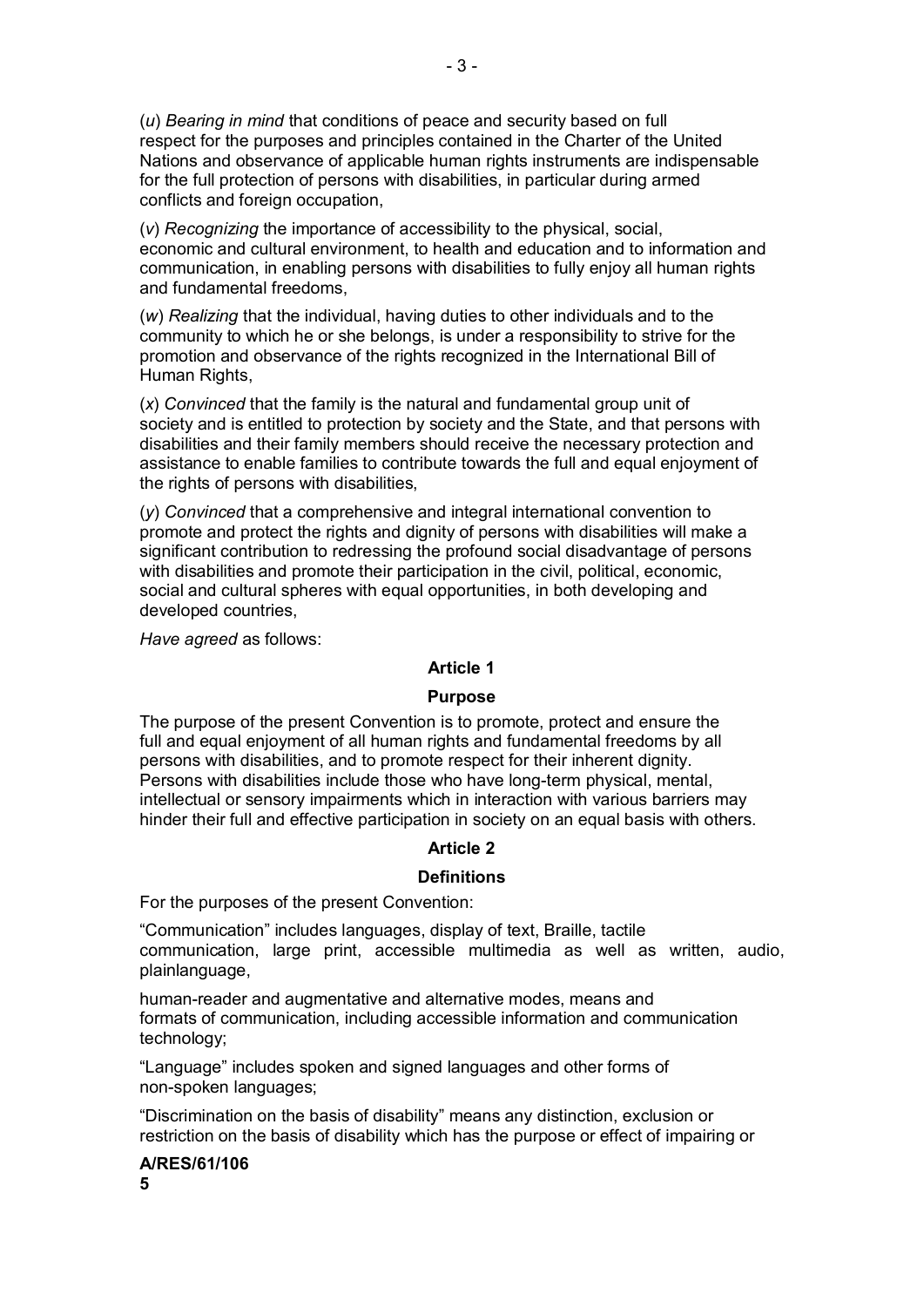(*u*) *Bearing in mind* that conditions of peace and security based on full respect for the purposes and principles contained in the Charter of the United Nations and observance of applicable human rights instruments are indispensable for the full protection of persons with disabilities, in particular during armed conflicts and foreign occupation,

(*v*) *Recognizing* the importance of accessibility to the physical, social, economic and cultural environment, to health and education and to information and communication, in enabling persons with disabilities to fully enjoy all human rights and fundamental freedoms,

(*w*) *Realizing* that the individual, having duties to other individuals and to the community to which he or she belongs, is under a responsibility to strive for the promotion and observance of the rights recognized in the International Bill of Human Rights,

(*x*) *Convinced* that the family is the natural and fundamental group unit of society and is entitled to protection by society and the State, and that persons with disabilities and their family members should receive the necessary protection and assistance to enable families to contribute towards the full and equal enjoyment of the rights of persons with disabilities,

(*y*) *Convinced* that a comprehensive and integral international convention to promote and protect the rights and dignity of persons with disabilities will make a significant contribution to redressing the profound social disadvantage of persons with disabilities and promote their participation in the civil, political, economic, social and cultural spheres with equal opportunities, in both developing and developed countries,

*Have agreed* as follows:

## **Article 1**

### **Purpose**

The purpose of the present Convention is to promote, protect and ensure the full and equal enjoyment of all human rights and fundamental freedoms by all persons with disabilities, and to promote respect for their inherent dignity. Persons with disabilities include those who have long-term physical, mental, intellectual or sensory impairments which in interaction with various barriers may hinder their full and effective participation in society on an equal basis with others.

## **Article 2**

### **Definitions**

For the purposes of the present Convention:

"Communication" includes languages, display of text, Braille, tactile communication, large print, accessible multimedia as well as written, audio, plainlanguage,

human-reader and augmentative and alternative modes, means and formats of communication, including accessible information and communication technology;

"Language" includes spoken and signed languages and other forms of non-spoken languages;

"Discrimination on the basis of disability" means any distinction, exclusion or restriction on the basis of disability which has the purpose or effect of impairing or

### **A/RES/61/106**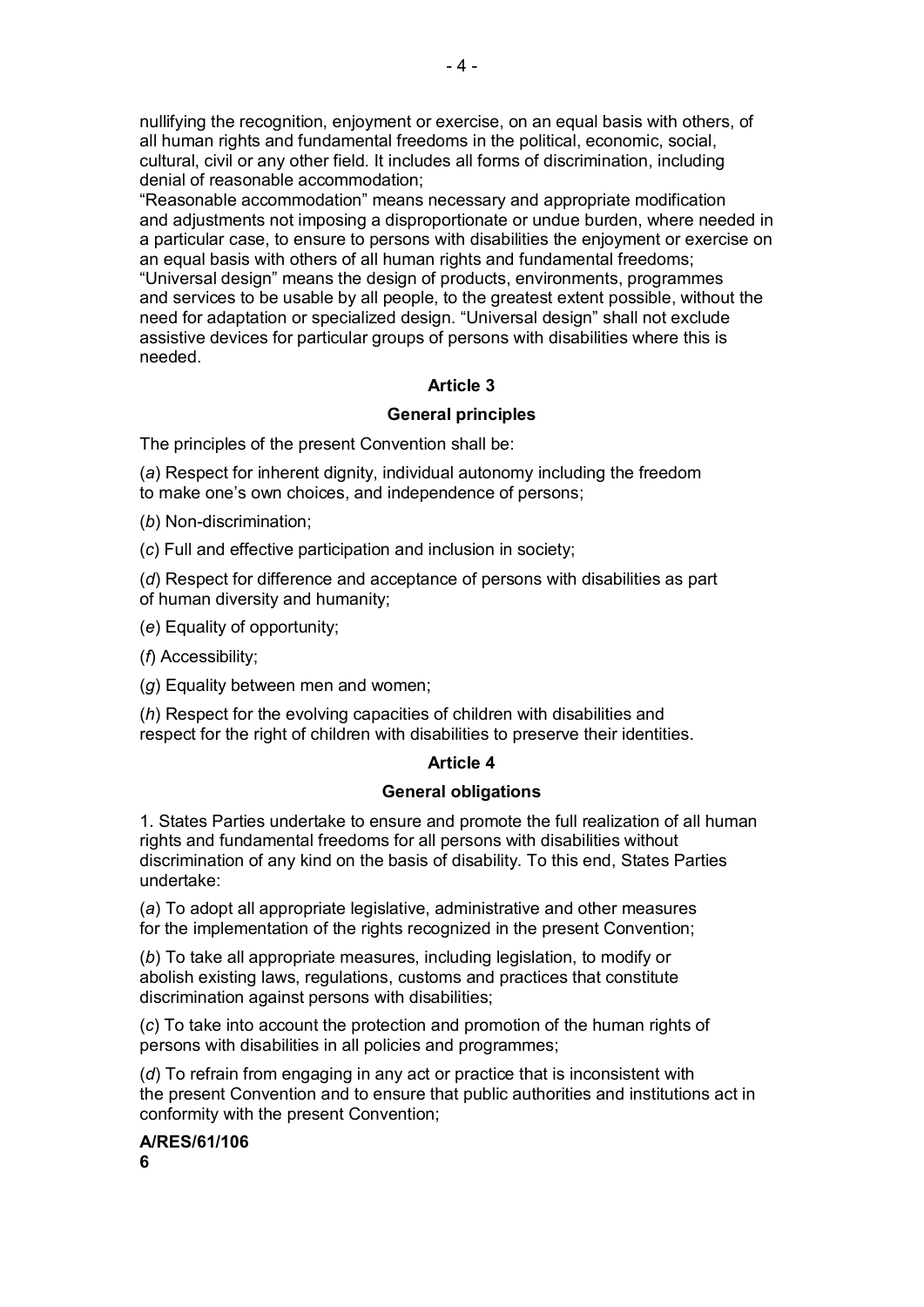"Reasonable accommodation" means necessary and appropriate modification and adjustments not imposing a disproportionate or undue burden, where needed in a particular case, to ensure to persons with disabilities the enjoyment or exercise on an equal basis with others of all human rights and fundamental freedoms; "Universal design" means the design of products, environments, programmes and services to be usable by all people, to the greatest extent possible, without the need for adaptation or specialized design. "Universal design" shall not exclude assistive devices for particular groups of persons with disabilities where this is needed.

# **Article 3**

# **General principles**

The principles of the present Convention shall be:

(*a*) Respect for inherent dignity, individual autonomy including the freedom to make one's own choices, and independence of persons;

(*b*) Non-discrimination;

(*c*) Full and effective participation and inclusion in society;

(*d*) Respect for difference and acceptance of persons with disabilities as part of human diversity and humanity;

(*e*) Equality of opportunity;

(*f*) Accessibility;

(*g*) Equality between men and women;

(*h*) Respect for the evolving capacities of children with disabilities and respect for the right of children with disabilities to preserve their identities.

# **Article 4**

# **General obligations**

1. States Parties undertake to ensure and promote the full realization of all human rights and fundamental freedoms for all persons with disabilities without discrimination of any kind on the basis of disability. To this end, States Parties undertake:

(*a*) To adopt all appropriate legislative, administrative and other measures for the implementation of the rights recognized in the present Convention;

(*b*) To take all appropriate measures, including legislation, to modify or abolish existing laws, regulations, customs and practices that constitute discrimination against persons with disabilities;

(*c*) To take into account the protection and promotion of the human rights of persons with disabilities in all policies and programmes;

(*d*) To refrain from engaging in any act or practice that is inconsistent with the present Convention and to ensure that public authorities and institutions act in conformity with the present Convention;

# **A/RES/61/106**

**6**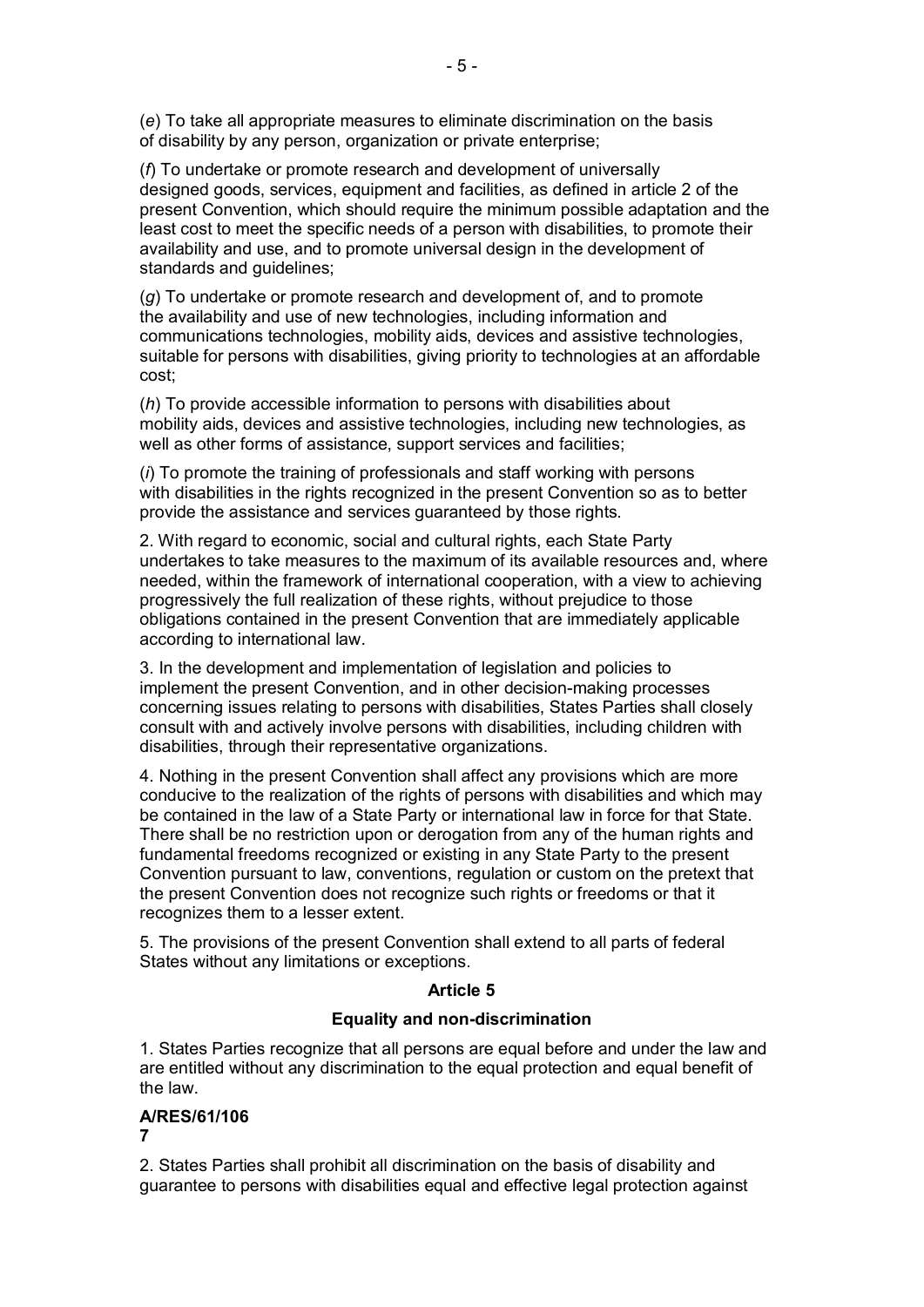(*e*) To take all appropriate measures to eliminate discrimination on the basis of disability by any person, organization or private enterprise;

(*f*) To undertake or promote research and development of universally designed goods, services, equipment and facilities, as defined in article 2 of the present Convention, which should require the minimum possible adaptation and the least cost to meet the specific needs of a person with disabilities, to promote their availability and use, and to promote universal design in the development of standards and guidelines;

(*g*) To undertake or promote research and development of, and to promote the availability and use of new technologies, including information and communications technologies, mobility aids, devices and assistive technologies, suitable for persons with disabilities, giving priority to technologies at an affordable cost;

(*h*) To provide accessible information to persons with disabilities about mobility aids, devices and assistive technologies, including new technologies, as well as other forms of assistance, support services and facilities;

(*i*) To promote the training of professionals and staff working with persons with disabilities in the rights recognized in the present Convention so as to better provide the assistance and services guaranteed by those rights.

2. With regard to economic, social and cultural rights, each State Party undertakes to take measures to the maximum of its available resources and, where needed, within the framework of international cooperation, with a view to achieving progressively the full realization of these rights, without prejudice to those obligations contained in the present Convention that are immediately applicable according to international law.

3. In the development and implementation of legislation and policies to implement the present Convention, and in other decision-making processes concerning issues relating to persons with disabilities, States Parties shall closely consult with and actively involve persons with disabilities, including children with disabilities, through their representative organizations.

4. Nothing in the present Convention shall affect any provisions which are more conducive to the realization of the rights of persons with disabilities and which may be contained in the law of a State Party or international law in force for that State. There shall be no restriction upon or derogation from any of the human rights and fundamental freedoms recognized or existing in any State Party to the present Convention pursuant to law, conventions, regulation or custom on the pretext that the present Convention does not recognize such rights or freedoms or that it recognizes them to a lesser extent.

5. The provisions of the present Convention shall extend to all parts of federal States without any limitations or exceptions.

# **Article 5**

### **Equality and non-discrimination**

1. States Parties recognize that all persons are equal before and under the law and are entitled without any discrimination to the equal protection and equal benefit of the law.

# **A/RES/61/106**

**7**

2. States Parties shall prohibit all discrimination on the basis of disability and guarantee to persons with disabilities equal and effective legal protection against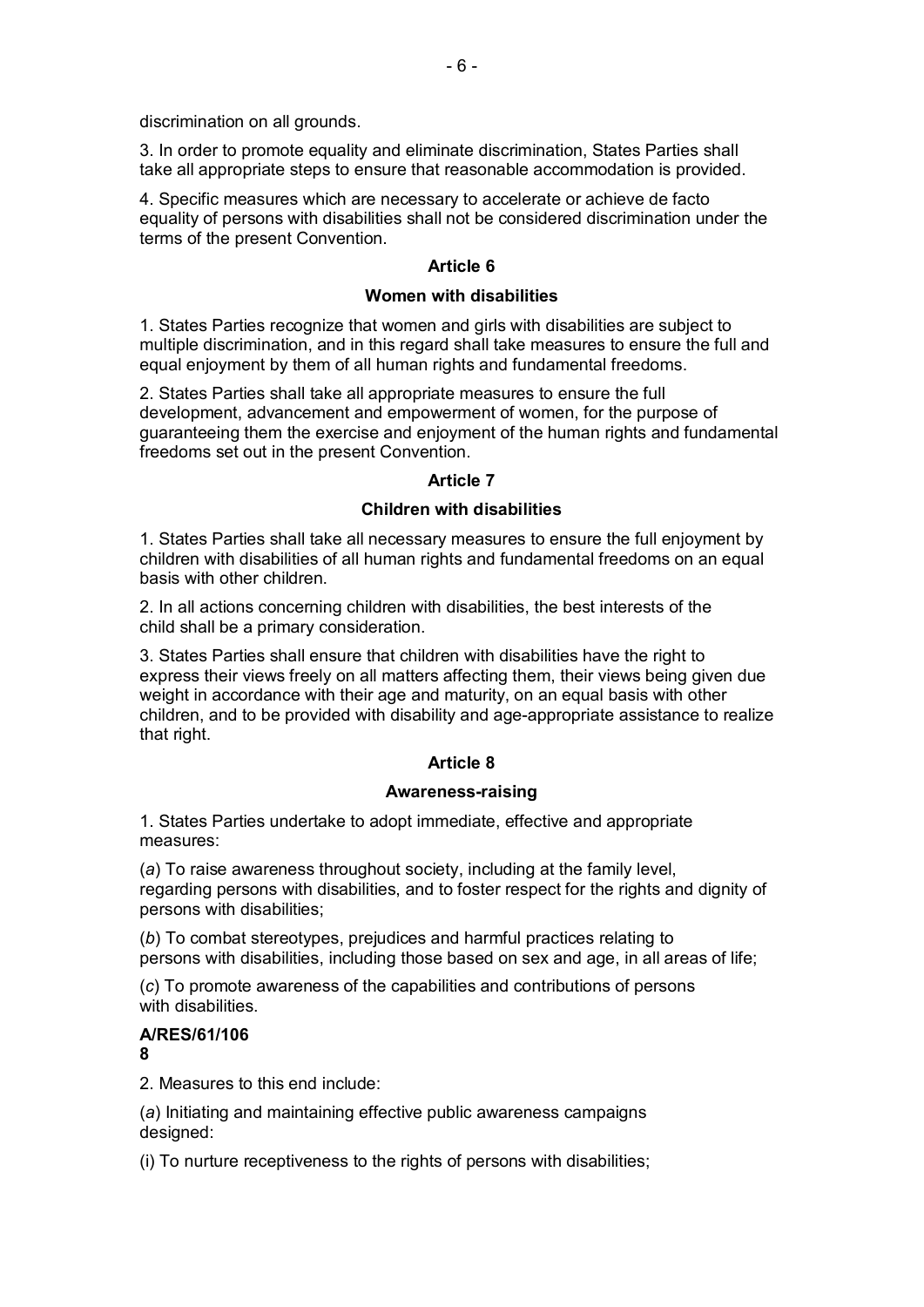discrimination on all grounds.

3. In order to promote equality and eliminate discrimination, States Parties shall take all appropriate steps to ensure that reasonable accommodation is provided.

4. Specific measures which are necessary to accelerate or achieve de facto equality of persons with disabilities shall not be considered discrimination under the terms of the present Convention.

## **Article 6**

### **Women with disabilities**

1. States Parties recognize that women and girls with disabilities are subject to multiple discrimination, and in this regard shall take measures to ensure the full and equal enjoyment by them of all human rights and fundamental freedoms.

2. States Parties shall take all appropriate measures to ensure the full development, advancement and empowerment of women, for the purpose of guaranteeing them the exercise and enjoyment of the human rights and fundamental freedoms set out in the present Convention.

## **Article 7**

### **Children with disabilities**

1. States Parties shall take all necessary measures to ensure the full enjoyment by children with disabilities of all human rights and fundamental freedoms on an equal basis with other children.

2. In all actions concerning children with disabilities, the best interests of the child shall be a primary consideration.

3. States Parties shall ensure that children with disabilities have the right to express their views freely on all matters affecting them, their views being given due weight in accordance with their age and maturity, on an equal basis with other children, and to be provided with disability and age-appropriate assistance to realize that right.

# **Article 8**

### **Awareness-raising**

1. States Parties undertake to adopt immediate, effective and appropriate measures:

(*a*) To raise awareness throughout society, including at the family level, regarding persons with disabilities, and to foster respect for the rights and dignity of persons with disabilities;

(*b*) To combat stereotypes, prejudices and harmful practices relating to persons with disabilities, including those based on sex and age, in all areas of life;

(*c*) To promote awareness of the capabilities and contributions of persons with disabilities.

### **A/RES/61/106**

**8**

2. Measures to this end include:

(*a*) Initiating and maintaining effective public awareness campaigns designed:

(i) To nurture receptiveness to the rights of persons with disabilities;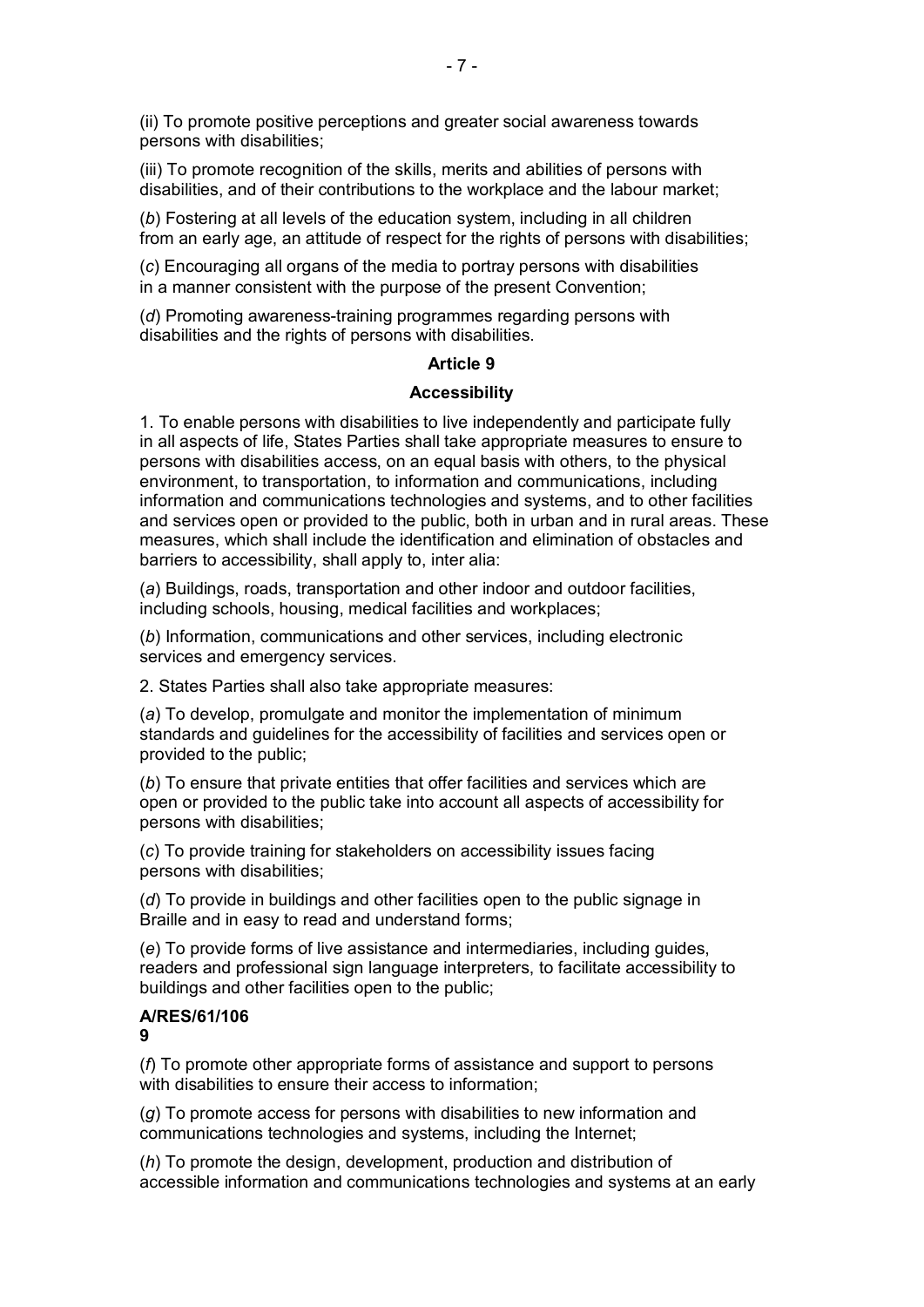(ii) To promote positive perceptions and greater social awareness towards persons with disabilities;

(iii) To promote recognition of the skills, merits and abilities of persons with disabilities, and of their contributions to the workplace and the labour market;

(*b*) Fostering at all levels of the education system, including in all children from an early age, an attitude of respect for the rights of persons with disabilities;

(*c*) Encouraging all organs of the media to portray persons with disabilities in a manner consistent with the purpose of the present Convention;

(*d*) Promoting awareness-training programmes regarding persons with disabilities and the rights of persons with disabilities.

### **Article 9**

#### **Accessibility**

1. To enable persons with disabilities to live independently and participate fully in all aspects of life, States Parties shall take appropriate measures to ensure to persons with disabilities access, on an equal basis with others, to the physical environment, to transportation, to information and communications, including information and communications technologies and systems, and to other facilities and services open or provided to the public, both in urban and in rural areas. These measures, which shall include the identification and elimination of obstacles and barriers to accessibility, shall apply to, inter alia:

(*a*) Buildings, roads, transportation and other indoor and outdoor facilities, including schools, housing, medical facilities and workplaces;

(*b*) Information, communications and other services, including electronic services and emergency services.

2. States Parties shall also take appropriate measures:

(*a*) To develop, promulgate and monitor the implementation of minimum standards and guidelines for the accessibility of facilities and services open or provided to the public;

(*b*) To ensure that private entities that offer facilities and services which are open or provided to the public take into account all aspects of accessibility for persons with disabilities;

(*c*) To provide training for stakeholders on accessibility issues facing persons with disabilities;

(*d*) To provide in buildings and other facilities open to the public signage in Braille and in easy to read and understand forms;

(*e*) To provide forms of live assistance and intermediaries, including guides, readers and professional sign language interpreters, to facilitate accessibility to buildings and other facilities open to the public;

# **A/RES/61/106**

**9**

(*f*) To promote other appropriate forms of assistance and support to persons with disabilities to ensure their access to information:

(*g*) To promote access for persons with disabilities to new information and communications technologies and systems, including the Internet;

(*h*) To promote the design, development, production and distribution of accessible information and communications technologies and systems at an early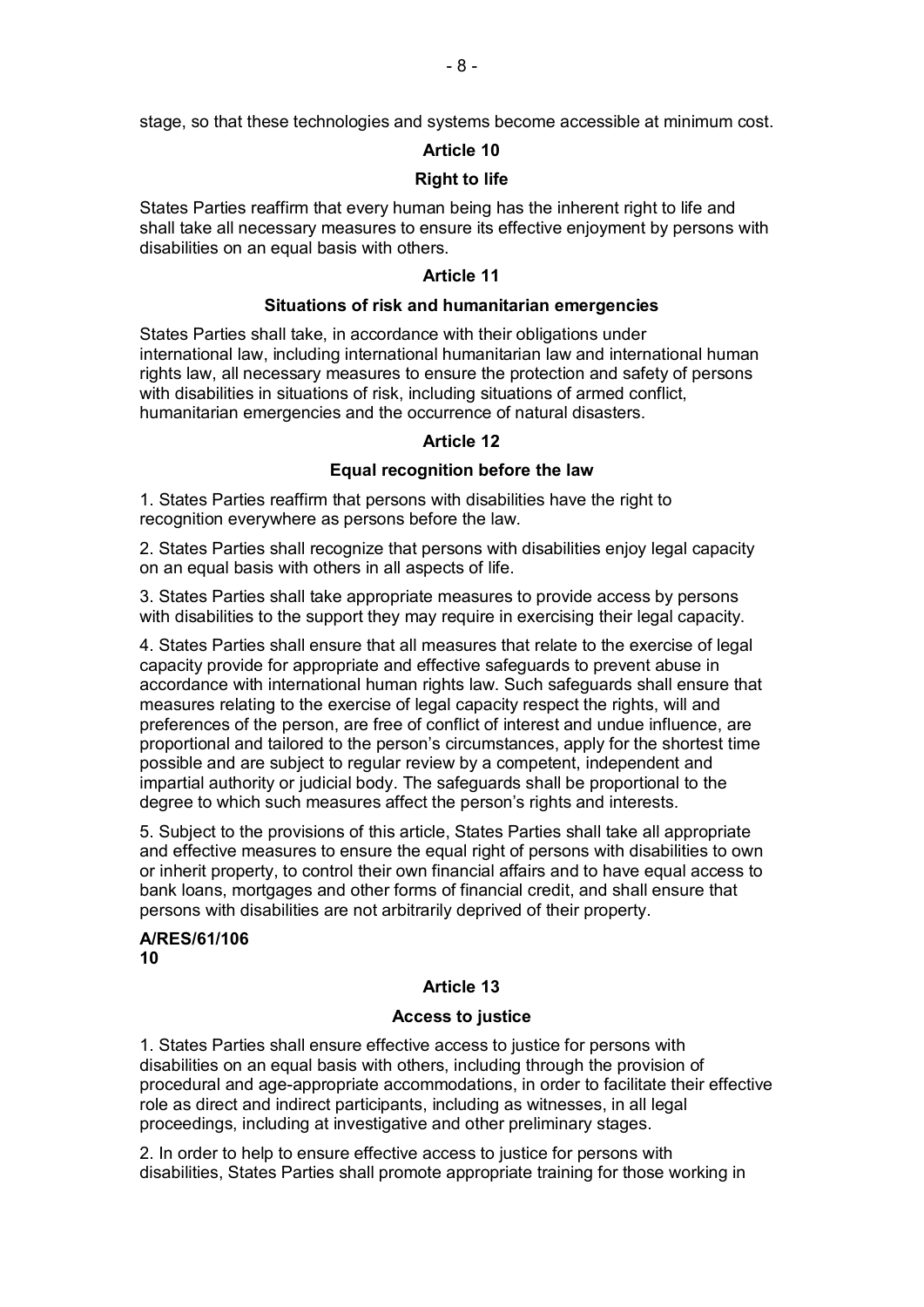stage, so that these technologies and systems become accessible at minimum cost.

## **Article 10**

## **Right to life**

States Parties reaffirm that every human being has the inherent right to life and shall take all necessary measures to ensure its effective enjoyment by persons with disabilities on an equal basis with others.

## **Article 11**

# **Situations of risk and humanitarian emergencies**

States Parties shall take, in accordance with their obligations under international law, including international humanitarian law and international human rights law, all necessary measures to ensure the protection and safety of persons with disabilities in situations of risk, including situations of armed conflict, humanitarian emergencies and the occurrence of natural disasters.

# **Article 12**

### **Equal recognition before the law**

1. States Parties reaffirm that persons with disabilities have the right to recognition everywhere as persons before the law.

2. States Parties shall recognize that persons with disabilities enjoy legal capacity on an equal basis with others in all aspects of life.

3. States Parties shall take appropriate measures to provide access by persons with disabilities to the support they may require in exercising their legal capacity.

4. States Parties shall ensure that all measures that relate to the exercise of legal capacity provide for appropriate and effective safeguards to prevent abuse in accordance with international human rights law. Such safeguards shall ensure that measures relating to the exercise of legal capacity respect the rights, will and preferences of the person, are free of conflict of interest and undue influence, are proportional and tailored to the person's circumstances, apply for the shortest time possible and are subject to regular review by a competent, independent and impartial authority or judicial body. The safeguards shall be proportional to the degree to which such measures affect the person's rights and interests.

5. Subject to the provisions of this article, States Parties shall take all appropriate and effective measures to ensure the equal right of persons with disabilities to own or inherit property, to control their own financial affairs and to have equal access to bank loans, mortgages and other forms of financial credit, and shall ensure that persons with disabilities are not arbitrarily deprived of their property.

#### **A/RES/61/106 10**

### **Article 13**

## **Access to justice**

1. States Parties shall ensure effective access to justice for persons with disabilities on an equal basis with others, including through the provision of procedural and age-appropriate accommodations, in order to facilitate their effective role as direct and indirect participants, including as witnesses, in all legal proceedings, including at investigative and other preliminary stages.

2. In order to help to ensure effective access to justice for persons with disabilities, States Parties shall promote appropriate training for those working in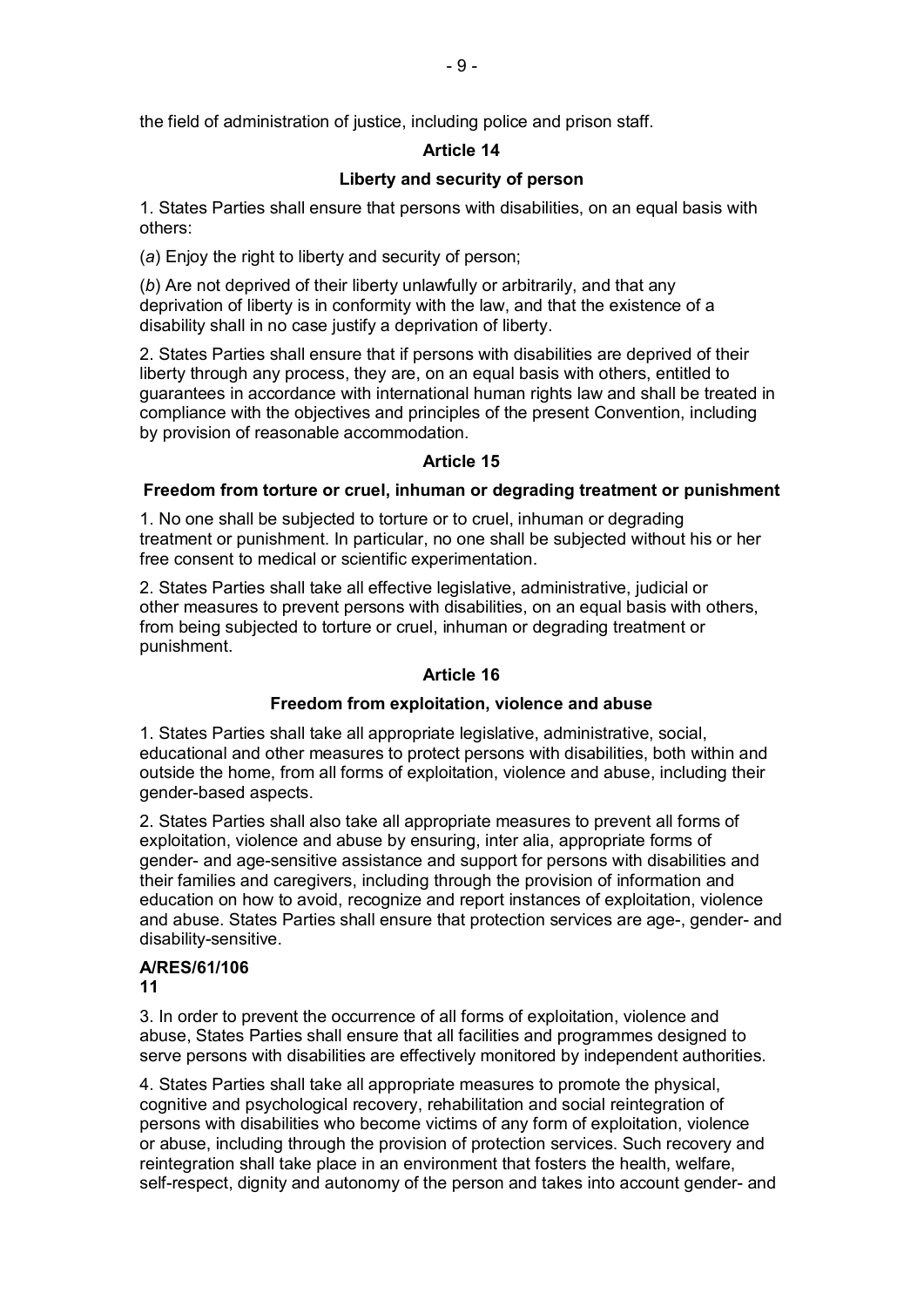the field of administration of justice, including police and prison staff.

# **Article 14**

# **Liberty and security of person**

1. States Parties shall ensure that persons with disabilities, on an equal basis with others:

(*a*) Enjoy the right to liberty and security of person;

(*b*) Are not deprived of their liberty unlawfully or arbitrarily, and that any deprivation of liberty is in conformity with the law, and that the existence of a disability shall in no case justify a deprivation of liberty.

2. States Parties shall ensure that if persons with disabilities are deprived of their liberty through any process, they are, on an equal basis with others, entitled to guarantees in accordance with international human rights law and shall be treated in compliance with the objectives and principles of the present Convention, including by provision of reasonable accommodation.

# **Article 15**

# **Freedom from torture or cruel, inhuman or degrading treatment or punishment**

1. No one shall be subjected to torture or to cruel, inhuman or degrading treatment or punishment. In particular, no one shall be subjected without his or her free consent to medical or scientific experimentation.

2. States Parties shall take all effective legislative, administrative, judicial or other measures to prevent persons with disabilities, on an equal basis with others, from being subjected to torture or cruel, inhuman or degrading treatment or punishment.

# **Article 16**

# **Freedom from exploitation, violence and abuse**

1. States Parties shall take all appropriate legislative, administrative, social, educational and other measures to protect persons with disabilities, both within and outside the home, from all forms of exploitation, violence and abuse, including their gender-based aspects.

2. States Parties shall also take all appropriate measures to prevent all forms of exploitation, violence and abuse by ensuring, inter alia, appropriate forms of gender- and age-sensitive assistance and support for persons with disabilities and their families and caregivers, including through the provision of information and education on how to avoid, recognize and report instances of exploitation, violence and abuse. States Parties shall ensure that protection services are age-, gender- and disability-sensitive.

#### **A/RES/61/106 11**

3. In order to prevent the occurrence of all forms of exploitation, violence and abuse, States Parties shall ensure that all facilities and programmes designed to serve persons with disabilities are effectively monitored by independent authorities.

4. States Parties shall take all appropriate measures to promote the physical, cognitive and psychological recovery, rehabilitation and social reintegration of persons with disabilities who become victims of any form of exploitation, violence or abuse, including through the provision of protection services. Such recovery and reintegration shall take place in an environment that fosters the health, welfare, self-respect, dignity and autonomy of the person and takes into account gender- and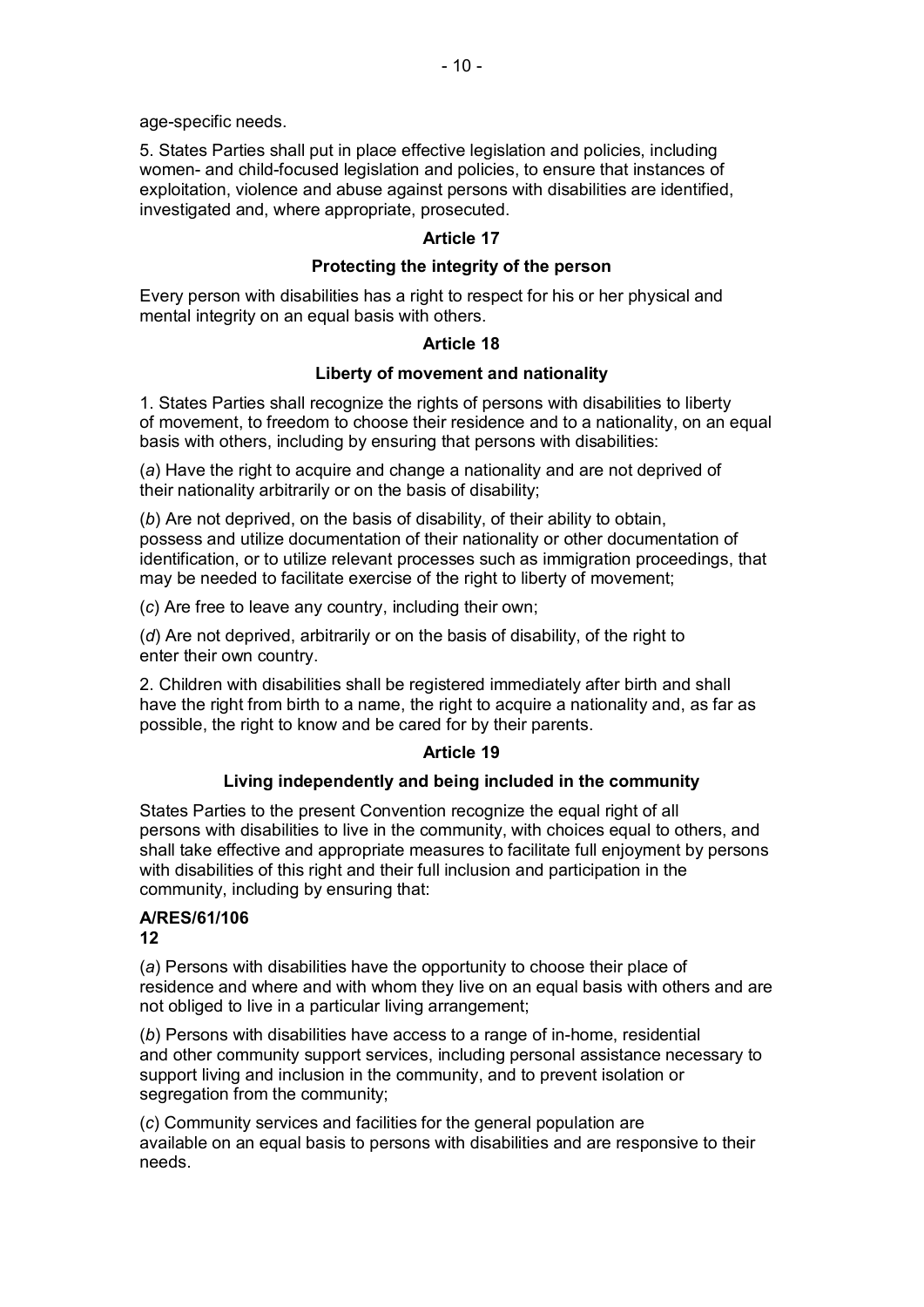age-specific needs.

5. States Parties shall put in place effective legislation and policies, including women- and child-focused legislation and policies, to ensure that instances of exploitation, violence and abuse against persons with disabilities are identified, investigated and, where appropriate, prosecuted.

# **Article 17**

# **Protecting the integrity of the person**

Every person with disabilities has a right to respect for his or her physical and mental integrity on an equal basis with others.

# **Article 18**

## **Liberty of movement and nationality**

1. States Parties shall recognize the rights of persons with disabilities to liberty of movement, to freedom to choose their residence and to a nationality, on an equal basis with others, including by ensuring that persons with disabilities:

(*a*) Have the right to acquire and change a nationality and are not deprived of their nationality arbitrarily or on the basis of disability;

(*b*) Are not deprived, on the basis of disability, of their ability to obtain, possess and utilize documentation of their nationality or other documentation of identification, or to utilize relevant processes such as immigration proceedings, that may be needed to facilitate exercise of the right to liberty of movement;

(*c*) Are free to leave any country, including their own;

(*d*) Are not deprived, arbitrarily or on the basis of disability, of the right to enter their own country.

2. Children with disabilities shall be registered immediately after birth and shall have the right from birth to a name, the right to acquire a nationality and, as far as possible, the right to know and be cared for by their parents.

# **Article 19**

### **Living independently and being included in the community**

States Parties to the present Convention recognize the equal right of all persons with disabilities to live in the community, with choices equal to others, and shall take effective and appropriate measures to facilitate full enjoyment by persons with disabilities of this right and their full inclusion and participation in the community, including by ensuring that:

# **A/RES/61/106**

**12**

(*a*) Persons with disabilities have the opportunity to choose their place of residence and where and with whom they live on an equal basis with others and are not obliged to live in a particular living arrangement;

(*b*) Persons with disabilities have access to a range of in-home, residential and other community support services, including personal assistance necessary to support living and inclusion in the community, and to prevent isolation or segregation from the community:

(*c*) Community services and facilities for the general population are available on an equal basis to persons with disabilities and are responsive to their needs.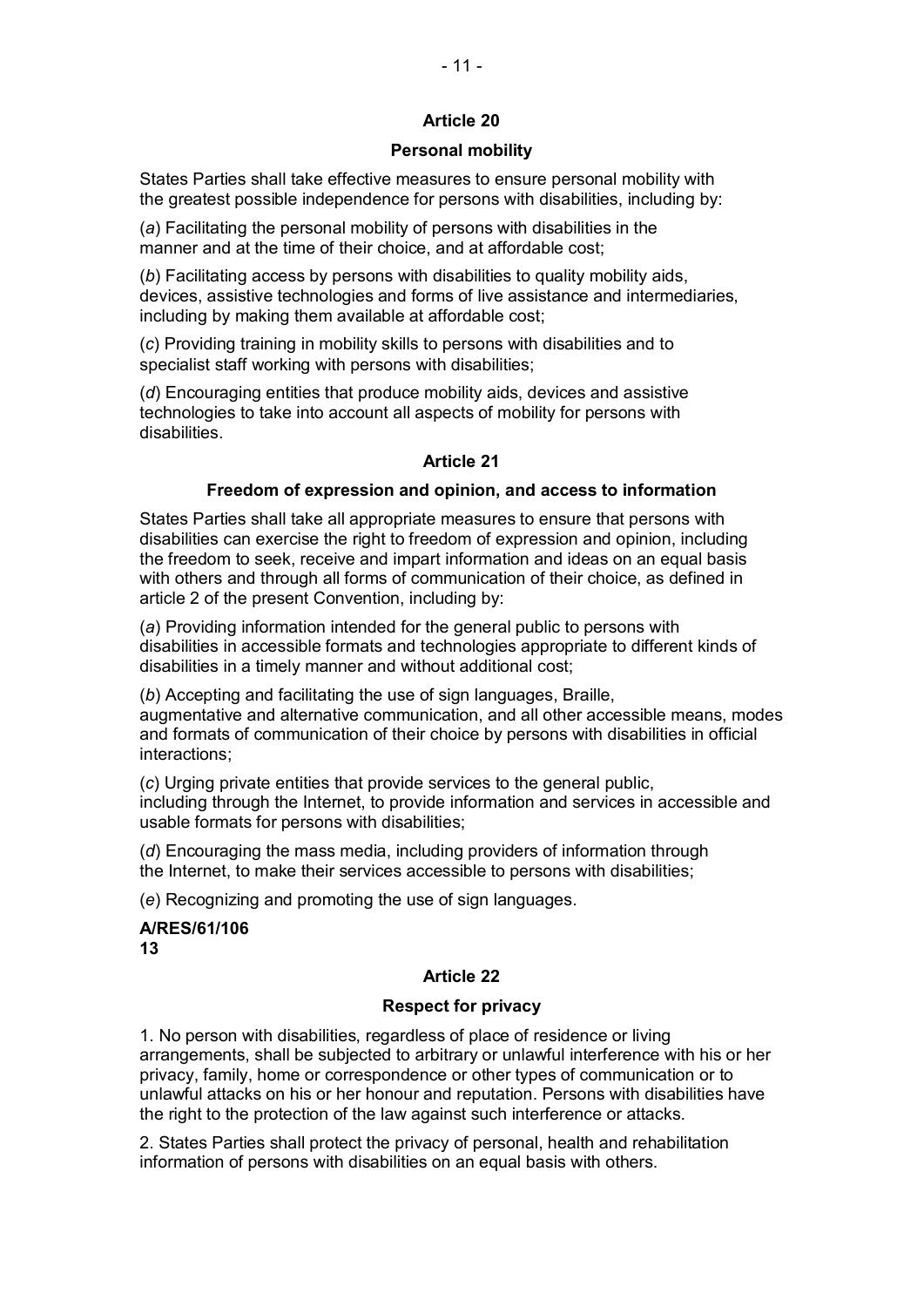# **Article 20**

## **Personal mobility**

States Parties shall take effective measures to ensure personal mobility with the greatest possible independence for persons with disabilities, including by:

(*a*) Facilitating the personal mobility of persons with disabilities in the manner and at the time of their choice, and at affordable cost;

(*b*) Facilitating access by persons with disabilities to quality mobility aids, devices, assistive technologies and forms of live assistance and intermediaries, including by making them available at affordable cost;

(*c*) Providing training in mobility skills to persons with disabilities and to specialist staff working with persons with disabilities;

(*d*) Encouraging entities that produce mobility aids, devices and assistive technologies to take into account all aspects of mobility for persons with disabilities.

# **Article 21**

## **Freedom of expression and opinion, and access to information**

States Parties shall take all appropriate measures to ensure that persons with disabilities can exercise the right to freedom of expression and opinion, including the freedom to seek, receive and impart information and ideas on an equal basis with others and through all forms of communication of their choice, as defined in article 2 of the present Convention, including by:

(*a*) Providing information intended for the general public to persons with disabilities in accessible formats and technologies appropriate to different kinds of disabilities in a timely manner and without additional cost;

(*b*) Accepting and facilitating the use of sign languages, Braille, augmentative and alternative communication, and all other accessible means, modes and formats of communication of their choice by persons with disabilities in official interactions;

(*c*) Urging private entities that provide services to the general public, including through the Internet, to provide information and services in accessible and usable formats for persons with disabilities;

(*d*) Encouraging the mass media, including providers of information through the Internet, to make their services accessible to persons with disabilities;

(*e*) Recognizing and promoting the use of sign languages.

# **A/RES/61/106**

**13**

# **Article 22**

# **Respect for privacy**

1. No person with disabilities, regardless of place of residence or living arrangements, shall be subjected to arbitrary or unlawful interference with his or her privacy, family, home or correspondence or other types of communication or to unlawful attacks on his or her honour and reputation. Persons with disabilities have the right to the protection of the law against such interference or attacks.

2. States Parties shall protect the privacy of personal, health and rehabilitation information of persons with disabilities on an equal basis with others.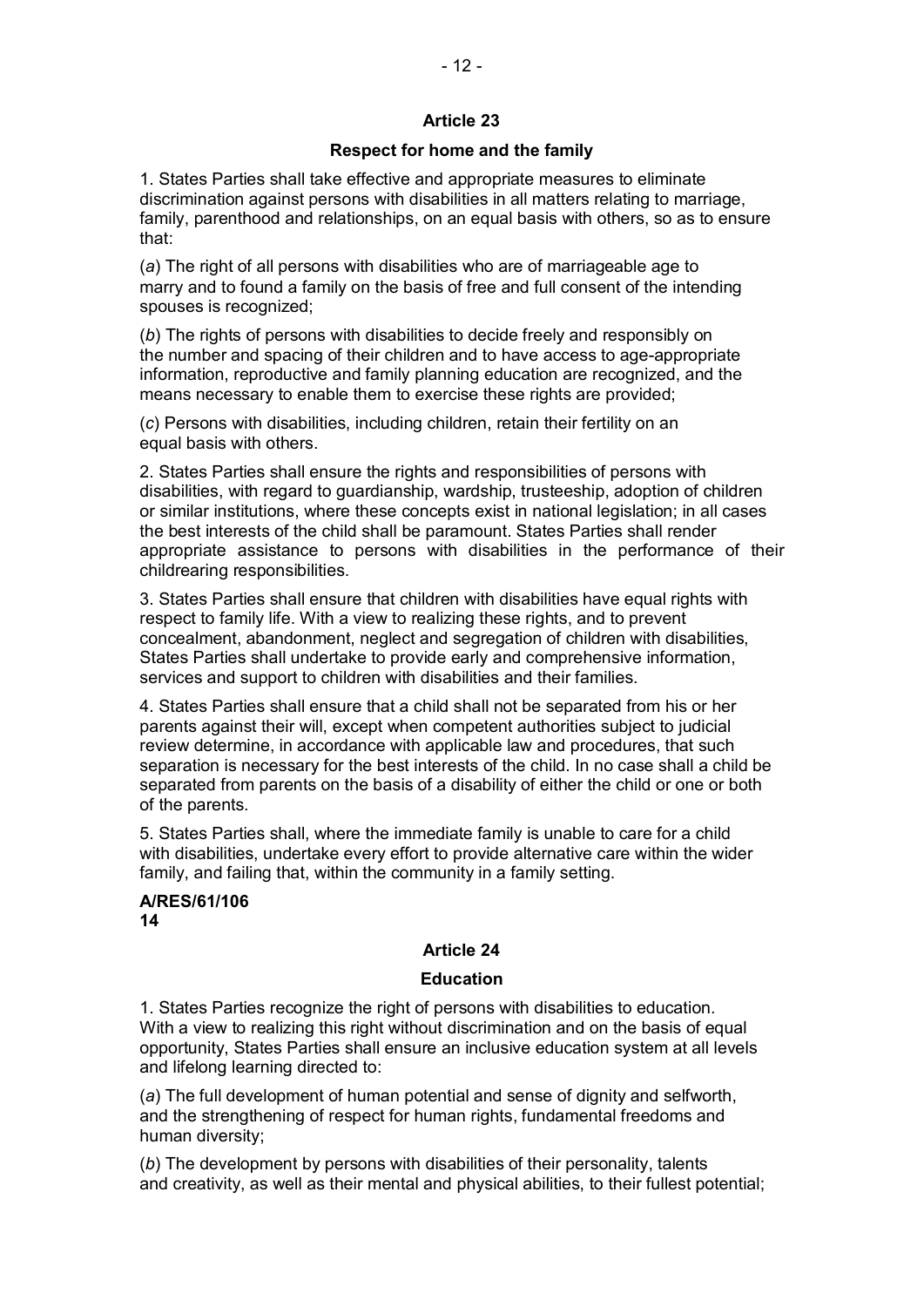# **Article 23**

## **Respect for home and the family**

1. States Parties shall take effective and appropriate measures to eliminate discrimination against persons with disabilities in all matters relating to marriage, family, parenthood and relationships, on an equal basis with others, so as to ensure that:

(*a*) The right of all persons with disabilities who are of marriageable age to marry and to found a family on the basis of free and full consent of the intending spouses is recognized;

(*b*) The rights of persons with disabilities to decide freely and responsibly on the number and spacing of their children and to have access to age-appropriate information, reproductive and family planning education are recognized, and the means necessary to enable them to exercise these rights are provided;

(*c*) Persons with disabilities, including children, retain their fertility on an equal basis with others.

2. States Parties shall ensure the rights and responsibilities of persons with disabilities, with regard to guardianship, wardship, trusteeship, adoption of children or similar institutions, where these concepts exist in national legislation; in all cases the best interests of the child shall be paramount. States Parties shall render appropriate assistance to persons with disabilities in the performance of their childrearing responsibilities.

3. States Parties shall ensure that children with disabilities have equal rights with respect to family life. With a view to realizing these rights, and to prevent concealment, abandonment, neglect and segregation of children with disabilities, States Parties shall undertake to provide early and comprehensive information, services and support to children with disabilities and their families.

4. States Parties shall ensure that a child shall not be separated from his or her parents against their will, except when competent authorities subject to judicial review determine, in accordance with applicable law and procedures, that such separation is necessary for the best interests of the child. In no case shall a child be separated from parents on the basis of a disability of either the child or one or both of the parents.

5. States Parties shall, where the immediate family is unable to care for a child with disabilities, undertake every effort to provide alternative care within the wider family, and failing that, within the community in a family setting.

#### **A/RES/61/106 14**

### **Article 24**

### **Education**

1. States Parties recognize the right of persons with disabilities to education. With a view to realizing this right without discrimination and on the basis of equal opportunity, States Parties shall ensure an inclusive education system at all levels and lifelong learning directed to:

(*a*) The full development of human potential and sense of dignity and selfworth, and the strengthening of respect for human rights, fundamental freedoms and human diversity;

(*b*) The development by persons with disabilities of their personality, talents and creativity, as well as their mental and physical abilities, to their fullest potential;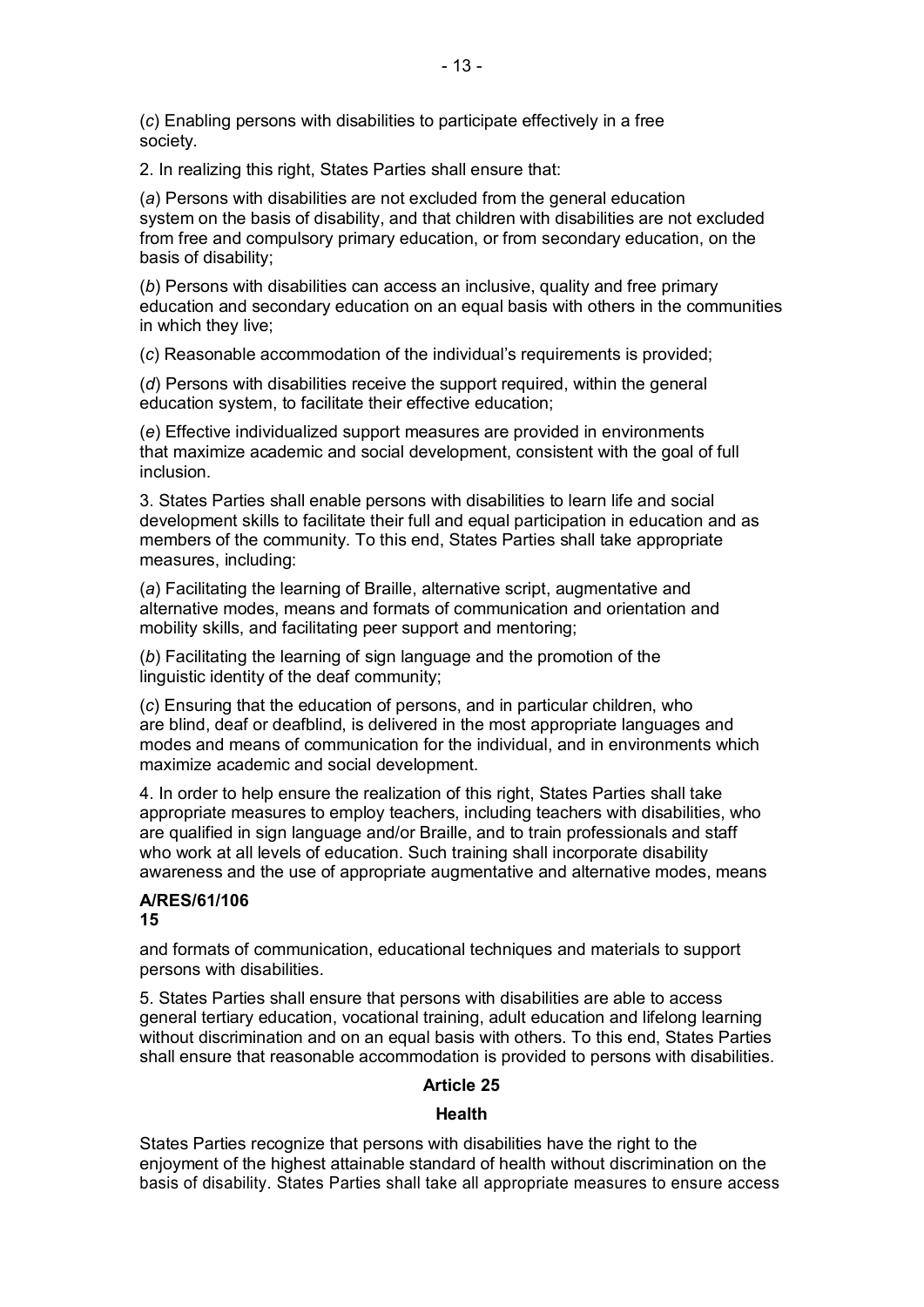(*c*) Enabling persons with disabilities to participate effectively in a free society.

2. In realizing this right, States Parties shall ensure that:

(*a*) Persons with disabilities are not excluded from the general education system on the basis of disability, and that children with disabilities are not excluded from free and compulsory primary education, or from secondary education, on the basis of disability;

(*b*) Persons with disabilities can access an inclusive, quality and free primary education and secondary education on an equal basis with others in the communities in which they live;

(*c*) Reasonable accommodation of the individual's requirements is provided;

(*d*) Persons with disabilities receive the support required, within the general education system, to facilitate their effective education;

(*e*) Effective individualized support measures are provided in environments that maximize academic and social development, consistent with the goal of full inclusion.

3. States Parties shall enable persons with disabilities to learn life and social development skills to facilitate their full and equal participation in education and as members of the community. To this end, States Parties shall take appropriate measures, including:

(*a*) Facilitating the learning of Braille, alternative script, augmentative and alternative modes, means and formats of communication and orientation and mobility skills, and facilitating peer support and mentoring;

(*b*) Facilitating the learning of sign language and the promotion of the linguistic identity of the deaf community;

(*c*) Ensuring that the education of persons, and in particular children, who are blind, deaf or deafblind, is delivered in the most appropriate languages and modes and means of communication for the individual, and in environments which maximize academic and social development.

4. In order to help ensure the realization of this right, States Parties shall take appropriate measures to employ teachers, including teachers with disabilities, who are qualified in sign language and/or Braille, and to train professionals and staff who work at all levels of education. Such training shall incorporate disability awareness and the use of appropriate augmentative and alternative modes, means

# **A/RES/61/106**

### **15**

and formats of communication, educational techniques and materials to support persons with disabilities.

5. States Parties shall ensure that persons with disabilities are able to access general tertiary education, vocational training, adult education and lifelong learning without discrimination and on an equal basis with others. To this end, States Parties shall ensure that reasonable accommodation is provided to persons with disabilities.

### **Article 25**

### **Health**

States Parties recognize that persons with disabilities have the right to the enjoyment of the highest attainable standard of health without discrimination on the basis of disability. States Parties shall take all appropriate measures to ensure access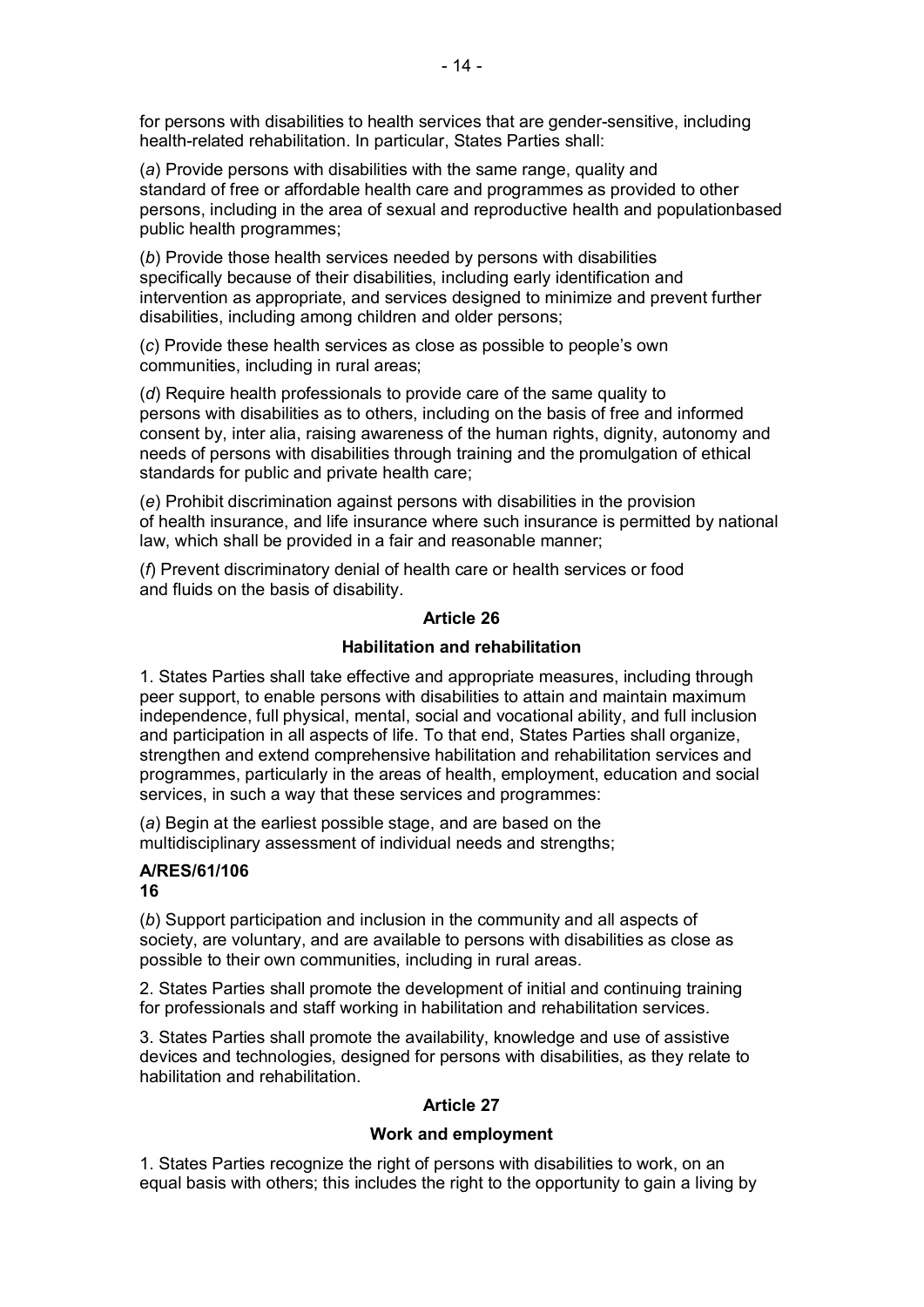for persons with disabilities to health services that are gender-sensitive, including health-related rehabilitation. In particular, States Parties shall:

(*a*) Provide persons with disabilities with the same range, quality and standard of free or affordable health care and programmes as provided to other persons, including in the area of sexual and reproductive health and populationbased public health programmes;

(*b*) Provide those health services needed by persons with disabilities specifically because of their disabilities, including early identification and intervention as appropriate, and services designed to minimize and prevent further disabilities, including among children and older persons;

(*c*) Provide these health services as close as possible to people's own communities, including in rural areas;

(*d*) Require health professionals to provide care of the same quality to persons with disabilities as to others, including on the basis of free and informed consent by, inter alia, raising awareness of the human rights, dignity, autonomy and needs of persons with disabilities through training and the promulgation of ethical standards for public and private health care;

(*e*) Prohibit discrimination against persons with disabilities in the provision of health insurance, and life insurance where such insurance is permitted by national law, which shall be provided in a fair and reasonable manner;

(*f*) Prevent discriminatory denial of health care or health services or food and fluids on the basis of disability.

# **Article 26**

# **Habilitation and rehabilitation**

1. States Parties shall take effective and appropriate measures, including through peer support, to enable persons with disabilities to attain and maintain maximum independence, full physical, mental, social and vocational ability, and full inclusion and participation in all aspects of life. To that end, States Parties shall organize, strengthen and extend comprehensive habilitation and rehabilitation services and programmes, particularly in the areas of health, employment, education and social services, in such a way that these services and programmes:

(*a*) Begin at the earliest possible stage, and are based on the multidisciplinary assessment of individual needs and strengths;

# **A/RES/61/106**

**16**

(*b*) Support participation and inclusion in the community and all aspects of society, are voluntary, and are available to persons with disabilities as close as possible to their own communities, including in rural areas.

2. States Parties shall promote the development of initial and continuing training for professionals and staff working in habilitation and rehabilitation services.

3. States Parties shall promote the availability, knowledge and use of assistive devices and technologies, designed for persons with disabilities, as they relate to habilitation and rehabilitation.

# **Article 27**

# **Work and employment**

1. States Parties recognize the right of persons with disabilities to work, on an equal basis with others; this includes the right to the opportunity to gain a living by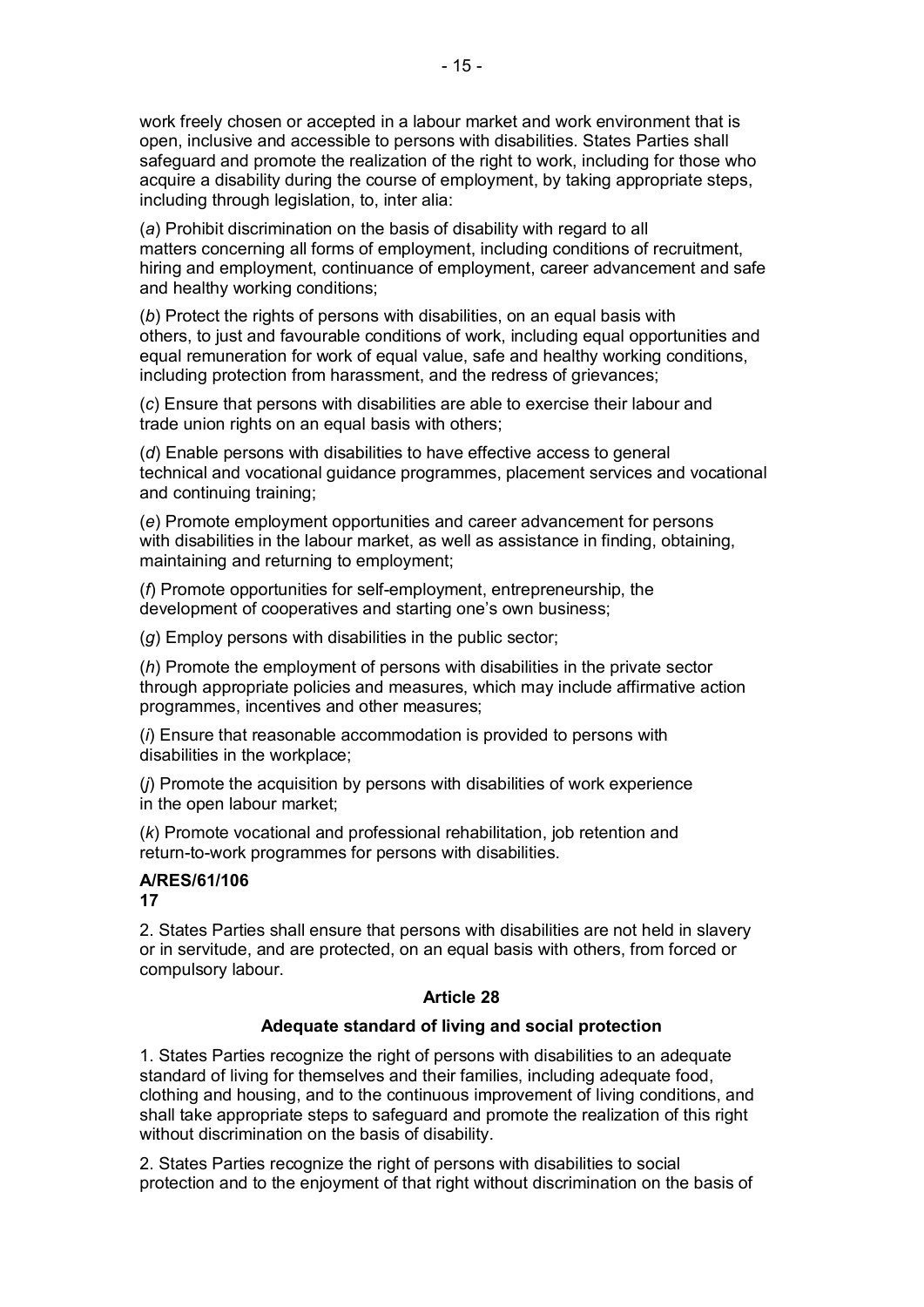work freely chosen or accepted in a labour market and work environment that is open, inclusive and accessible to persons with disabilities. States Parties shall safeguard and promote the realization of the right to work, including for those who acquire a disability during the course of employment, by taking appropriate steps, including through legislation, to, inter alia:

(*a*) Prohibit discrimination on the basis of disability with regard to all matters concerning all forms of employment, including conditions of recruitment, hiring and employment, continuance of employment, career advancement and safe and healthy working conditions;

(*b*) Protect the rights of persons with disabilities, on an equal basis with others, to just and favourable conditions of work, including equal opportunities and equal remuneration for work of equal value, safe and healthy working conditions, including protection from harassment, and the redress of grievances;

(*c*) Ensure that persons with disabilities are able to exercise their labour and trade union rights on an equal basis with others;

(*d*) Enable persons with disabilities to have effective access to general technical and vocational guidance programmes, placement services and vocational and continuing training;

(*e*) Promote employment opportunities and career advancement for persons with disabilities in the labour market, as well as assistance in finding, obtaining, maintaining and returning to employment;

(*f*) Promote opportunities for self-employment, entrepreneurship, the development of cooperatives and starting one's own business;

(*g*) Employ persons with disabilities in the public sector;

(*h*) Promote the employment of persons with disabilities in the private sector through appropriate policies and measures, which may include affirmative action programmes, incentives and other measures;

(*i*) Ensure that reasonable accommodation is provided to persons with disabilities in the workplace;

(*j*) Promote the acquisition by persons with disabilities of work experience in the open labour market;

(*k*) Promote vocational and professional rehabilitation, job retention and return-to-work programmes for persons with disabilities.

# **A/RES/61/106**

**17**

2. States Parties shall ensure that persons with disabilities are not held in slavery or in servitude, and are protected, on an equal basis with others, from forced or compulsory labour.

# **Article 28**

# **Adequate standard of living and social protection**

1. States Parties recognize the right of persons with disabilities to an adequate standard of living for themselves and their families, including adequate food, clothing and housing, and to the continuous improvement of living conditions, and shall take appropriate steps to safeguard and promote the realization of this right without discrimination on the basis of disability.

2. States Parties recognize the right of persons with disabilities to social protection and to the enjoyment of that right without discrimination on the basis of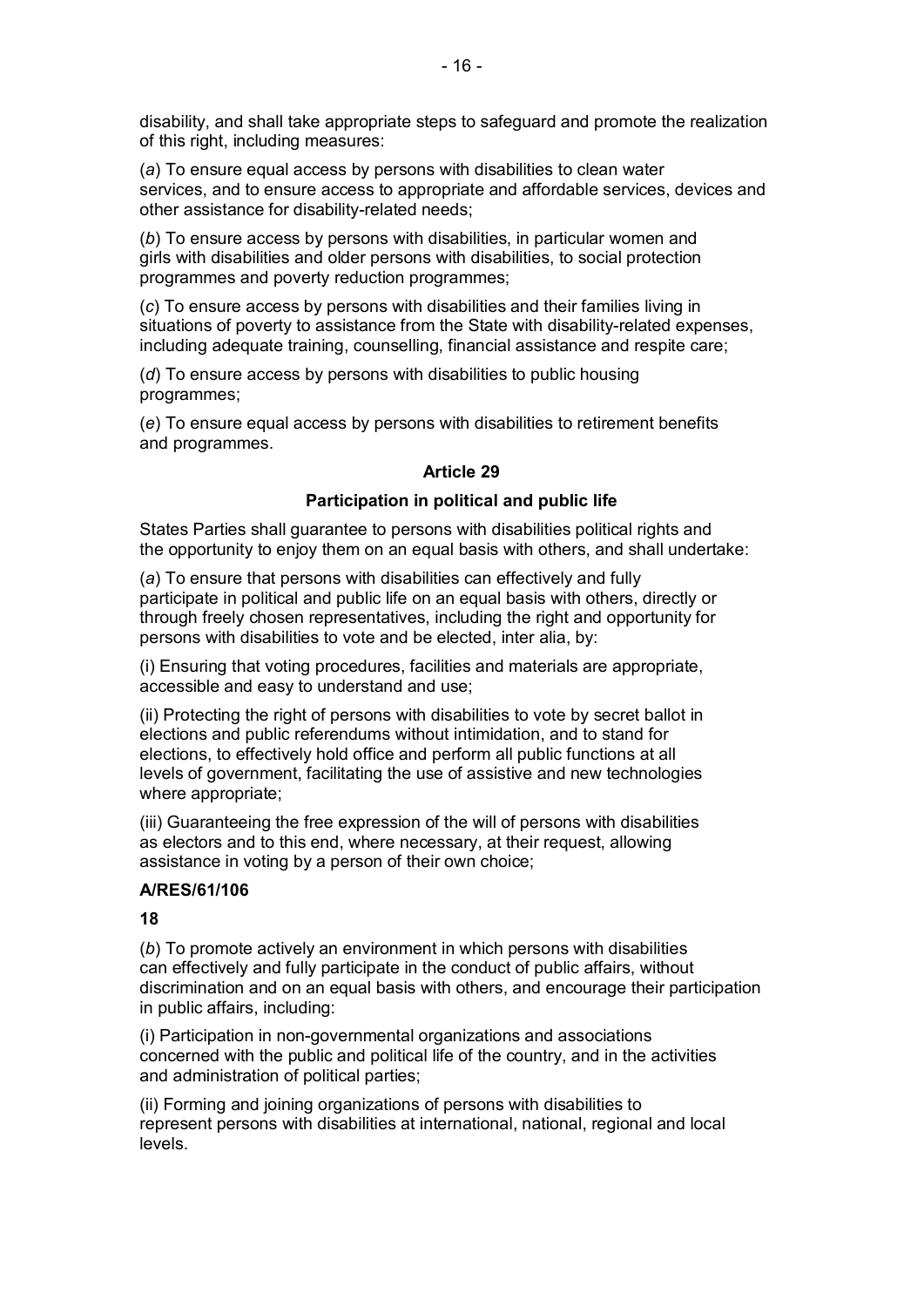disability, and shall take appropriate steps to safeguard and promote the realization of this right, including measures:

(*a*) To ensure equal access by persons with disabilities to clean water services, and to ensure access to appropriate and affordable services, devices and other assistance for disability-related needs;

(*b*) To ensure access by persons with disabilities, in particular women and girls with disabilities and older persons with disabilities, to social protection programmes and poverty reduction programmes;

(*c*) To ensure access by persons with disabilities and their families living in situations of poverty to assistance from the State with disability-related expenses, including adequate training, counselling, financial assistance and respite care;

(*d*) To ensure access by persons with disabilities to public housing programmes;

(*e*) To ensure equal access by persons with disabilities to retirement benefits and programmes.

# **Article 29**

# **Participation in political and public life**

States Parties shall guarantee to persons with disabilities political rights and the opportunity to enjoy them on an equal basis with others, and shall undertake:

(*a*) To ensure that persons with disabilities can effectively and fully participate in political and public life on an equal basis with others, directly or through freely chosen representatives, including the right and opportunity for persons with disabilities to vote and be elected, inter alia, by:

(i) Ensuring that voting procedures, facilities and materials are appropriate, accessible and easy to understand and use;

(ii) Protecting the right of persons with disabilities to vote by secret ballot in elections and public referendums without intimidation, and to stand for elections, to effectively hold office and perform all public functions at all levels of government, facilitating the use of assistive and new technologies where appropriate;

(iii) Guaranteeing the free expression of the will of persons with disabilities as electors and to this end, where necessary, at their request, allowing assistance in voting by a person of their own choice;

# **A/RES/61/106**

# **18**

(*b*) To promote actively an environment in which persons with disabilities can effectively and fully participate in the conduct of public affairs, without discrimination and on an equal basis with others, and encourage their participation in public affairs, including:

(i) Participation in non-governmental organizations and associations concerned with the public and political life of the country, and in the activities and administration of political parties;

(ii) Forming and joining organizations of persons with disabilities to represent persons with disabilities at international, national, regional and local levels.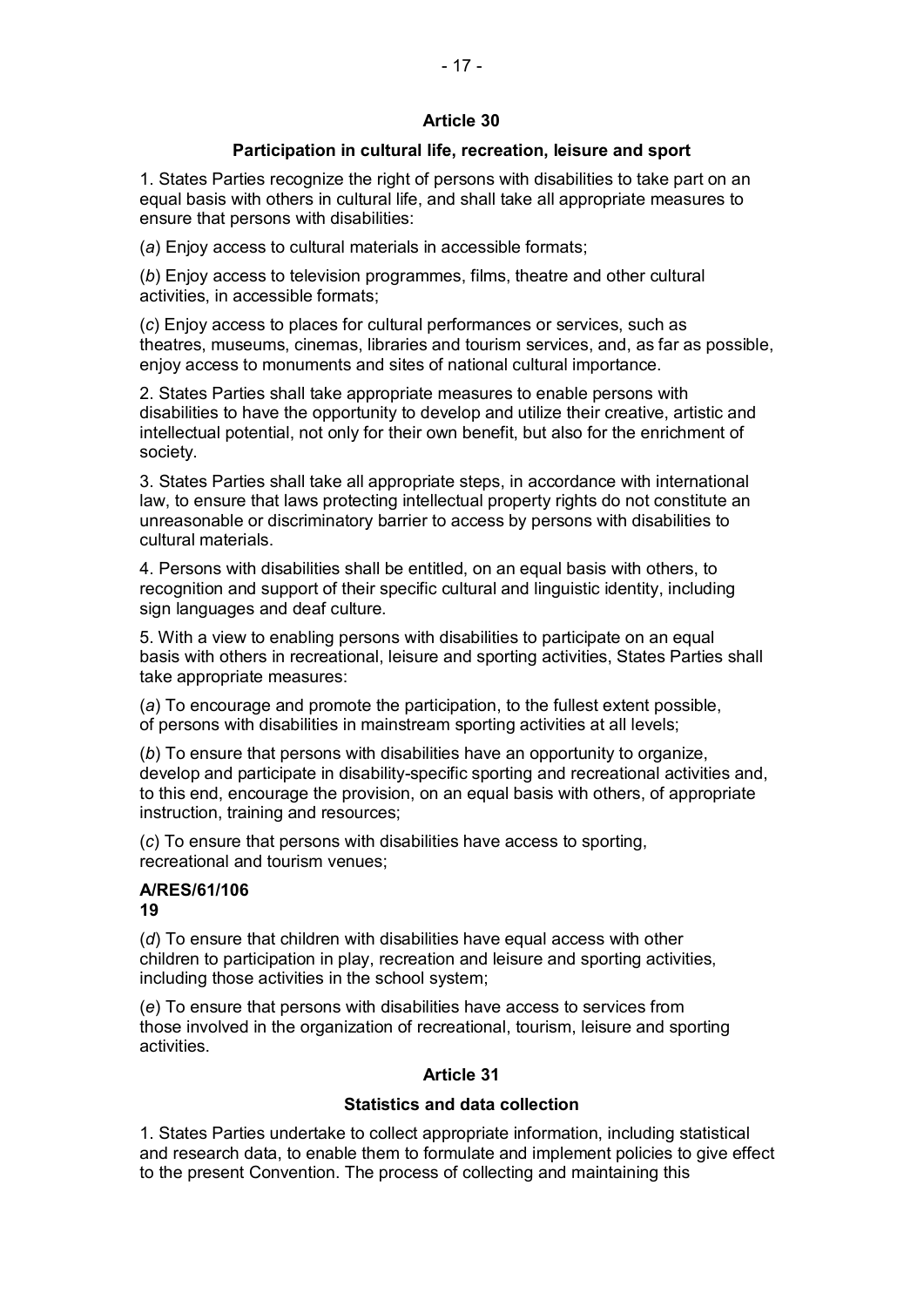# **Article 30**

# **Participation in cultural life, recreation, leisure and sport**

1. States Parties recognize the right of persons with disabilities to take part on an equal basis with others in cultural life, and shall take all appropriate measures to ensure that persons with disabilities:

(*a*) Enjoy access to cultural materials in accessible formats;

(*b*) Enjoy access to television programmes, films, theatre and other cultural activities, in accessible formats;

(*c*) Enjoy access to places for cultural performances or services, such as theatres, museums, cinemas, libraries and tourism services, and, as far as possible, enjoy access to monuments and sites of national cultural importance.

2. States Parties shall take appropriate measures to enable persons with disabilities to have the opportunity to develop and utilize their creative, artistic and intellectual potential, not only for their own benefit, but also for the enrichment of society.

3. States Parties shall take all appropriate steps, in accordance with international law, to ensure that laws protecting intellectual property rights do not constitute an unreasonable or discriminatory barrier to access by persons with disabilities to cultural materials.

4. Persons with disabilities shall be entitled, on an equal basis with others, to recognition and support of their specific cultural and linguistic identity, including sign languages and deaf culture.

5. With a view to enabling persons with disabilities to participate on an equal basis with others in recreational, leisure and sporting activities, States Parties shall take appropriate measures:

(*a*) To encourage and promote the participation, to the fullest extent possible, of persons with disabilities in mainstream sporting activities at all levels;

(*b*) To ensure that persons with disabilities have an opportunity to organize, develop and participate in disability-specific sporting and recreational activities and, to this end, encourage the provision, on an equal basis with others, of appropriate instruction, training and resources;

(*c*) To ensure that persons with disabilities have access to sporting, recreational and tourism venues;

### **A/RES/61/106 19**

(*d*) To ensure that children with disabilities have equal access with other children to participation in play, recreation and leisure and sporting activities, including those activities in the school system;

(*e*) To ensure that persons with disabilities have access to services from those involved in the organization of recreational, tourism, leisure and sporting activities.

# **Article 31**

# **Statistics and data collection**

1. States Parties undertake to collect appropriate information, including statistical and research data, to enable them to formulate and implement policies to give effect to the present Convention. The process of collecting and maintaining this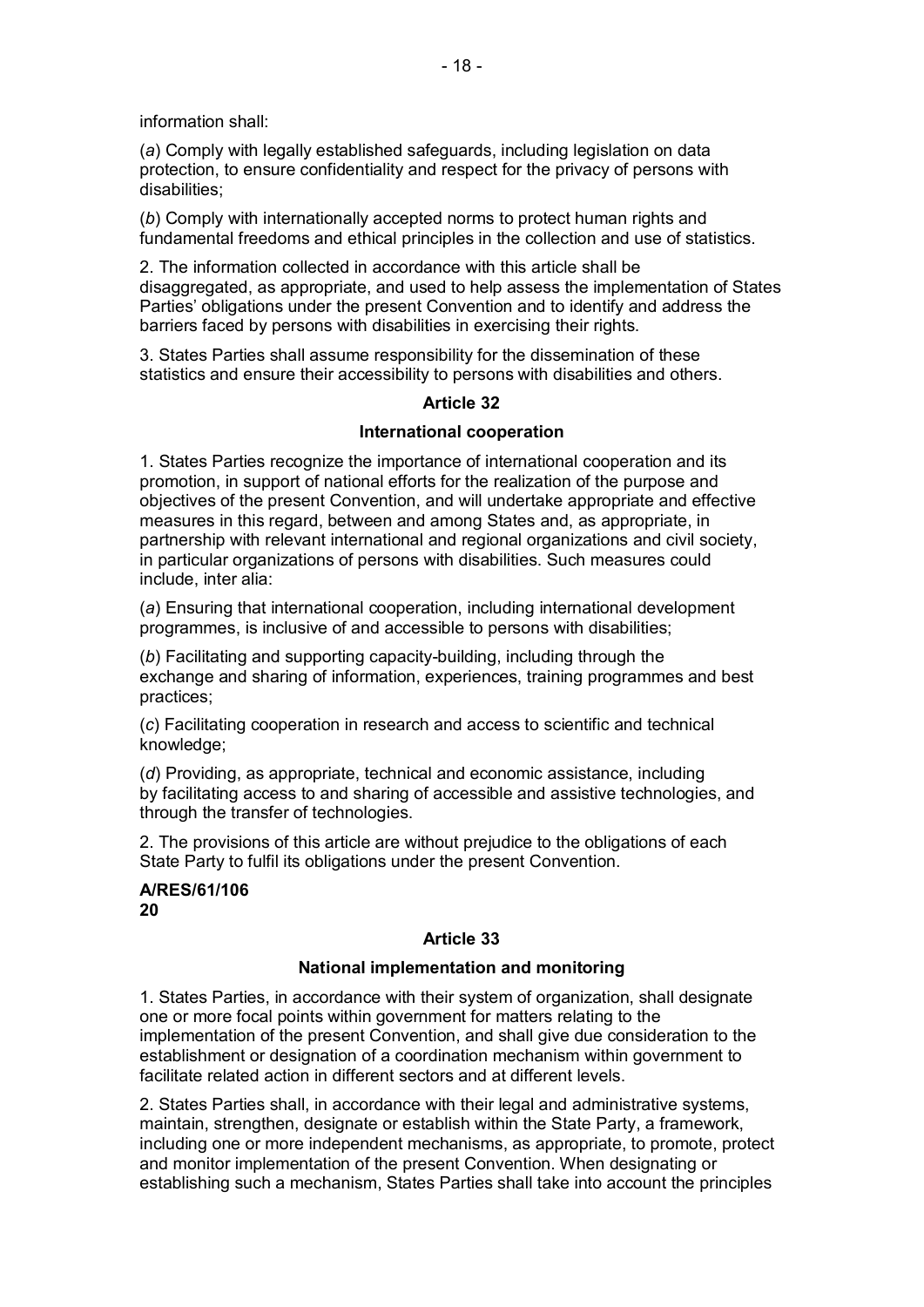information shall:

(*a*) Comply with legally established safeguards, including legislation on data protection, to ensure confidentiality and respect for the privacy of persons with disabilities;

(*b*) Comply with internationally accepted norms to protect human rights and fundamental freedoms and ethical principles in the collection and use of statistics.

2. The information collected in accordance with this article shall be disaggregated, as appropriate, and used to help assess the implementation of States Parties' obligations under the present Convention and to identify and address the barriers faced by persons with disabilities in exercising their rights.

3. States Parties shall assume responsibility for the dissemination of these statistics and ensure their accessibility to persons with disabilities and others.

### **Article 32**

### **International cooperation**

1. States Parties recognize the importance of international cooperation and its promotion, in support of national efforts for the realization of the purpose and objectives of the present Convention, and will undertake appropriate and effective measures in this regard, between and among States and, as appropriate, in partnership with relevant international and regional organizations and civil society, in particular organizations of persons with disabilities. Such measures could include, inter alia:

(*a*) Ensuring that international cooperation, including international development programmes, is inclusive of and accessible to persons with disabilities;

(*b*) Facilitating and supporting capacity-building, including through the exchange and sharing of information, experiences, training programmes and best practices;

(*c*) Facilitating cooperation in research and access to scientific and technical knowledge;

(*d*) Providing, as appropriate, technical and economic assistance, including by facilitating access to and sharing of accessible and assistive technologies, and through the transfer of technologies.

2. The provisions of this article are without prejudice to the obligations of each State Party to fulfil its obligations under the present Convention.

### **A/RES/61/106 20**

### **Article 33**

### **National implementation and monitoring**

1. States Parties, in accordance with their system of organization, shall designate one or more focal points within government for matters relating to the implementation of the present Convention, and shall give due consideration to the establishment or designation of a coordination mechanism within government to facilitate related action in different sectors and at different levels.

2. States Parties shall, in accordance with their legal and administrative systems, maintain, strengthen, designate or establish within the State Party, a framework, including one or more independent mechanisms, as appropriate, to promote, protect and monitor implementation of the present Convention. When designating or establishing such a mechanism, States Parties shall take into account the principles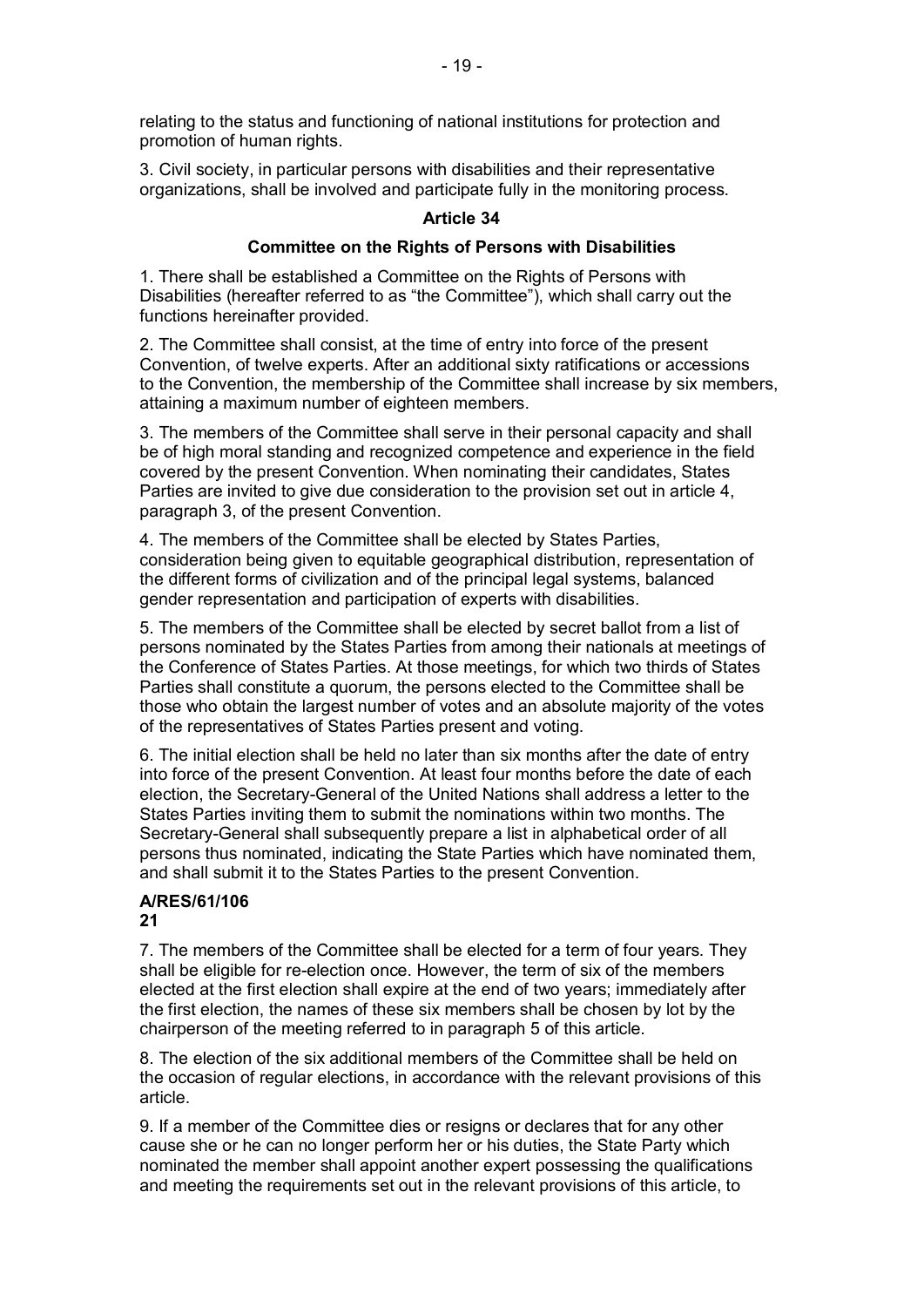relating to the status and functioning of national institutions for protection and promotion of human rights.

3. Civil society, in particular persons with disabilities and their representative organizations, shall be involved and participate fully in the monitoring process.

## **Article 34**

## **Committee on the Rights of Persons with Disabilities**

1. There shall be established a Committee on the Rights of Persons with Disabilities (hereafter referred to as "the Committee"), which shall carry out the functions hereinafter provided.

2. The Committee shall consist, at the time of entry into force of the present Convention, of twelve experts. After an additional sixty ratifications or accessions to the Convention, the membership of the Committee shall increase by six members, attaining a maximum number of eighteen members.

3. The members of the Committee shall serve in their personal capacity and shall be of high moral standing and recognized competence and experience in the field covered by the present Convention. When nominating their candidates, States Parties are invited to give due consideration to the provision set out in article 4, paragraph 3, of the present Convention.

4. The members of the Committee shall be elected by States Parties, consideration being given to equitable geographical distribution, representation of the different forms of civilization and of the principal legal systems, balanced gender representation and participation of experts with disabilities.

5. The members of the Committee shall be elected by secret ballot from a list of persons nominated by the States Parties from among their nationals at meetings of the Conference of States Parties. At those meetings, for which two thirds of States Parties shall constitute a quorum, the persons elected to the Committee shall be those who obtain the largest number of votes and an absolute majority of the votes of the representatives of States Parties present and voting.

6. The initial election shall be held no later than six months after the date of entry into force of the present Convention. At least four months before the date of each election, the Secretary-General of the United Nations shall address a letter to the States Parties inviting them to submit the nominations within two months. The Secretary-General shall subsequently prepare a list in alphabetical order of all persons thus nominated, indicating the State Parties which have nominated them, and shall submit it to the States Parties to the present Convention.

# **A/RES/61/106**

### **21**

7. The members of the Committee shall be elected for a term of four years. They shall be eligible for re-election once. However, the term of six of the members elected at the first election shall expire at the end of two years; immediately after the first election, the names of these six members shall be chosen by lot by the chairperson of the meeting referred to in paragraph 5 of this article.

8. The election of the six additional members of the Committee shall be held on the occasion of regular elections, in accordance with the relevant provisions of this article.

9. If a member of the Committee dies or resigns or declares that for any other cause she or he can no longer perform her or his duties, the State Party which nominated the member shall appoint another expert possessing the qualifications and meeting the requirements set out in the relevant provisions of this article, to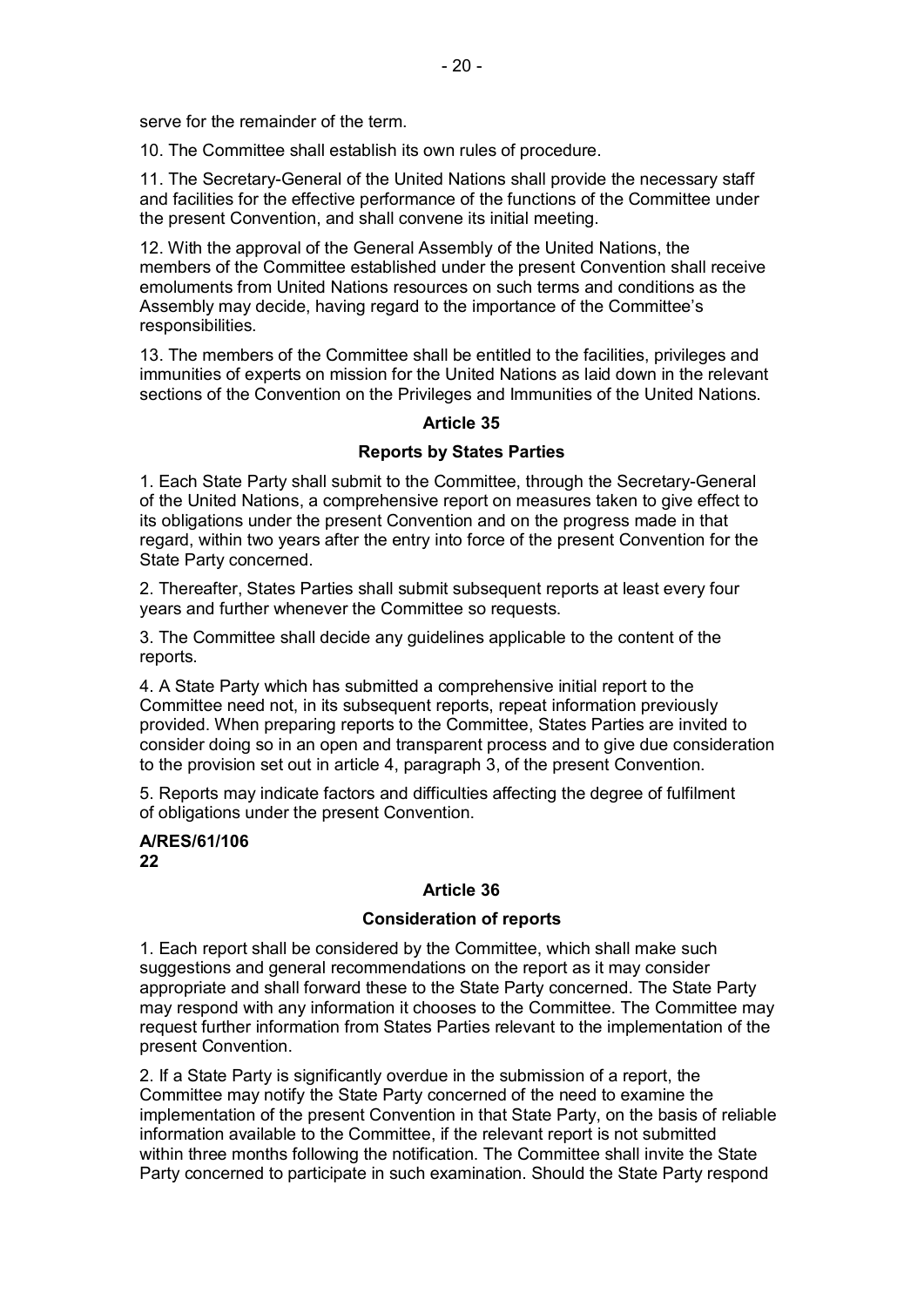serve for the remainder of the term.

10. The Committee shall establish its own rules of procedure.

11. The Secretary-General of the United Nations shall provide the necessary staff and facilities for the effective performance of the functions of the Committee under the present Convention, and shall convene its initial meeting.

12. With the approval of the General Assembly of the United Nations, the members of the Committee established under the present Convention shall receive emoluments from United Nations resources on such terms and conditions as the Assembly may decide, having regard to the importance of the Committee's responsibilities.

13. The members of the Committee shall be entitled to the facilities, privileges and immunities of experts on mission for the United Nations as laid down in the relevant sections of the Convention on the Privileges and Immunities of the United Nations.

#### **Article 35**

# **Reports by States Parties**

1. Each State Party shall submit to the Committee, through the Secretary-General of the United Nations, a comprehensive report on measures taken to give effect to its obligations under the present Convention and on the progress made in that regard, within two years after the entry into force of the present Convention for the State Party concerned.

2. Thereafter, States Parties shall submit subsequent reports at least every four years and further whenever the Committee so requests.

3. The Committee shall decide any guidelines applicable to the content of the reports.

4. A State Party which has submitted a comprehensive initial report to the Committee need not, in its subsequent reports, repeat information previously provided. When preparing reports to the Committee, States Parties are invited to consider doing so in an open and transparent process and to give due consideration to the provision set out in article 4, paragraph 3, of the present Convention.

5. Reports may indicate factors and difficulties affecting the degree of fulfilment of obligations under the present Convention.

### **A/RES/61/106 22**

### **Article 36**

#### **Consideration of reports**

1. Each report shall be considered by the Committee, which shall make such suggestions and general recommendations on the report as it may consider appropriate and shall forward these to the State Party concerned. The State Party may respond with any information it chooses to the Committee. The Committee may request further information from States Parties relevant to the implementation of the present Convention.

2. If a State Party is significantly overdue in the submission of a report, the Committee may notify the State Party concerned of the need to examine the implementation of the present Convention in that State Party, on the basis of reliable information available to the Committee, if the relevant report is not submitted within three months following the notification. The Committee shall invite the State Party concerned to participate in such examination. Should the State Party respond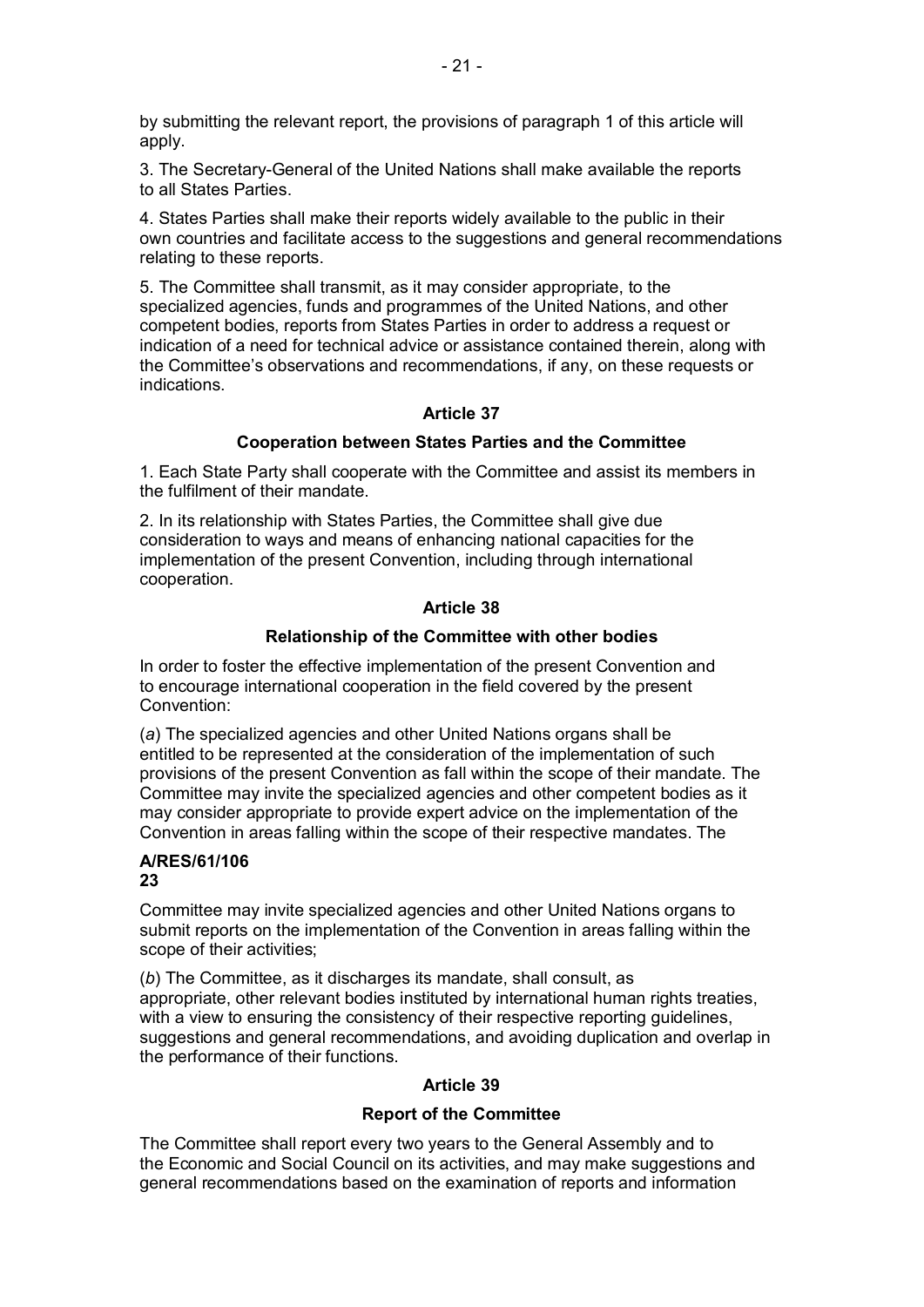by submitting the relevant report, the provisions of paragraph 1 of this article will apply.

3. The Secretary-General of the United Nations shall make available the reports to all States Parties.

4. States Parties shall make their reports widely available to the public in their own countries and facilitate access to the suggestions and general recommendations relating to these reports.

5. The Committee shall transmit, as it may consider appropriate, to the specialized agencies, funds and programmes of the United Nations, and other competent bodies, reports from States Parties in order to address a request or indication of a need for technical advice or assistance contained therein, along with the Committee's observations and recommendations, if any, on these requests or indications.

# **Article 37**

## **Cooperation between States Parties and the Committee**

1. Each State Party shall cooperate with the Committee and assist its members in the fulfilment of their mandate.

2. In its relationship with States Parties, the Committee shall give due consideration to ways and means of enhancing national capacities for the implementation of the present Convention, including through international cooperation.

# **Article 38**

## **Relationship of the Committee with other bodies**

In order to foster the effective implementation of the present Convention and to encourage international cooperation in the field covered by the present Convention:

(*a*) The specialized agencies and other United Nations organs shall be entitled to be represented at the consideration of the implementation of such provisions of the present Convention as fall within the scope of their mandate. The Committee may invite the specialized agencies and other competent bodies as it may consider appropriate to provide expert advice on the implementation of the Convention in areas falling within the scope of their respective mandates. The

#### **A/RES/61/106 23**

Committee may invite specialized agencies and other United Nations organs to submit reports on the implementation of the Convention in areas falling within the scope of their activities:

(*b*) The Committee, as it discharges its mandate, shall consult, as appropriate, other relevant bodies instituted by international human rights treaties, with a view to ensuring the consistency of their respective reporting guidelines, suggestions and general recommendations, and avoiding duplication and overlap in the performance of their functions.

### **Article 39**

# **Report of the Committee**

The Committee shall report every two years to the General Assembly and to the Economic and Social Council on its activities, and may make suggestions and general recommendations based on the examination of reports and information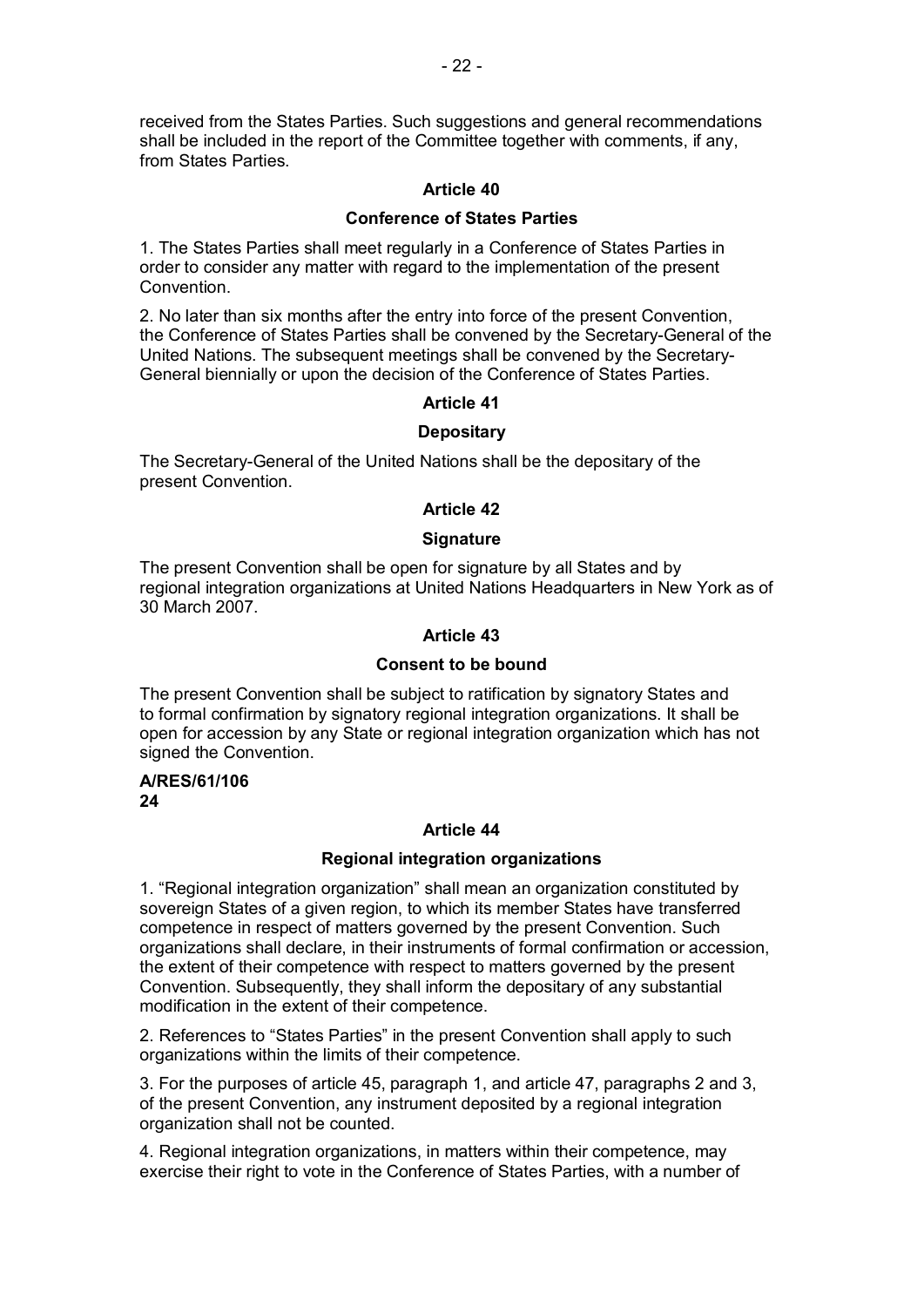received from the States Parties. Such suggestions and general recommendations shall be included in the report of the Committee together with comments, if any, from States Parties.

### **Article 40**

## **Conference of States Parties**

1. The States Parties shall meet regularly in a Conference of States Parties in order to consider any matter with regard to the implementation of the present Convention.

2. No later than six months after the entry into force of the present Convention, the Conference of States Parties shall be convened by the Secretary-General of the United Nations. The subsequent meetings shall be convened by the Secretary-General biennially or upon the decision of the Conference of States Parties.

## **Article 41**

## **Depositary**

The Secretary-General of the United Nations shall be the depositary of the present Convention.

## **Article 42**

## **Signature**

The present Convention shall be open for signature by all States and by regional integration organizations at United Nations Headquarters in New York as of 30 March 2007.

## **Article 43**

### **Consent to be bound**

The present Convention shall be subject to ratification by signatory States and to formal confirmation by signatory regional integration organizations. It shall be open for accession by any State or regional integration organization which has not signed the Convention.

## **A/RES/61/106 24**

## **Article 44**

### **Regional integration organizations**

1. "Regional integration organization" shall mean an organization constituted by sovereign States of a given region, to which its member States have transferred competence in respect of matters governed by the present Convention. Such organizations shall declare, in their instruments of formal confirmation or accession, the extent of their competence with respect to matters governed by the present Convention. Subsequently, they shall inform the depositary of any substantial modification in the extent of their competence.

2. References to "States Parties" in the present Convention shall apply to such organizations within the limits of their competence.

3. For the purposes of article 45, paragraph 1, and article 47, paragraphs 2 and 3, of the present Convention, any instrument deposited by a regional integration organization shall not be counted.

4. Regional integration organizations, in matters within their competence, may exercise their right to vote in the Conference of States Parties, with a number of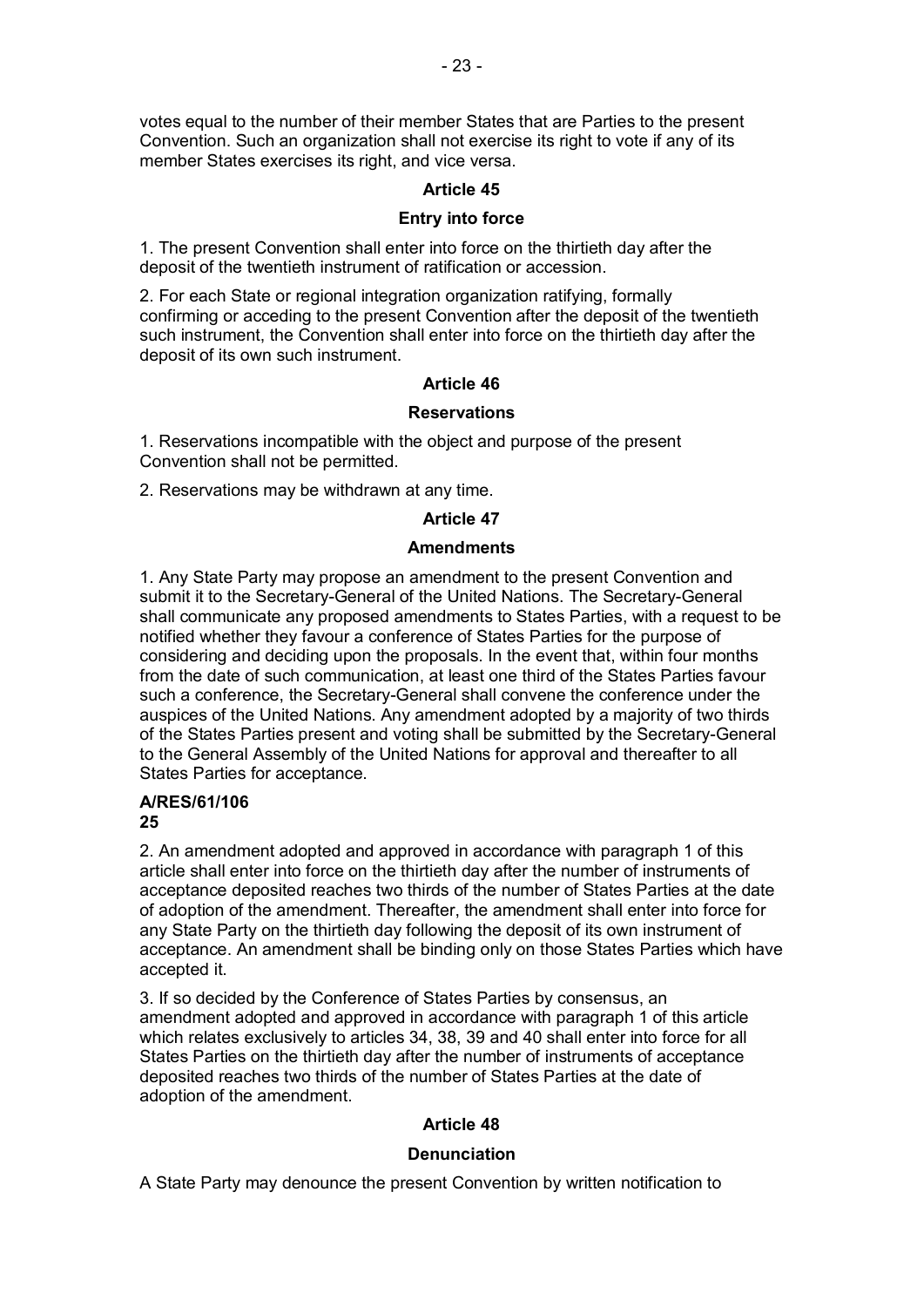votes equal to the number of their member States that are Parties to the present Convention. Such an organization shall not exercise its right to vote if any of its member States exercises its right, and vice versa.

# **Article 45**

## **Entry into force**

1. The present Convention shall enter into force on the thirtieth day after the deposit of the twentieth instrument of ratification or accession.

2. For each State or regional integration organization ratifying, formally confirming or acceding to the present Convention after the deposit of the twentieth such instrument, the Convention shall enter into force on the thirtieth day after the deposit of its own such instrument.

# **Article 46**

### **Reservations**

1. Reservations incompatible with the object and purpose of the present Convention shall not be permitted.

2. Reservations may be withdrawn at any time.

# **Article 47**

## **Amendments**

1. Any State Party may propose an amendment to the present Convention and submit it to the Secretary-General of the United Nations. The Secretary-General shall communicate any proposed amendments to States Parties, with a request to be notified whether they favour a conference of States Parties for the purpose of considering and deciding upon the proposals. In the event that, within four months from the date of such communication, at least one third of the States Parties favour such a conference, the Secretary-General shall convene the conference under the auspices of the United Nations. Any amendment adopted by a majority of two thirds of the States Parties present and voting shall be submitted by the Secretary-General to the General Assembly of the United Nations for approval and thereafter to all States Parties for acceptance.

# **A/RES/61/106**

### **25**

2. An amendment adopted and approved in accordance with paragraph 1 of this article shall enter into force on the thirtieth day after the number of instruments of acceptance deposited reaches two thirds of the number of States Parties at the date of adoption of the amendment. Thereafter, the amendment shall enter into force for any State Party on the thirtieth day following the deposit of its own instrument of acceptance. An amendment shall be binding only on those States Parties which have accepted it.

3. If so decided by the Conference of States Parties by consensus, an amendment adopted and approved in accordance with paragraph 1 of this article which relates exclusively to articles 34, 38, 39 and 40 shall enter into force for all States Parties on the thirtieth day after the number of instruments of acceptance deposited reaches two thirds of the number of States Parties at the date of adoption of the amendment.

# **Article 48**

# **Denunciation**

A State Party may denounce the present Convention by written notification to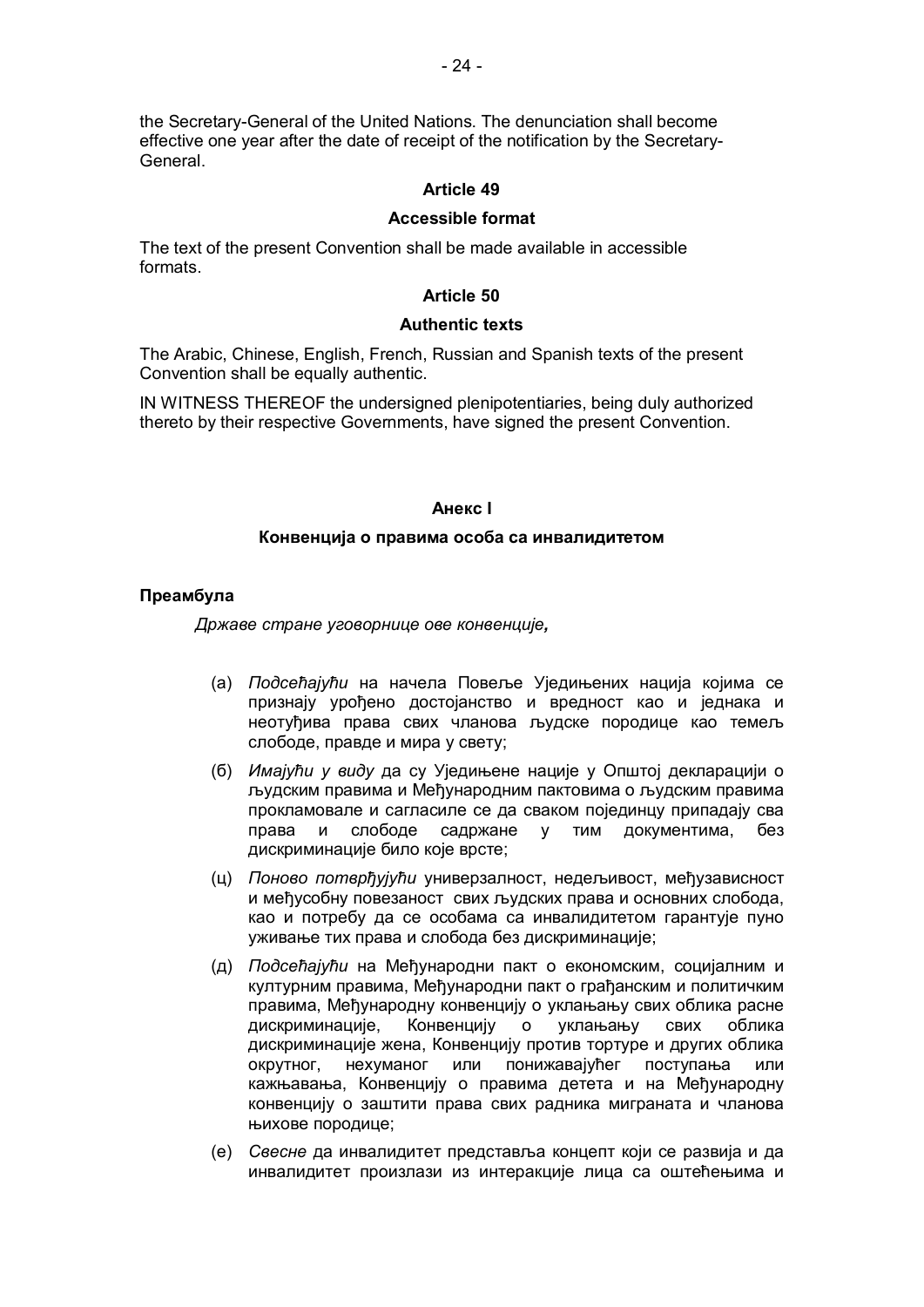the Secretary-General of the United Nations. The denunciation shall become effective one year after the date of receipt of the notification by the Secretary-General.

## **Article 49**

### **Accessible format**

The text of the present Convention shall be made available in accessible formats.

### **Article 50**

#### **Authentic texts**

The Arabic, Chinese, English, French, Russian and Spanish texts of the present Convention shall be equally authentic.

IN WITNESS THEREOF the undersigned plenipotentiaries, being duly authorized thereto by their respective Governments, have signed the present Convention.

### **Анекс I**

#### **Конвенција о правима особа са инвалидитетом**

### **Преамбула**

*Државе стране уговорнице ове конвенције,*

- (а) *Подсећајући* на начела Повеље Уједињених нација којима се признају урођено достојанство и вредност као и једнака и неотуђива права свих чланова људске породице као темељ слободе, правде и мира у свету;
- (б) *Имајући у виду* да су Уједињене нације у Општој декларацији о људским правима и Међународним пактовима о људским правима прокламовале и сагласиле се да сваком појединцу припадају сва права и слободе садржане у тим документима, без дискриминације било које врсте;
- (ц) *Поново потврђујући* универзалност, недељивост, међузависност и међусобну повезаност свих људских права и основних слобода, као и потребу да се особама са инвалидитетом гарантује пуно уживање тих права и слобода без дискриминације;
- (д) *Подсећајући* на Међународни пакт о економским, социјалним и културним правима, Међународни пакт о грађанским и политичким правима, Међународну конвенцију о уклањању свих облика расне дискриминације, Конвенцију о уклањању свих облика дискриминације жена, Конвенцију против тортуре и других облика окрутног, нехуманог или понижавајућег поступања или кажњавања, Конвенцију о правима детета и на Међународну конвенцију о заштити права свих радника миграната и чланова њихове породице;
- (е) *Свесне* да инвалидитет представља концепт који се развија и да инвалидитет произлази из интеракције лица са оштећењима и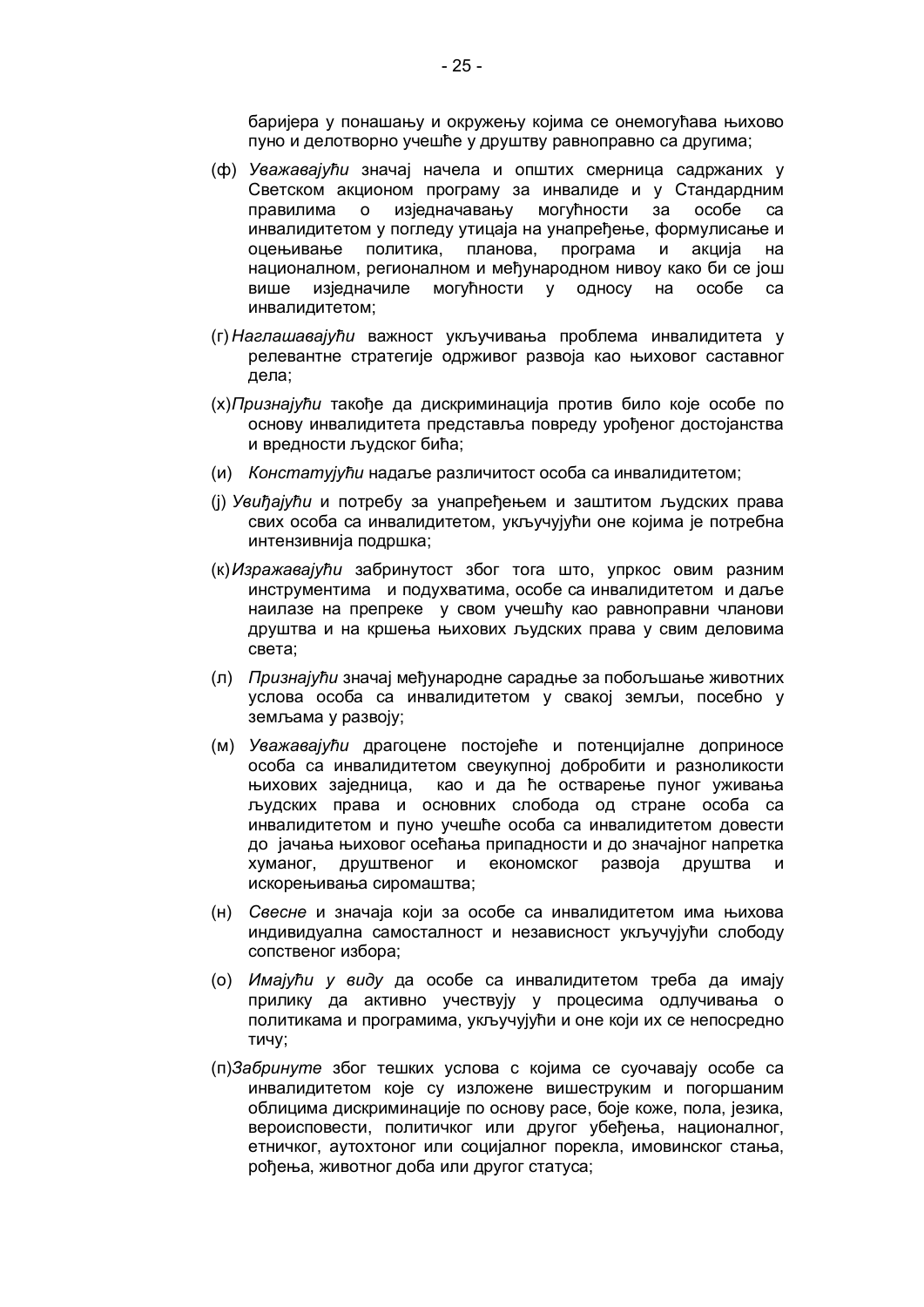баријера у понашању и окружењу којима се онемогућава њихово пуно и делотворно учешће у друштву равноправно са другима;

- (ф) *Уважавајући* значај начела и општих смерница садржаних у Светском акционом програму за инвалиде и у Стандардним правилима о изједначавању могућности за особе са инвалидитетом у погледу утицаја на унапређење, формулисање и оцењивање политика, планова, програма и акција на националном, регионалном и међународном нивоу како би се још више изједначиле могућности у односу на особе са инвалидитетом;
- (г) *Наглашавајући* важност укључивања проблема инвалидитета у релевантне стратегије одрживог развоја као њиховог саставног дела;
- (х)*Признајући* такође да дискриминација против било које особе по основу инвалидитета представља повреду урођеног достојанства и вредности људског бића;
- (и) *Констатујући* надаље различитост особа са инвалидитетом;
- (ј) *Увиђајући* и потребу за унапређењем и заштитом људских права свих особа са инвалидитетом, укључујући оне којима је потребна интензивнија подршка;
- (к)*Изражавајући* забринутост због тога што, упркос овим разним инструментима и подухватима, особе са инвалидитетом и даље наилазе на препреке у свом учешћу као равноправни чланови друштва и на кршења њихових људских права у свим деловима света;
- (л) *Признајући* значај међународне сарадње за побољшање животних услова особа са инвалидитетом у свакој земљи, посебно у земљама у развоју;
- (м) *Уважавајући* драгоцене постојеће и потенцијалне доприносе особа са инвалидитетом свеукупној добробити и разноликости њихових заједница, као и да ће остварење пуног уживања људских права и основних слобода од стране особа са инвалидитетом и пуно учешће особа са инвалидитетом довести до јачања њиховог осећања припадности и до значајног напретка хуманог, друштвеног и економског развоја друштва и искорењивања сиромаштва;
- (н) *Свесне* и значаја који за особе са инвалидитетом има њихова индивидуална самосталност и независност укључујући слободу сопственог избора;
- (о) *Имајући у виду* да особе са инвалидитетом треба да имају прилику да активно учествују у процесима одлучивања о политикама и програмима, укључујући и оне који их се непосредно тичу;
- (п)*Забринуте* због тешких услова с којима се суочавају особе са инвалидитетом које су изложене вишеструким и погоршаним облицима дискриминације по основу расе, боје коже, пола, језика, вероисповести, политичког или другог убеђења, националног, етничког, аутохтоног или социјалног порекла, имовинског стања, рођења, животног доба или другог статуса;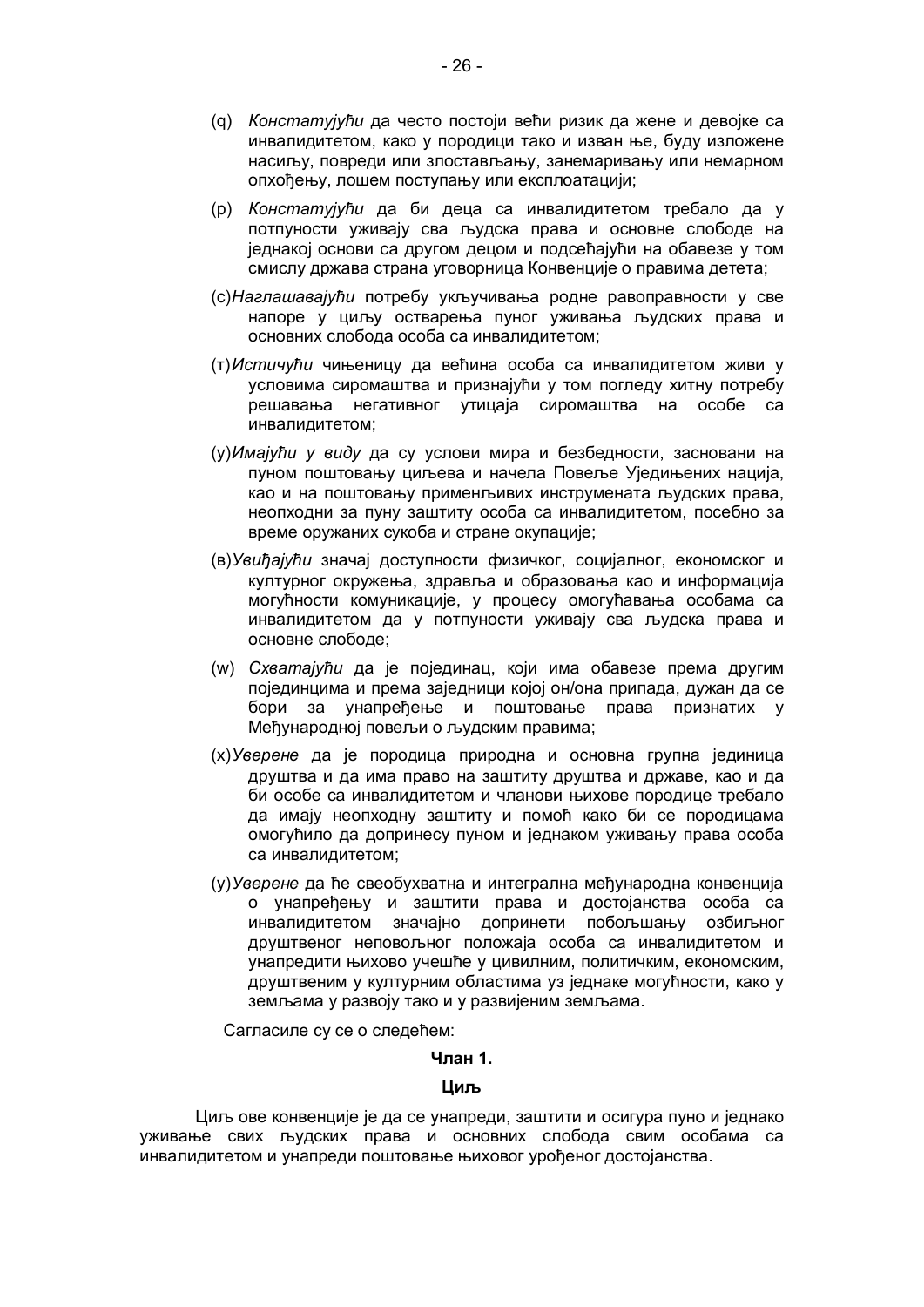- (q) *Констатујући* да често постоји већи ризик да жене и девојке са инвалидитетом, како у породици тако и изван ње, буду изложене насиљу, повреди или злостављању, занемаривању или немарном опхођењу, лошем поступању или експлоатацији;
- (р) *Констатујући* да би деца са инвалидитетом требало да у потпуности уживају сва људска права и основне слободе на једнакој основи са другом децом и подсећајући на обавезе у том смислу држава страна уговорница Конвенције о правима детета;
- (с)*Наглашавајући* потребу укључивања родне равоправности у све напоре у циљу остварења пуног уживања људских права и основних слобода особа са инвалидитетом;
- (т)*Истичући* чињеницу да већина особа са инвалидитетом живи у условима сиромаштва и признајући у том погледу хитну потребу решавања негативног утицаја сиромаштва на особе са инвалидитетом;
- (у)*Имајући у виду* да су услови мира и безбедности, засновани на пуном поштовању циљева и начела Повеље Уједињених нација, као и на поштовању применљивих инструмената људских права, неопходни за пуну заштиту особа са инвалидитетом, посебно за време оружаних сукоба и стране окупације;
- (в)*Увиђајући* значај доступности физичког, социјалног, економског и културног окружења, здравља и образовања као и информација могућности комуникације, у процесу омогућавања особама са инвалидитетом да у потпуности уживају сва људска права и основне слободе;
- (w) *Схватајући* да је појединац, који има обавезе према другим појединцима и према заједници којој он/она припада, дужан да се бори за унапређење и поштовање права признатих у Међународној повељи о људским правима;
- (х)*Уверене* да је породица природна и основна групна јединица друштва и да има право на заштиту друштва и државе, као и да би особе са инвалидитетом и чланови њихове породице требало да имају неопходну заштиту и помоћ како би се породицама омогућило да допринесу пуном и једнаком уживању права особа са инвалидитетом;
- (у)*Уверене* да ће свеобухватна и интегрална међународна конвенција о унапређењу и заштити права и достојанства особа са инвалидитетом значајно допринети побољшању озбиљног друштвеног неповољног положаја особа са инвалидитетом и унапредити њихово учешће у цивилним, политичким, економским, друштвеним у културним областима уз једнаке могућности, како у земљама у развоју тако и у развијеним земљама.

Сагласиле су се о следећем:

#### **Члан 1.**

#### **Циљ**

Циљ ове конвенције је да се унапреди, заштити и осигура пуно и једнако уживање свих људских права и основних слобода свим особама са инвалидитетом и унапреди поштовање њиховог урођеног достојанства.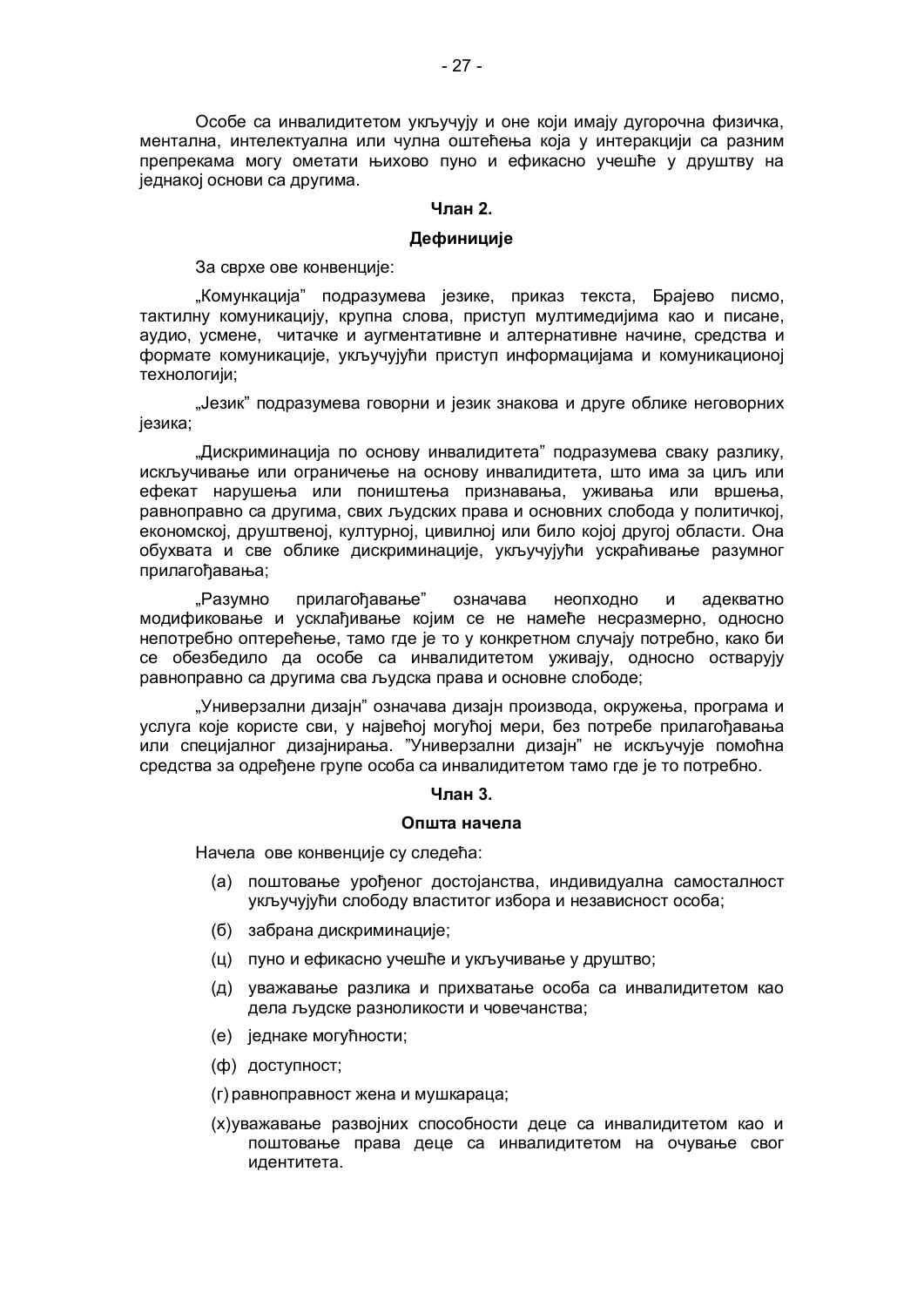Особе са инвалидитетом укључују и оне који имају дугорочна физичка, ментална, интелектуална или чулна оштећења која у интеракцији са разним препрекама могу ометати њихово пуно и ефикасно учешће у друштву на једнакој основи са другима.

#### **Члан 2.**

#### **Дефиниције**

За сврхе ове конвенције:

"Комункација" подразумева језике, приказ текста, Брајево писмо, тактилну комуникацију, крупна слова, приступ мултимедијима као и писане, аудио, усмене, читачке и аугментативне и алтернативне начине, средства и формате комуникације, укључујући приступ информацијама и комуникационој технологији;

"Језик" подразумева говорни и језик знакова и друге облике неговорних језика;

"Дискриминација по основу инвалидитета" подразумева сваку разлику, искључивање или ограничење на основу инвалидитета, што има за циљ или ефекат нарушења или поништења признавања, уживања или вршења, равноправно са другима, свих људских права и основних слобода у политичкој, економској, друштвеној, културној, цивилној или било којој другој области. Она обухвата и све облике дискриминације, укључујући ускраћивање разумног прилагођавања;

"Разумно прилагођавање" означава неопходно и адекватно модификовање и усклађивање којим се не намеће несразмерно, односно непотребно оптерећење, тамо где је то у конкретном случају потребно, како би се обезбедило да особе са инвалидитетом уживају, односно остварују равноправно са другима сва људска права и основне слободе;

"Универзални дизајн" означава дизајн производа, окружења, програма и услуга које користе сви, у највећој могућој мери, без потребе прилагођавања или специјалног дизајнирања. "Универзални дизајн" не искључује помоћна средства за одређене групе особа са инвалидитетом тамо где је то потребно.

#### **Члан 3.**

#### **Општа начела**

Начела ове конвенције су следећа:

- (а) поштовање урођеног достојанства, индивидуална самосталност укључујући слободу властитог избора и независност особа;
- (б) забрана дискриминације;
- (ц) пуно и ефикасно учешће и укључивање у друштво;
- (д) уважавање разлика и прихватање особа са инвалидитетом као дела људске разноликости и човечанства;
- (е) једнаке могућности;
- (ф) доступност;
- (г) равноправност жена и мушкараца;
- (х) уважавање развојних способности деце са инвалидитетом као и поштовање права деце са инвалидитетом на очување свог идентитета.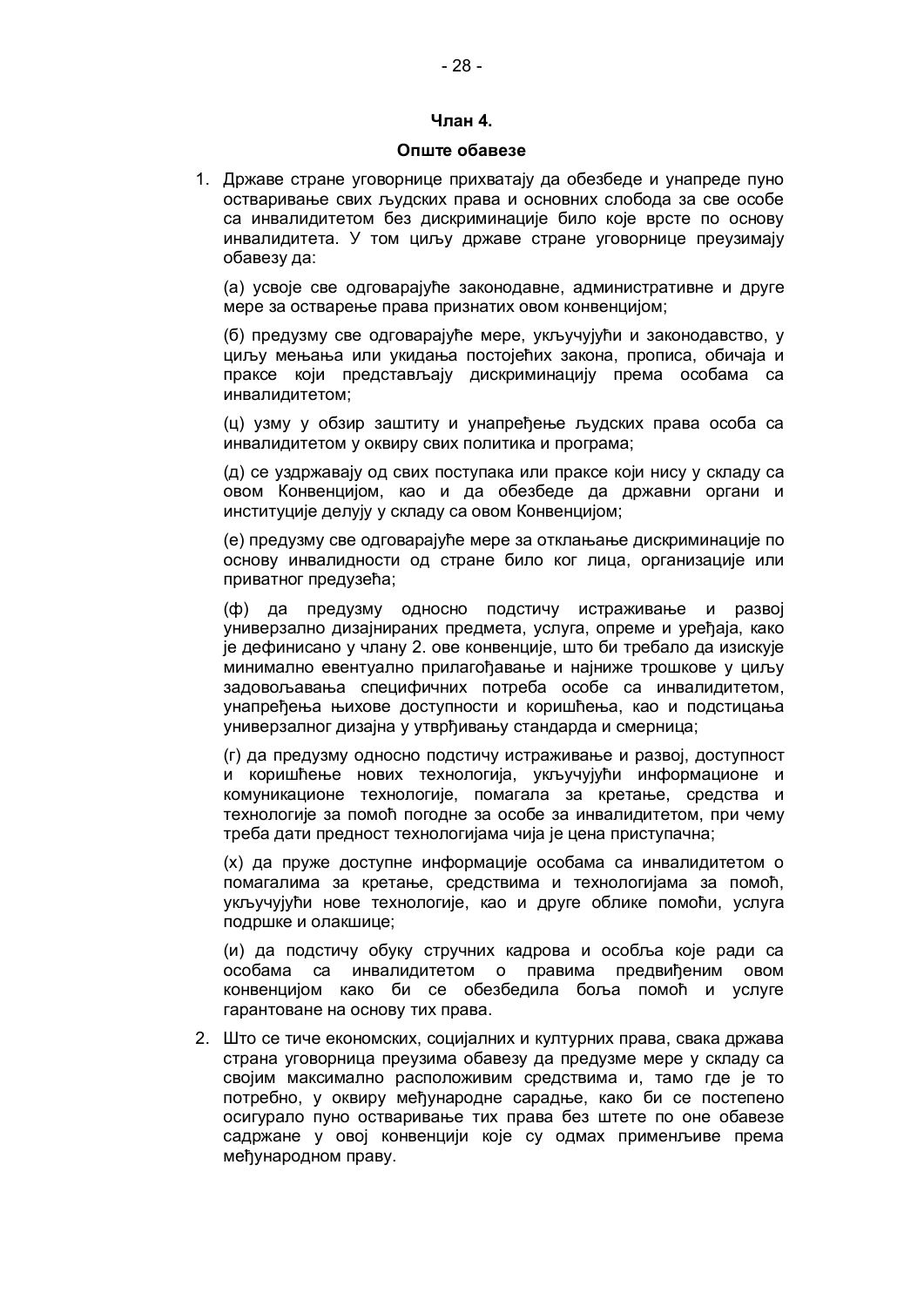#### **Члан 4.**

## **Опште обавезе**

1. Државе стране уговорнице прихватају да обезбеде и унапреде пуно остваривање свих људских права и основних слобода за све особе са инвалидитетом без дискриминације било које врсте по основу инвалидитета. У том циљу државе стране уговорнице преузимају обавезу да:

(а) усвоје све одговарајуће законодавне, административне и друге мере за остварење права признатих овом конвенцијом;

(б) предузму све одговарајуће мере, укључујући и законодавство, у циљу мењања или укидања постојећих закона, прописа, обичаја и праксе који представљају дискриминацију према особама са инвалидитетом;

(ц) узму у обзир заштиту и унапређење људских права особа са инвалидитетом у оквиру свих политика и програма;

(д) се уздржавају од свих поступака или праксе који нису у складу са овом Конвенцијом, као и да обезбеде да државни органи и институције делују у складу са овом Конвенцијом;

(е) предузму све одговарајуће мере за отклањање дискриминације по основу инвалидности од стране било ког лица, организације или приватног предузећа;

(ф) да предузму односно подстичу истраживање и развој универзално дизајнираних предмета, услуга, опреме и уређаја, како је дефинисано у члану 2. ове конвенције, што би требало да изискује минимално евентуално прилагођавање и најниже трошкове у циљу задовољавања специфичних потреба особе са инвалидитетом, унапређења њихове доступности и коришћења, као и подстицања универзалног дизајна у утврђивању стандарда и смерница;

(г) да предузму односно подстичу истраживање и развој, доступност и коришћење нових технологија, укључујући информационе и комуникационе технологије, помагала за кретање, средства и технологије за помоћ погодне за особе за инвалидитетом, при чему треба дати предност технологијама чија је цена приступачна;

(х) да пруже доступне информације особама са инвалидитетом о помагалима за кретање, средствима и технологијама за помоћ, укључујући нове технологије, као и друге облике помоћи, услуга подршке и олакшице;

(и) да подстичу обуку стручних кадрова и особља које ради са особама са инвалидитетом о правима предвиђеним овом конвенцијом како би се обезбедила боља помоћ и услуге гарантоване на основу тих права.

2. Што се тиче економских, социјалних и културних права, свака држава страна уговорница преузима обавезу да предузме мере у складу са својим максимално расположивим средствима и, тамо где је то потребно, у оквиру међународне сарадње, како би се постепено осигурало пуно остваривање тих права без штете по оне обавезе садржане у овој конвенцији које су одмах применљиве према међународном праву.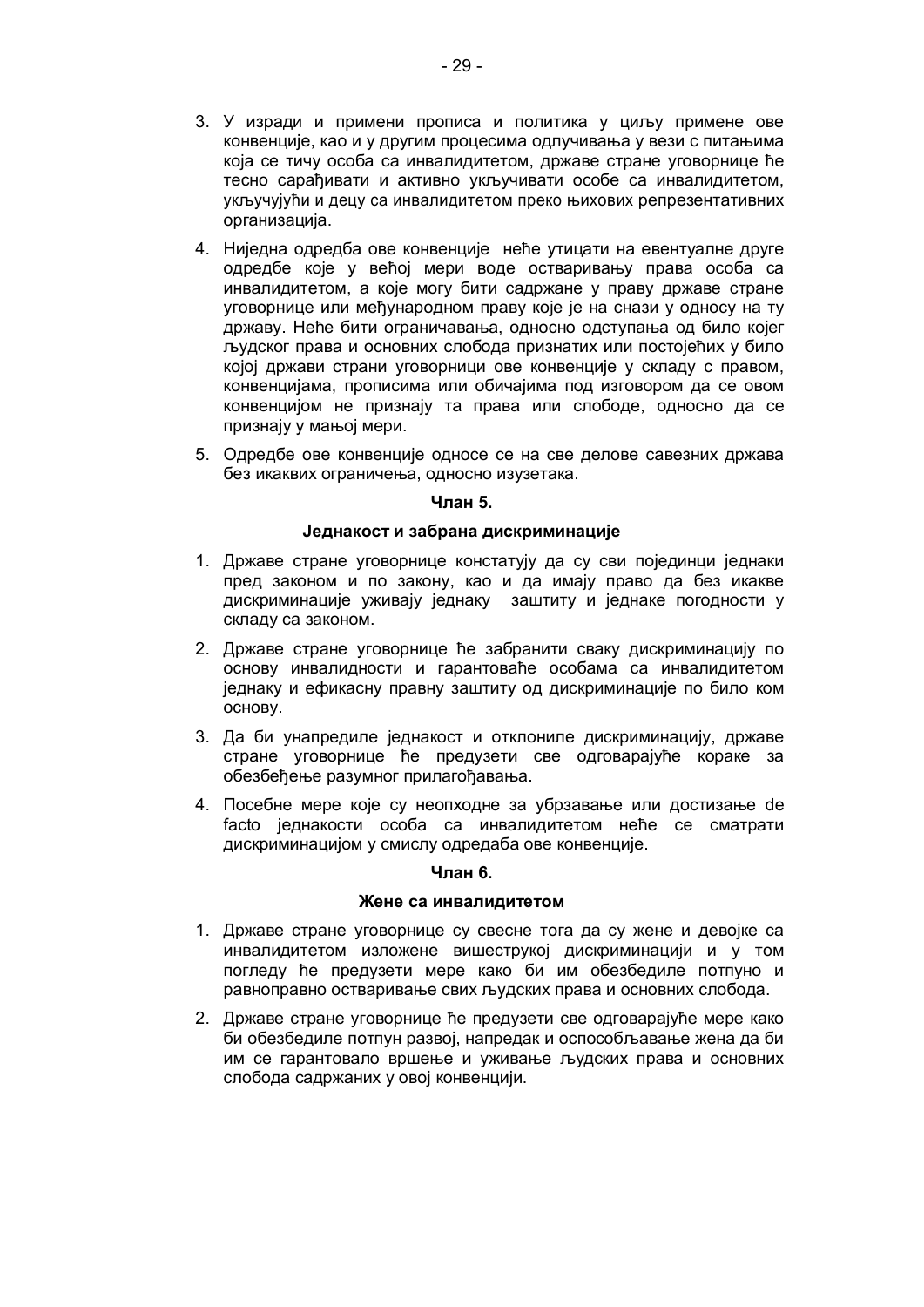- 3. У изради и примени прописа и политика у циљу примене ове конвенције, као и у другим процесима одлучивања у вези с питањима која се тичу особа са инвалидитетом, државе стране уговорнице ће тесно сарађивати и активно укључивати особе са инвалидитетом, укључујући и децу са инвалидитетом преко њихових репрезентативних организација.
- 4. Ниједна одредба ове конвенције неће утицати на евентуалне друге одредбе које у већој мери воде остваривању права особа са инвалидитетом, а које могу бити садржане у праву државе стране уговорнице или међународном праву које је на снази у односу на ту државу. Неће бити ограничавања, односно одступања од било којег људског права и основних слобода признатих или постојећих у било којој држави страни уговорници ове конвенције у складу с правом, конвенцијама, прописима или обичајима под изговором да се овом конвенцијом не признају та права или слободе, односно да се признају у мањој мери.
- 5. Одредбе ове конвенције односе се на све делове савезних држава без икаквих ограничења, односно изузетака.

## **Члан 5.**

## **Једнакост и забрана дискриминације**

- 1. Државе стране уговорнице констатују да су сви појединци једнаки пред законом и по закону, као и да имају право да без икакве дискриминације уживају једнаку заштиту и једнаке погодности у складу са законом.
- 2. Државе стране уговорнице ће забранити сваку дискриминацију по основу инвалидности и гарантоваће особама са инвалидитетом једнаку и ефикасну правну заштиту од дискриминације по било ком основу.
- 3. Да би унапредиле једнакост и отклониле дискриминацију, државе стране уговорнице ће предузети све одговарајуће кораке за обезбеђење разумног прилагођавања.
- 4. Посебне мере које су неопходне за убрзавање или достизање de facto једнакости особа са инвалидитетом неће се сматрати дискриминацијом у смислу одредаба ове конвенције.

### **Члан 6.**

### **Жене са инвалидитетом**

- 1. Државе стране уговорнице су свесне тога да су жене и девојке са инвалидитетом изложене вишеструкој дискриминацији и у том погледу ће предузети мере како би им обезбедиле потпуно и равноправно остваривање свих људских права и основних слобода.
- 2. Државе стране уговорнице ће предузети све одговарајуће мере како би обезбедиле потпун развој, напредак и оспособљавање жена да би им се гарантовало вршење и уживање људских права и основних слобода садржаних у овој конвенцији.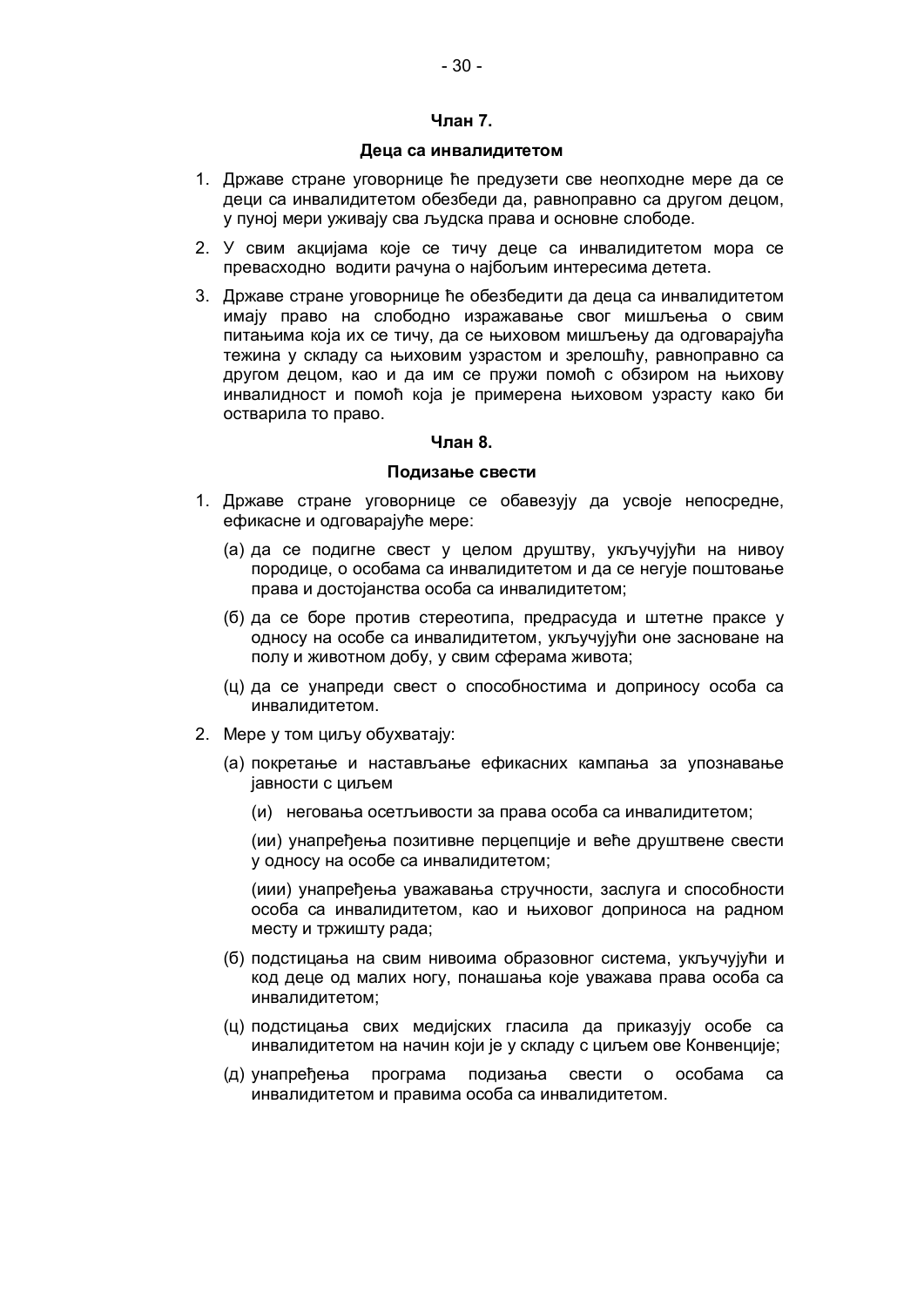## **Члан 7.**

#### **Деца са инвалидитетом**

- 1. Државе стране уговорнице ће предузети све неопходне мере да се деци са инвалидитетом обезбеди да, равноправно са другом децом, у пуној мери уживају сва људска права и основне слободе.
- 2. У свим акцијама које се тичу деце са инвалидитетом мора се превасходно водити рачуна о најбољим интересима детета.
- 3. Државе стране уговорнице ће обезбедити да деца са инвалидитетом имају право на слободно изражавање свог мишљења о свим питањима која их се тичу, да се њиховом мишљењу да одговарајућа тежина у складу са њиховим узрастом и зрелошћу, равноправно са другом децом, као и да им се пружи помоћ с обзиром на њихову инвалидност и помоћ која је примерена њиховом узрасту како би остварила то право.

#### **Члан 8.**

#### **Подизање свести**

- 1. Државе стране уговорнице се обавезују да усвоје непосредне, ефикасне и одговарајуће мере:
	- (а) да се подигне свест у целом друштву, укључујући на нивоу породице, о особама са инвалидитетом и да се негује поштовање права и достојанства особа са инвалидитетом;
	- (б) да се боре против стереотипа, предрасуда и штетне праксе у односу на особе са инвалидитетом, укључујући оне засноване на полу и животном добу, у свим сферама живота;
	- (ц) да се унапреди свест о способностима и доприносу особа са инвалидитетом.
- 2. Мере у том циљу обухватају:
	- (а) покретање и настављање ефикасних кампања за упознавање јавности с циљем
		- (и) неговања осетљивости за права особа са инвалидитетом;

(ии) унапређења позитивне перцепције и веће друштвене свести у односу на особе са инвалидитетом;

(иии) унапређења уважавања стручности, заслуга и способности особа са инвалидитетом, као и њиховог доприноса на радном месту и тржишту рада;

- (б) подстицања на свим нивоима образовног система, укључујући и код деце од малих ногу, понашања које уважава права особа са инвалидитетом;
- (ц) подстицања свих медијских гласила да приказују особе са инвалидитетом на начин који је у складу с циљем ове Конвенције;
- (д) унапређења програма подизања свести о особама са инвалидитетом и правима особа са инвалидитетом.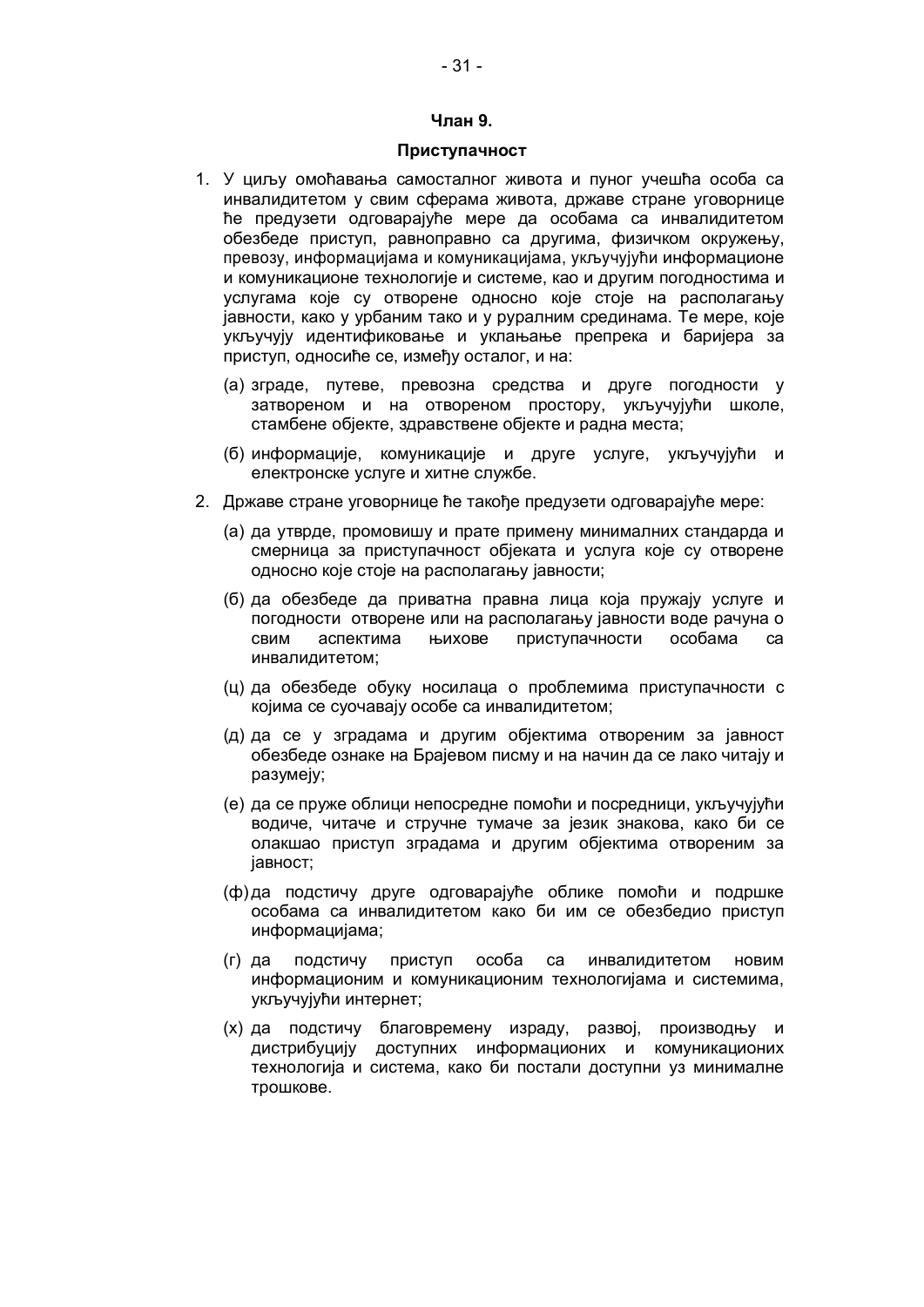## **Члан 9.**

#### **Приступачност**

- 1. У циљу омоћавања самосталног живота и пуног учешћа особа са инвалидитетом у свим сферама живота, државе стране уговорнице ће предузети одговарајуће мере да особама са инвалидитетом обезбеде приступ, равноправно са другима, физичком окружењу, превозу, информацијама и комуникацијама, укључујући информационе и комуникационе технологије и системе, као и другим погодностима и услугама које су отворене односно које стоје на располагању јавности, како у урбаним тако и у руралним срединама. Те мере, које укључују идентификовање и уклањање препрека и баријера за приступ, односиће се, између осталог, и на:
	- (а) зграде, путеве, превозна средства и друге погодности у затвореном и на отвореном простору, укључујући школе, стамбене објекте, здравствене објекте и радна места;
	- (б) информације, комуникације и друге услуге, укључујући и електронске услуге и хитне службе.
- 2. Државе стране уговорнице ће такође предузети одговарајуће мере:
	- (а) да утврде, промовишу и прате примену минималних стандарда и смерница за приступачност објеката и услуга које су отворене односно које стоје на располагању јавности;
	- (б) да обезбеде да приватна правна лица која пружају услуге и погодности отворене или на располагању јавности воде рачуна о свим аспектима њихове приступачности особама са инвалидитетом;
	- (ц) да обезбеде обуку носилаца о проблемима приступачности с којима се суочавају особе са инвалидитетом;
	- (д) да се у зградама и другим објектима отвореним за јавност обезбеде ознаке на Брајевом писму и на начин да се лако читају и разумеју;
	- (е) да се пруже облици непосредне помоћи и посредници, укључујући водиче, читаче и стручне тумаче за језик знакова, како би се олакшао приступ зградама и другим објектима отвореним за јавност;
	- (ф) да подстичу друге одговарајуће облике помоћи и подршке особама са инвалидитетом како би им се обезбедио приступ информацијама;
	- (г) да подстичу приступ особа са инвалидитетом новим информационим и комуникационим технологијама и системима, укључујући интернет;
	- (х) да подстичу благовремену израду, развој, производњу и дистрибуцију доступних информационих и комуникационих технологија и система, како би постали доступни уз минималне трошкове.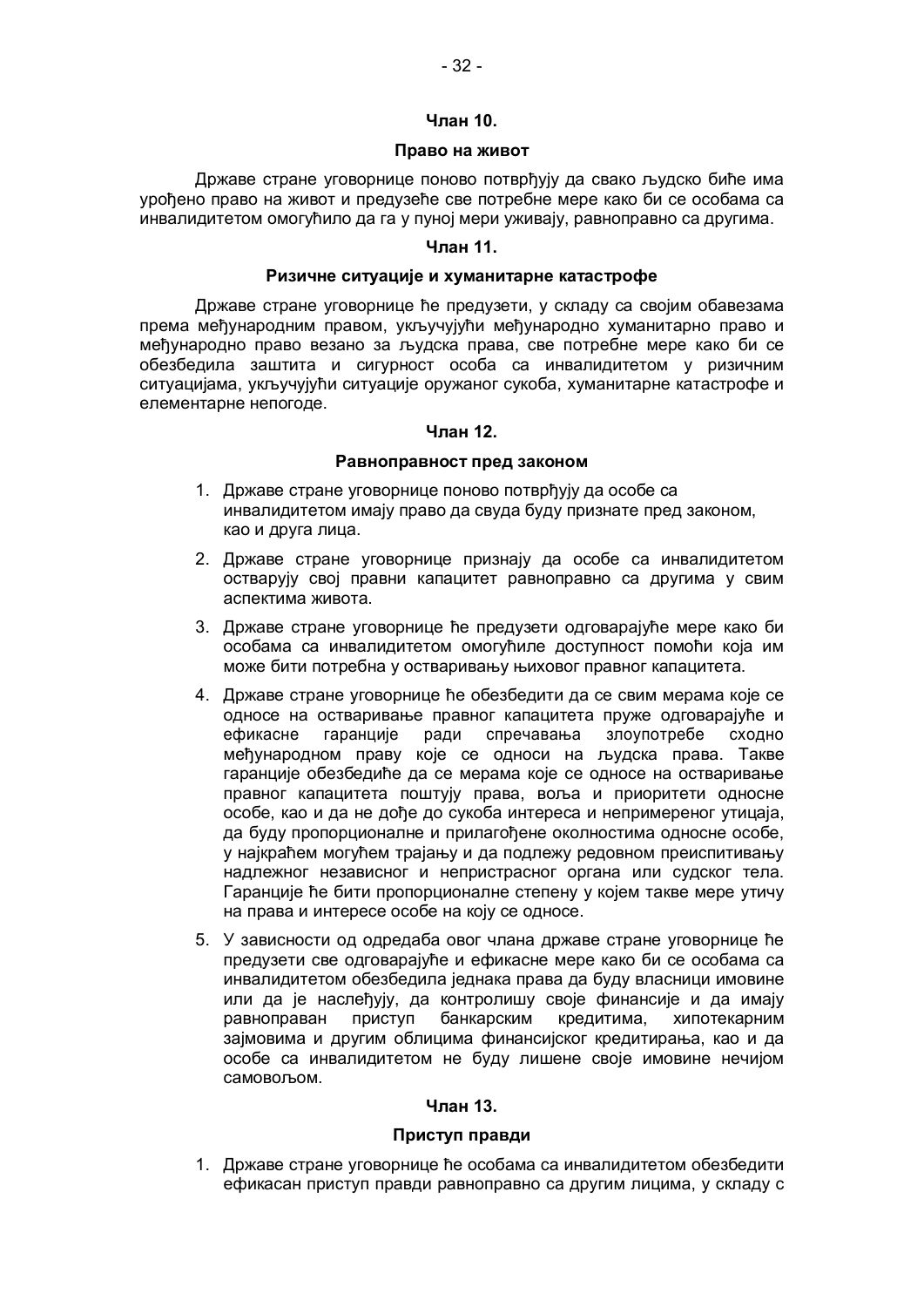## **Члан 10.**

#### **Право на живот**

Државе стране уговорнице поново потврђују да свако људско биће има урођено право на живот и предузеће све потребне мере како би се особама са инвалидитетом омогућило да га у пуној мери уживају, равноправно са другима.

# **Члан 11.**

## **Ризичне ситуације и хуманитарне катастрофе**

Државе стране уговорнице ће предузети, у складу са својим обавезама према међународним правом, укључујући међународно хуманитарно право и међународно право везано за људска права, све потребне мере како би се обезбедила заштита и сигурност особа са инвалидитетом у ризичним ситуацијама, укључујући ситуације оружаног сукоба, хуманитарне катастрофе и елементарне непогоде.

#### **Члан 12.**

## **Равноправност пред законом**

- 1. Државе стране уговорнице поново потврђују да особе са инвалидитетом имају право да свуда буду признате пред законом, као и друга лица.
- 2. Државе стране уговорнице признају да особе са инвалидитетом остварују свој правни капацитет равноправно са другима у свим аспектима живота.
- 3. Државе стране уговорнице ће предузети одговарајуће мере како би особама са инвалидитетом омогућиле доступност помоћи која им може бити потребна у остваривању њиховог правног капацитета.
- 4. Државе стране уговорнице ће обезбедити да се свим мерама које се односе на остваривање правног капацитета пруже одговарајуће и ефикасне гаранције ради спречавања злоупотребе сходно међународном праву које се односи на људска права. Такве гаранције обезбедиће да се мерама које се односе на остваривање правног капацитета поштују права, воља и приоритети односне особе, као и да не дође до сукоба интереса и непримереног утицаја, да буду пропорционалне и прилагођене околностима односне особе, у најкраћем могућем трајању и да подлежу редовном преиспитивању надлежног независног и непристрасног органа или судског тела. Гаранције ће бити пропорционалне степену у којем такве мере утичу на права и интересе особе на коју се односе.
- 5. У зависности од одредаба овог члана државе стране уговорнице ће предузети све одговарајуће и ефикасне мере како би се особама са инвалидитетом обезбедила једнака права да буду власници имовине или да је наслеђују, да контролишу своје финансије и да имају равноправан приступ банкарским кредитима, хипотекарним зајмовима и другим облицима финансијског кредитирања, као и да особе са инвалидитетом не буду лишене своје имовине нечијом самовољом.

### **Члан 13.**

## **Приступ правди**

1. Државе стране уговорнице ће особама са инвалидитетом обезбедити ефикасан приступ правди равноправно са другим лицима, у складу с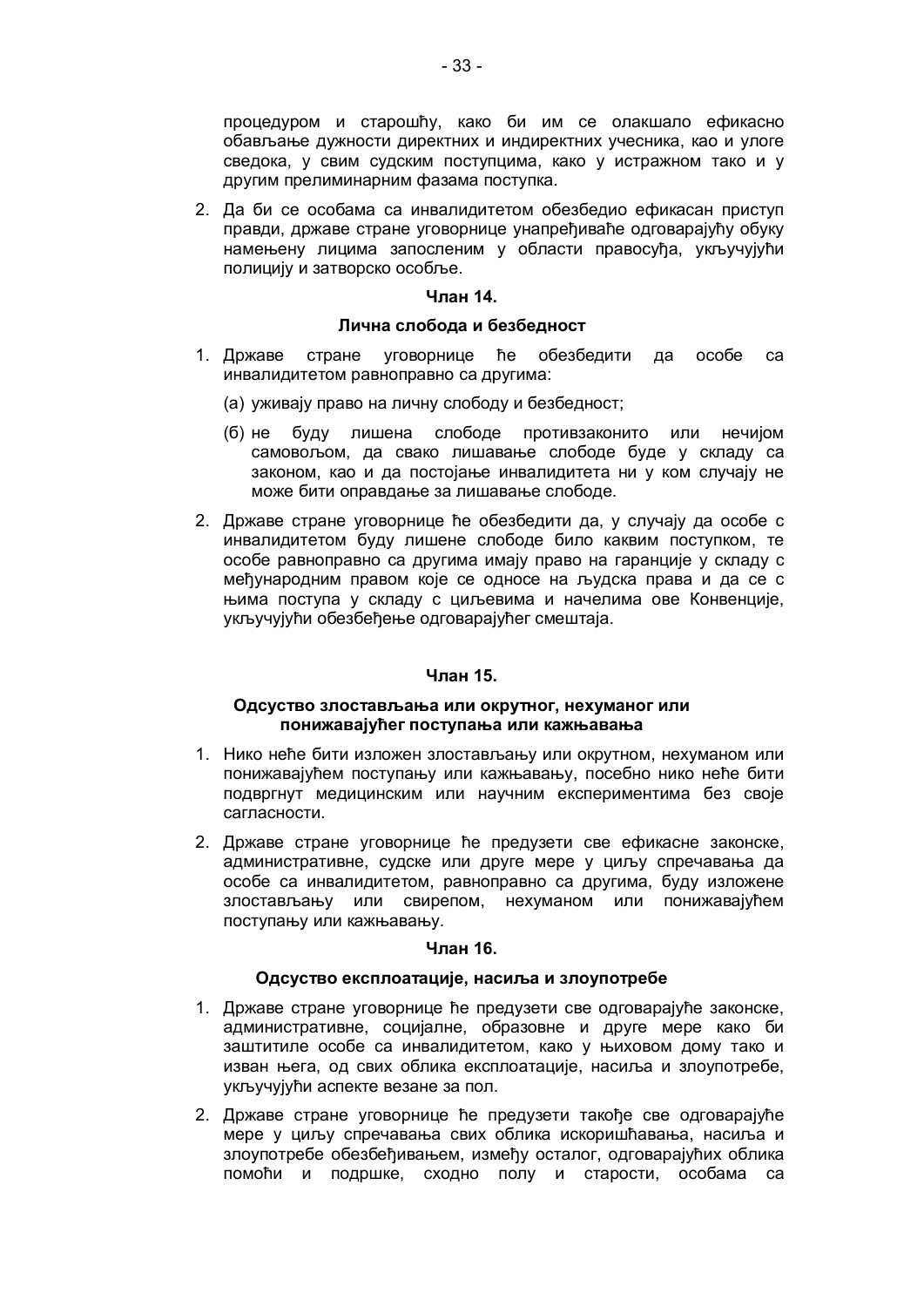процедуром и старошћу, како би им се олакшало ефикасно обављање дужности директних и индиректних учесника, као и улоге сведока, у свим судским поступцима, како у истражном тако и у другим прелиминарним фазама поступка.

2. Да би се особама са инвалидитетом обезбедио ефикасан приступ правди, државе стране уговорнице унапређиваће одговарајућу обуку намењену лицима запосленим у области правосуђа, укључујући полицију и затворско особље.

#### **Члан 14.**

#### **Лична слобода и безбедност**

- 1. Државе стране уговорнице ће обезбедити да особе са инвалидитетом равноправно са другима:
	- (а) уживају право на личну слободу и безбедност;
	- (б) не буду лишена слободе противзаконито или нечијом самовољом, да свако лишавање слободе буде у складу са законом, као и да постојање инвалидитета ни у ком случају не може бити оправдање за лишавање слободе.
- 2. Државе стране уговорнице ће обезбедити да, у случају да особе с инвалидитетом буду лишене слободе било каквим поступком, те особе равноправно са другима имају право на гаранције у складу с међународним правом које се односе на људска права и да се с њима поступа у складу с циљевима и начелима ове Конвенције, укључујући обезбеђење одговарајућег смештаја.

### **Члан 15.**

#### **Одсуство злостављања или окрутног, нехуманог или понижавајућег поступања или кажњавања**

- 1. Нико неће бити изложен злостављању или окрутном, нехуманом или понижавајућем поступању или кажњавању, посебно нико неће бити подвргнут медицинским или научним експериментима без своје сагласности.
- 2. Државе стране уговорнице ће предузети све ефикасне законске, административне, судске или друге мере у циљу спречавања да особе са инвалидитетом, равноправно са другима, буду изложене злостављању или свирепом, нехуманом или понижавајућем поступању или кажњавању.

#### **Члан 16.**

#### **Одсуство експлоатације, насиља и злоупотребе**

- 1. Државе стране уговорнице ће предузети све одговарајуће законске, административне, социјалне, образовне и друге мере како би заштитиле особе са инвалидитетом, како у њиховом дому тако и изван њега, од свих облика експлоатације, насиља и злоупотребе, укључујући аспекте везане за пол.
- 2. Државе стране уговорнице ће предузети такође све одговарајуће мере у циљу спречавања свих облика искоришћавања, насиља и злоупотребе обезбеђивањем, између осталог, одговарајућих облика помоћи и подршке, сходно полу и старости, особама са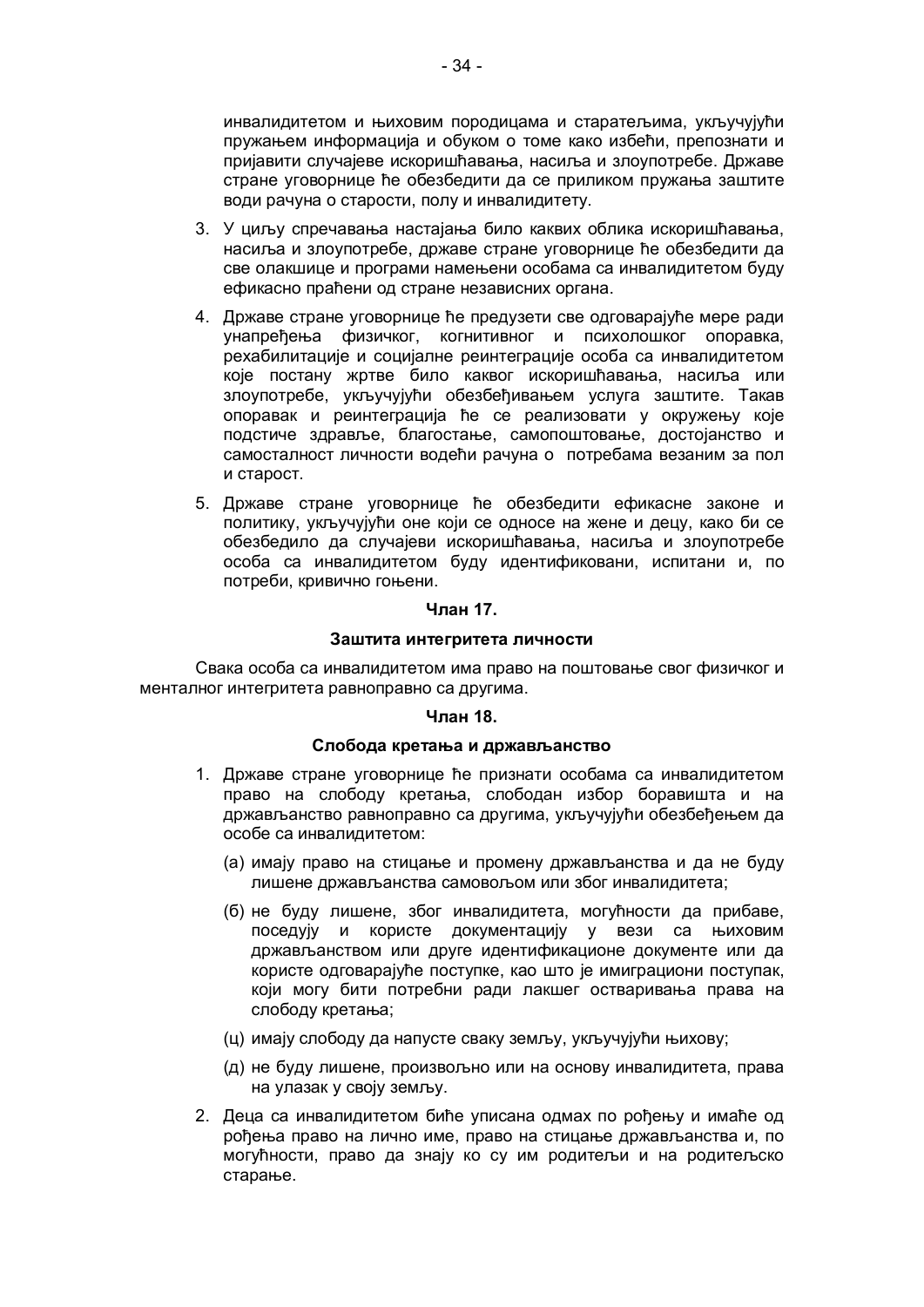инвалидитетом и њиховим породицама и старатељима, укључујући пружањем информација и обуком о томе како избећи, препознати и пријавити случајеве искоришћавања, насиља и злоупотребе. Државе стране уговорнице ће обезбедити да се приликом пружања заштите води рачуна о старости, полу и инвалидитету.

- 3. У циљу спречавања настајања било каквих облика искоришћавања, насиља и злоупотребе, државе стране уговорнице ће обезбедити да све олакшице и програми намењени особама са инвалидитетом буду ефикасно праћени од стране независних органа.
- 4. Државе стране уговорнице ће предузети све одговарајуће мере ради унапређења физичког, когнитивног и психолошког опоравка, рехабилитације и социјалне реинтеграције особа са инвалидитетом које постану жртве било каквог искоришћавања, насиља или злоупотребе, укључујући обезбеђивањем услуга заштите. Такав опоравак и реинтеграција ће се реализовати у окружењу које подстиче здравље, благостање, самопоштовање, достојанство и самосталност личности водећи рачуна о потребама везаним за пол и старост.
- 5. Државе стране уговорнице ће обезбедити ефикасне законе и политику, укључујући оне који се односе на жене и децу, како би се обезбедило да случајеви искоришћавања, насиља и злоупотребе особа са инвалидитетом буду идентификовани, испитани и, по потреби, кривично гоњени.

## **Члан 17.**

#### **Заштита интегритета личности**

Свака особа са инвалидитетом има право на поштовање свог физичког и менталног интегритета равноправно са другима.

### **Члан 18.**

### **Слобода кретања и држављанство**

- 1. Државе стране уговорнице ће признати особама са инвалидитетом право на слободу кретања, слободан избор боравишта и на држављанство равноправно са другима, укључујући обезбеђењем да особе са инвалидитетом:
	- (a) имају право на стицање и промену држављанства и да не буду лишене држављанства самовољом или због инвалидитета;
	- (б) не буду лишене, због инвалидитета, могућности да прибаве, поседују и користе документацију у вези са њиховим држављанством или друге идентификационе документе или да користе одговарајуће поступке, као што је имиграциони поступак, који могу бити потребни ради лакшег остваривања права на слободу кретања;
	- (ц) имају слободу да напусте сваку земљу, укључујући њихову;
	- (д) не буду лишене, произвољно или на основу инвалидитета, права на улазак у своју земљу.
- 2. Деца са инвалидитетом биће уписана одмах по рођењу и имаће од рођења право на лично име, право на стицање држављанства и, по могућности, право да знају ко су им родитељи и на родитељско старање.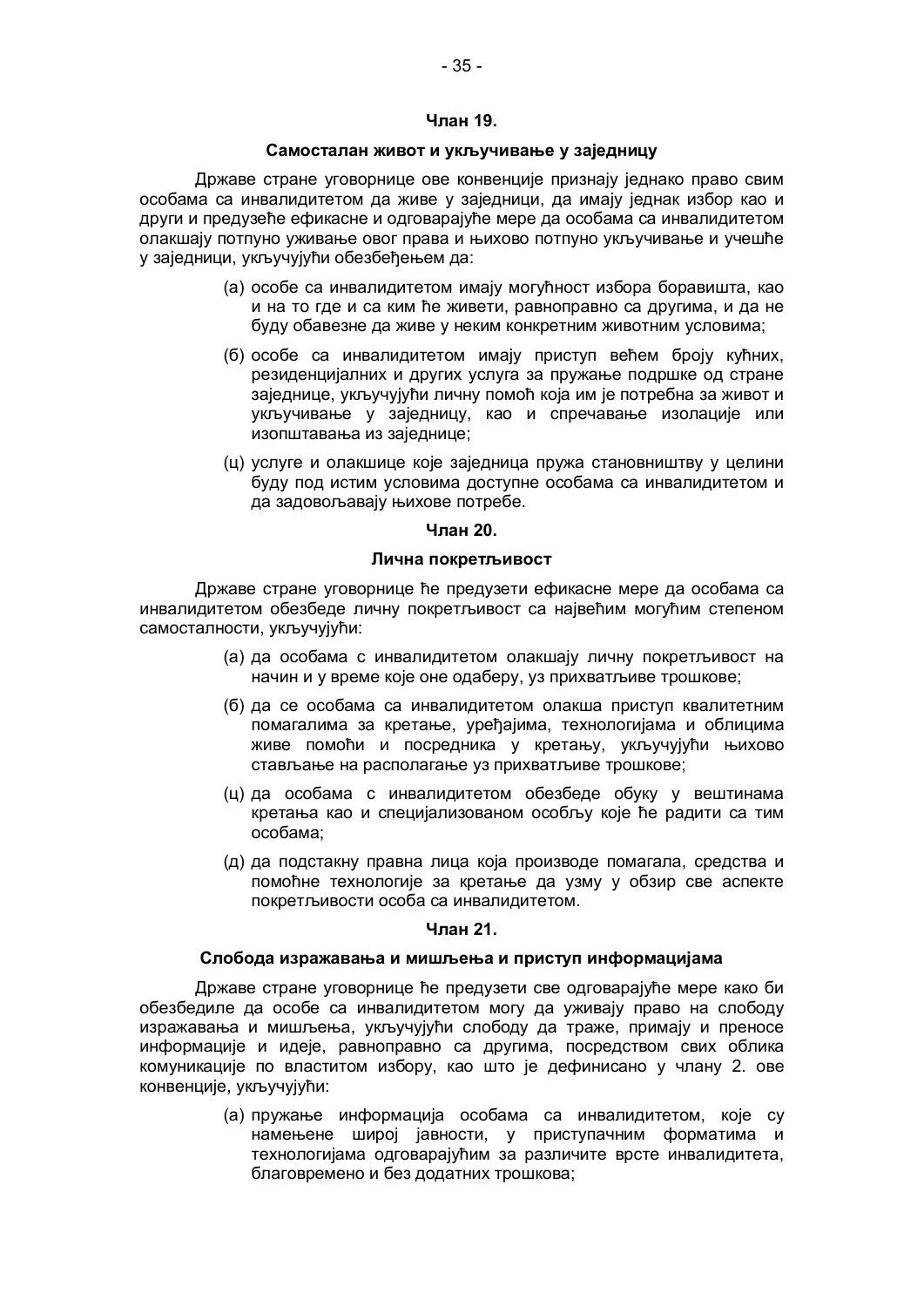#### **Члан 19.**

#### **Самосталан живот и укључивање у заједницу**

Државе стране уговорнице ове конвенције признају једнако право свим особама са инвалидитетом да живе у заједници, да имају једнак избор као и други и предузеће ефикасне и одговарајуће мере да особама са инвалидитетом олакшају потпуно уживање овог права и њихово потпуно укључивање и учешће у заједници, укључујући обезбеђењем да:

- (а) особе са инвалидитетом имају могућност избора боравишта, као и на то где и са ким ће живети, равноправно са другима, и да не буду обавезне да живе у неким конкретним животним условима;
- (б) особе са инвалидитетом имају приступ већем броју кућних, резиденцијалних и других услуга за пружање подршке од стране заједнице, укључујући личну помоћ која им је потребна за живот и укључивање у заједницу, као и спречавање изолације или изопштавања из заједнице;
- (ц) услуге и олакшице које заједница пружа становништву у целини буду под истим условима доступне особама са инвалидитетом и да задовољавају њихове потребе.

#### **Члан 20.**

#### **Лична покретљивост**

Државе стране уговорнице ће предузети ефикасне мере да особама са инвалидитетом обезбеде личну покретљивост са највећим могућим степеном самосталности, укључујући:

- (а) да особама с инвалидитетом олакшају личну покретљивост на начин и у време које оне одаберу, уз прихватљиве трошкове;
- (б) да се особама са инвалидитетом олакша приступ квалитетним помагалима за кретање, уређајима, технологијама и облицима живе помоћи и посредника у кретању, укључујући њихово стављање на располагање уз прихватљиве трошкове;
- (ц) да особама с инвалидитетом обезбеде обуку у вештинама кретања као и специјализованом особљу које ће радити са тим особама;
- (д) да подстакну правна лица која производе помагала, средства и помоћне технологије за кретање да узму у обзир све аспекте покретљивости особа са инвалидитетом.

## **Члан 21.**

#### **Слобода изражавања и мишљења и приступ информацијама**

Државе стране уговорнице ће предузети све одговарајуће мере како би обезбедиле да особе са инвалидитетом могу да уживају право на слободу изражавања и мишљења, укључујући слободу да траже, примају и преносе информације и идеје, равноправно са другима, посредством свих облика комуникације по властитом избору, као што је дефинисано у члану 2. ове конвенције, укључујући:

> (а) пружање информација особама са инвалидитетом, које су намењене широј јавности, у приступачним форматима и технологијама одговарајућим за различите врсте инвалидитета, благовремено и без додатних трошкова;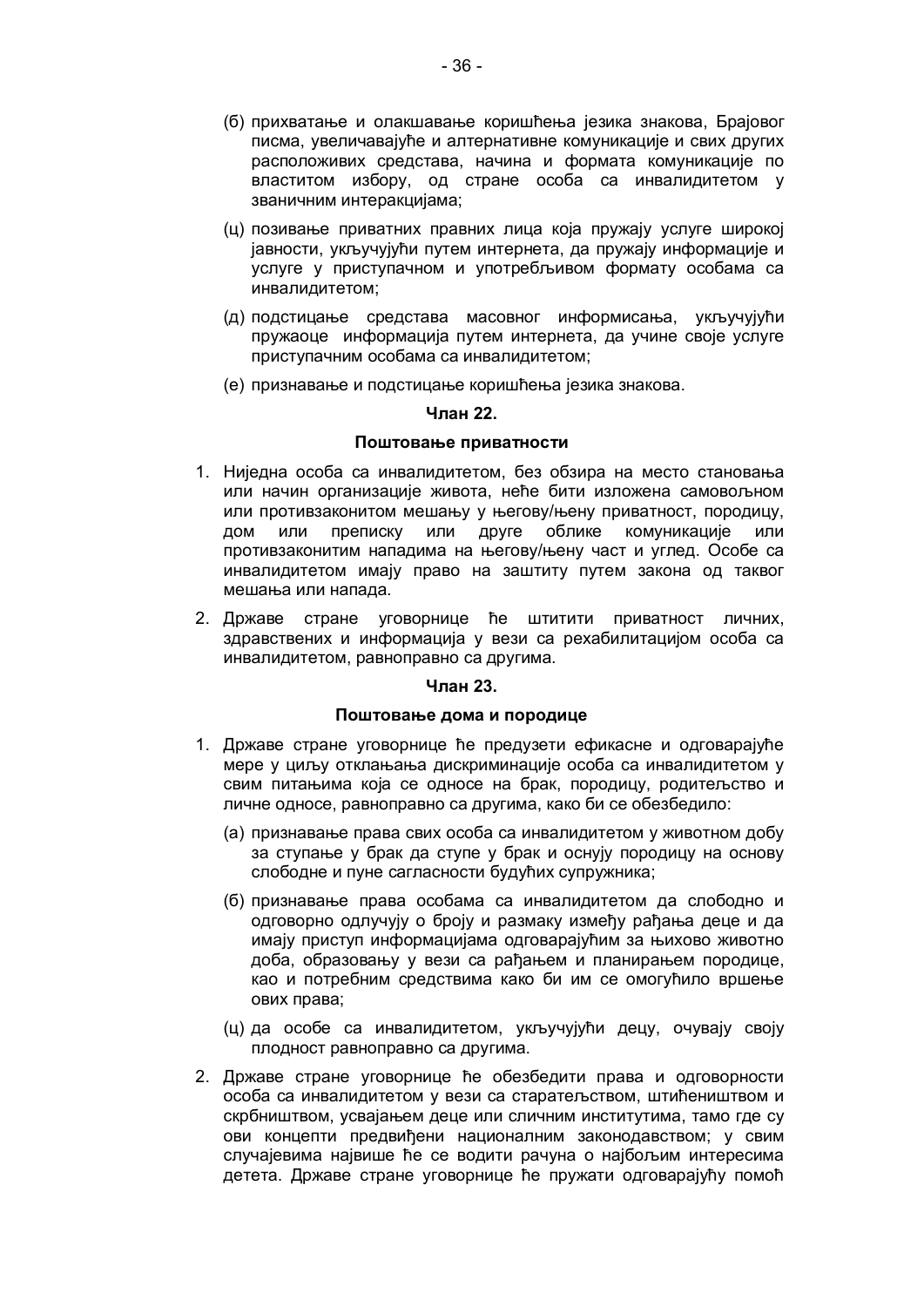- (б) прихватање и олакшавање коришћења језика знакова, Брајовог писма, увеличавајуће и алтернативне комуникације и свих других расположивих средстава, начина и формата комуникације по властитом избору, од стране особа са инвалидитетом у званичним интеракцијама;
- (ц) позивање приватних правних лица која пружају услуге широкој јавности, укључујући путем интернета, да пружају информације и услуге у приступачном и употребљивом формату особама са инвалидитетом;
- (д) подстицање средстава масовног информисања, укључујући пружаоце информација путем интернета, да учине своје услуге приступачним особама са инвалидитетом;
- (е) признавање и подстицање коришћења језика знакова.

## **Члан 22.**

## **Поштовање приватности**

- 1. Ниједна особа са инвалидитетом, без обзира на место становања или начин организације живота, неће бити изложена самовољном или противзаконитом мешању у његову/њену приватност, породицу, дом или преписку или друге облике комуникације или противзаконитим нападима на његову/њену част и углед. Особе са инвалидитетом имају право на заштиту путем закона од таквог мешања или напада.
- 2. Државе стране уговорнице ће штитити приватност личних, здравствених и информација у вези са рехабилитацијом особа са инвалидитетом, равноправно са другима.

### **Члан 23.**

### **Поштовање дома и породице**

- 1. Државе стране уговорнице ће предузети ефикасне и одговарајуће мере у циљу отклањања дискриминације особа са инвалидитетом у свим питањима која се односе на брак, породицу, родитељство и личне односе, равноправно са другима, како би се обезбедило:
	- (а) признавање права свих особа са инвалидитетом у животном добу за ступање у брак да ступе у брак и оснују породицу на основу слободне и пуне сагласности будућих супружника;
	- (б) признавање права особама са инвалидитетом да слободно и одговорно одлучују о броју и размаку између рађања деце и да имају приступ информацијама одговарајућим за њихово животно доба, образовању у вези са рађањем и планирањем породице, као и потребним средствима како би им се омогућило вршење ових права;
	- (ц) да особе са инвалидитетом, укључујући децу, очувају своју плодност равноправно са другима.
- 2. Државе стране уговорнице ће обезбедити права и одговорности особа са инвалидитетом у вези са старатељством, штићеништвом и скрбништвом, усвајањем деце или сличним институтима, тамо где су ови концепти предвиђени националним законодавством; у свим случајевима највише ће се водити рачуна о најбољим интересима детета. Државе стране уговорнице ће пружати одговарајућу помоћ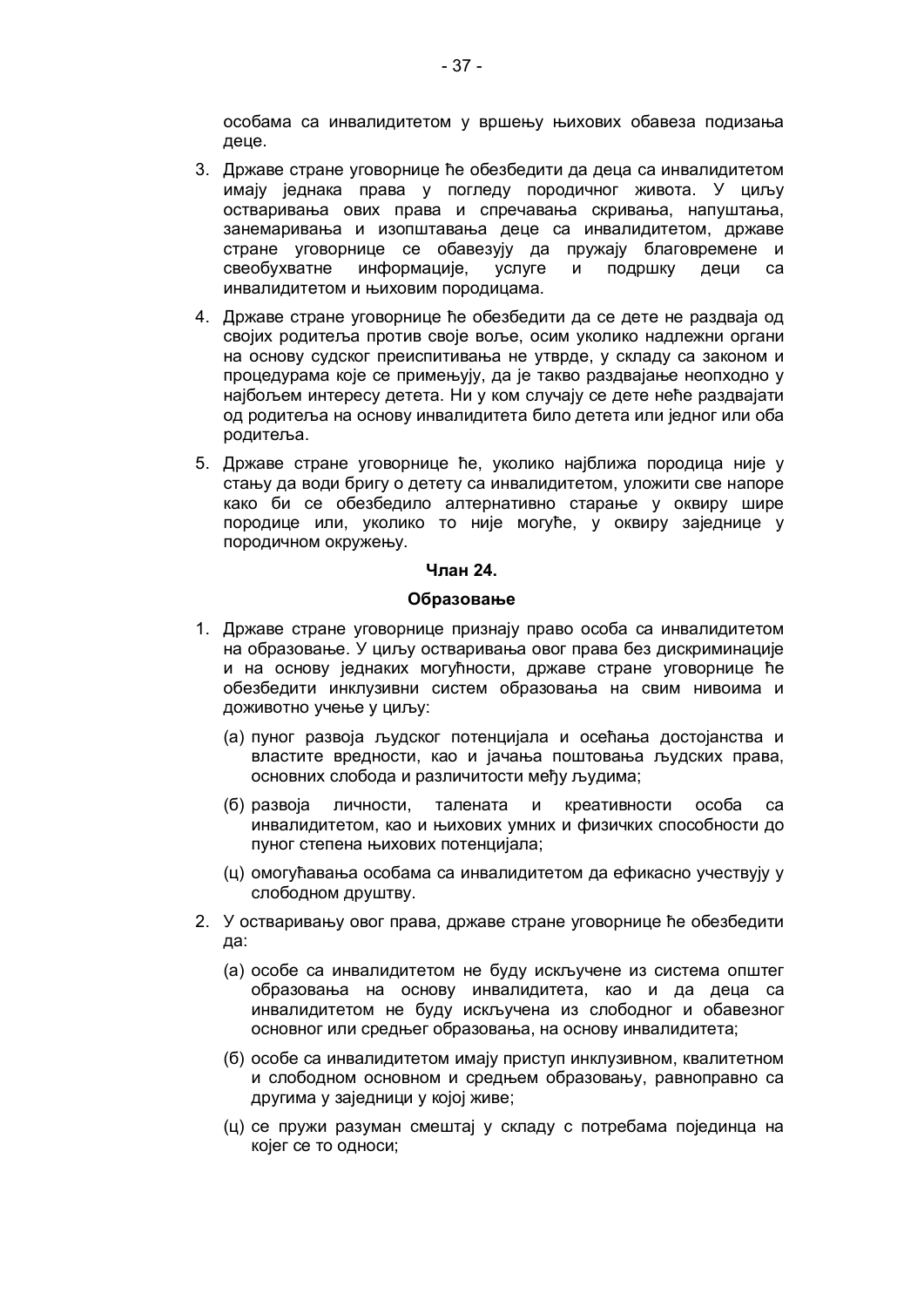особама са инвалидитетом у вршењу њихових обавеза подизања деце.

- 3. Државе стране уговорнице ће обезбедити да деца са инвалидитетом имају једнака права у погледу породичног живота. У циљу остваривања ових права и спречавања скривања, напуштања, занемаривања и изопштавања деце са инвалидитетом, државе стране уговорнице се обавезују да пружају благовремене и свеобухватне информације, услуге и подршку деци са инвалидитетом и њиховим породицама.
- 4. Државе стране уговорнице ће обезбедити да се дете не раздваја од својих родитеља против своје воље, осим уколико надлежни органи на основу судског преиспитивања не утврде, у складу са законом и процедурама које се примењују, да је такво раздвајање неопходно у најбољем интересу детета. Ни у ком случају се дете неће раздвајати од родитеља на основу инвалидитета било детета или једног или оба родитеља.
- 5. Државе стране уговорнице ће, уколико најближа породица није у стању да води бригу о детету са инвалидитетом, уложити све напоре како би се обезбедило алтернативно старање у оквиру шире породице или, уколико то није могуће, у оквиру заједнице у породичном окружењу.

#### **Члан 24.**

#### **Образовање**

- 1. Државе стране уговорнице признају право особа са инвалидитетом на образовање. У циљу остваривања овог права без дискриминације и на основу једнаких могућности, државе стране уговорнице ће обезбедити инклузивни систем образовања на свим нивоима и доживотно учење у циљу:
	- (а) пуног развоја људског потенцијала и осећања достојанства и властите вредности, као и јачања поштовања људских права, основних слобода и различитости међу људима;
	- (б) развоја личности, талената и креативности особа са инвалидитетом, као и њихових умних и физичких способности до пуног степена њихових потенцијала;
	- (ц) омогућавања особама са инвалидитетом да ефикасно учествују у слободном друштву.
- 2. У остваривању овог права, државе стране уговорнице ће обезбедити да:
	- (а) особе са инвалидитетом не буду искључене из система општег образовања на основу инвалидитета, као и да деца са инвалидитетом не буду искључена из слободног и обавезног основног или средњег образовања, на основу инвалидитета;
	- (б) особе са инвалидитетом имају приступ инклузивном, квалитетном и слободном основном и средњем образовању, равноправно са другима у заједници у којој живе;
	- (ц) се пружи разуман смештај у складу с потребама појединца на којег се то односи;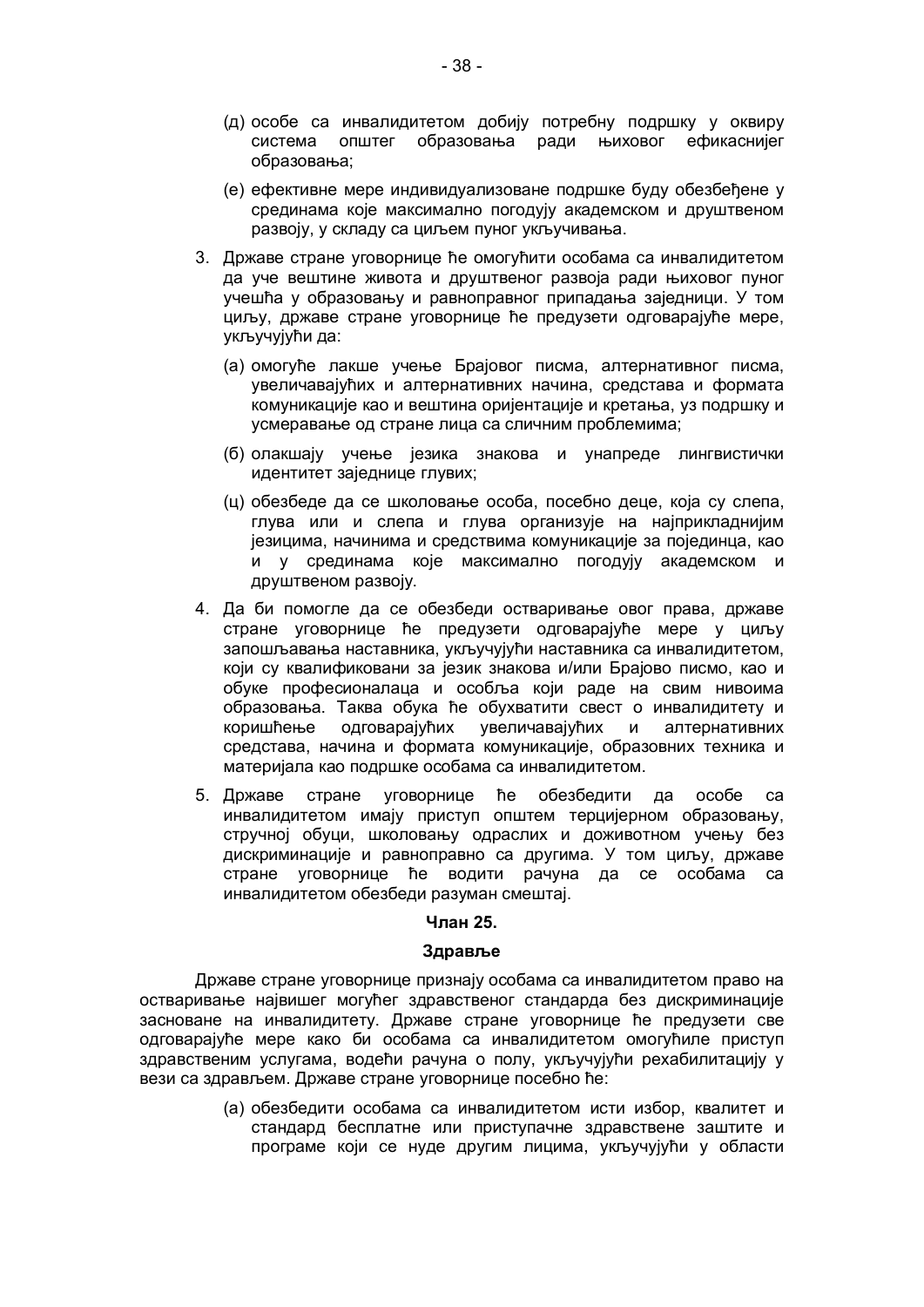- (д) особе са инвалидитетом добију потребну подршку у оквиру система општег образовања ради њиховог ефикаснијег образовања;
- (е) ефективне мере индивидуализоване подршке буду обезбеђене у срединама које максимално погодују академском и друштвеном развоју, у складу са циљем пуног укључивања.
- 3. Државе стране уговорнице ће омогућити особама са инвалидитетом да уче вештине живота и друштвеног развоја ради њиховог пуног учешћа у образовању и равноправног припадања заједници. У том циљу, државе стране уговорнице ће предузети одговарајуће мере, укључујући да:
	- (а) омогуће лакше учење Брајовог писма, алтернативног писма, увеличавајућих и алтернативних начина, средстава и формата комуникације као и вештина оријентације и кретања, уз подршку и усмеравање од стране лица са сличним проблемима;
	- (б) олакшају учење језика знакова и унапреде лингвистички идентитет заједнице глувих;
	- (ц) обезбеде да се школовање особа, посебно деце, која су слепа, глува или и слепа и глува организује на најприкладнијим језицима, начинима и средствима комуникације за појединца, као и у срединама које максимално погодују академском и друштвеном развоју.
- 4. Да би помогле да се обезбеди остваривање овог права, државе стране уговорнице ће предузети одговарајуће мере у циљу запошљавања наставника, укључујући наставника са инвалидитетом, који су квалификовани за језик знакова и/или Брајово писмо, као и обуке професионалаца и особља који раде на свим нивоима образовања. Таква обука ће обухватити свест о инвалидитету и коришћење одговарајућих увеличавајућих и алтернативних средстава, начина и формата комуникације, образовних техника и материјала као подршке особама са инвалидитетом.
- 5. Државе стране уговорнице ће обезбедити да особе са инвалидитетом имају приступ општем терцијерном образовању, стручној обуци, школовању одраслих и доживотном учењу без дискриминације и равноправно са другима. У том циљу, државе стране уговорнице ће водити рачуна да се особама са инвалидитетом обезбеди разуман смештај.

#### **Члан 25.**

#### **Здравље**

Државе стране уговорнице признају особама са инвалидитетом право на остваривање највишег могућег здравственог стандарда без дискриминације засноване на инвалидитету. Државе стране уговорнице ће предузети све одговарајуће мере како би особама са инвалидитетом омогућиле приступ здравственим услугама, водећи рачуна о полу, укључујући рехабилитацију у вези са здрављем. Државе стране уговорнице посебно ће:

> (a) обезбедити особама са инвалидитетом исти избор, квалитет и стандард бесплатне или приступачне здравствене заштите и програме који се нуде другим лицима, укључујући у области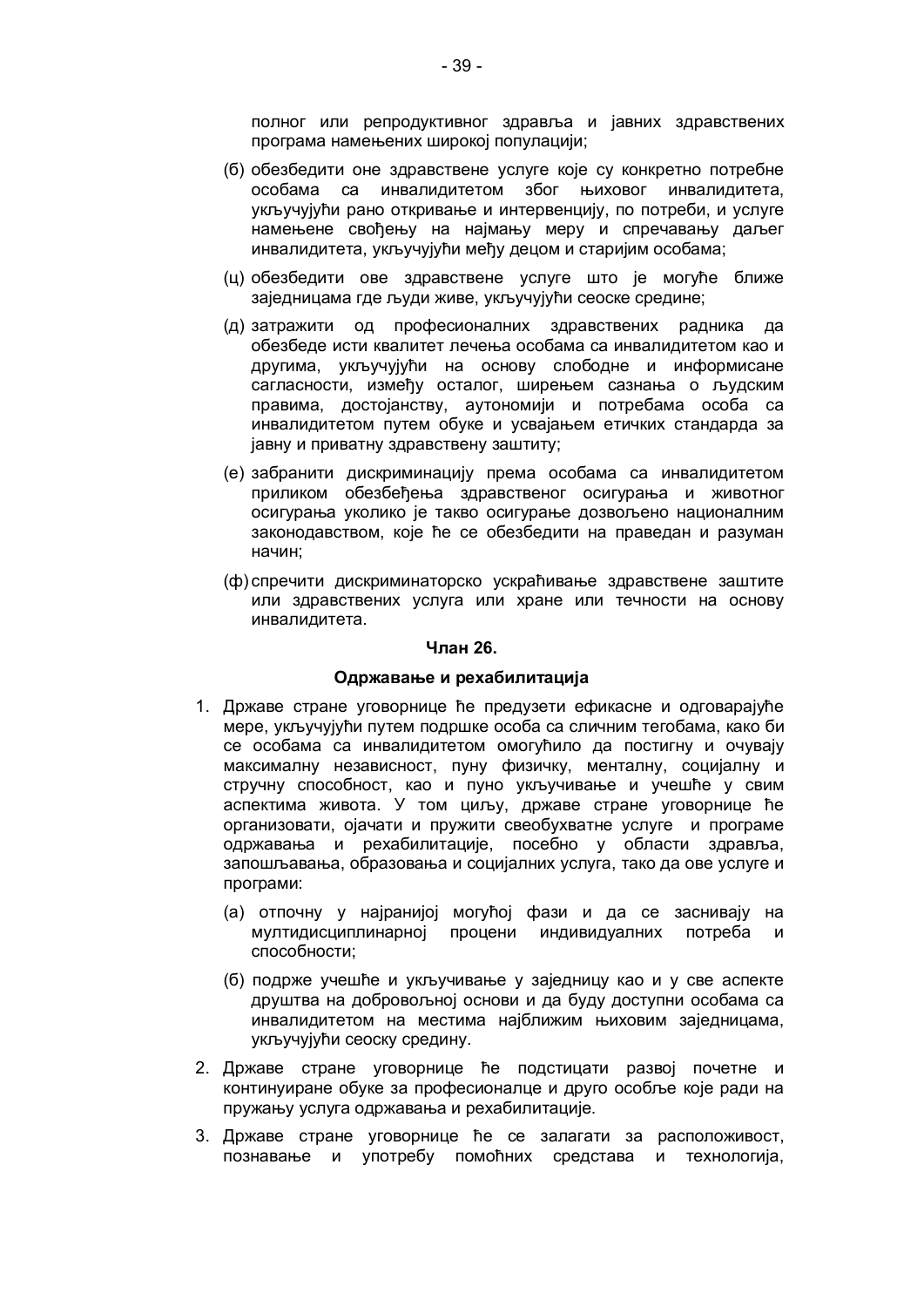полног или репродуктивног здравља и јавних здравствених програма намењених широкој популацији;

- (б) обезбедити оне здравствене услуге које су конкретно потребне особама са инвалидитетом због њиховог инвалидитета, укључујући рано откривање и интервенцију, по потреби, и услуге намењене свођењу на најмању меру и спречавању даљег инвалидитета, укључујући међу децом и старијим особама;
- (ц) обезбедити ове здравствене услуге што је могуће ближе заједницама где људи живе, укључујући сеоске средине;
- (д) затражити од професионалних здравствених радника да обезбеде исти квалитет лечења особама са инвалидитетом као и другима, укључујући на основу слободне и информисане сагласности, између осталог, ширењем сазнања о људским правима, достојанству, аутономији и потребама особа са инвалидитетом путем обуке и усвајањем етичких стандарда за јавну и приватну здравствену заштиту;
- (е) забранити дискриминацију према особама са инвалидитетом приликом обезбеђења здравственог осигурања и животног осигурања уколико је такво осигурање дозвољено националним законодавством, које ће се обезбедити на праведан и разуман начин;
- (ф) спречити дискриминаторско ускраћивање здравствене заштите или здравствених услуга или хране или течности на основу инвалидитета.

#### **Члан 26.**

#### **Одржавање и рехабилитација**

- 1. Државе стране уговорнице ће предузети ефикасне и одговарајуће мере, укључујући путем подршке особа са сличним тегобама, како би се особама са инвалидитетом омогућило да постигну и очувају максималну независност, пуну физичку, менталну, социјалну и стручну способност, као и пуно укључивање и учешће у свим аспектима живота. У том циљу, државе стране уговорнице ће организовати, ојачати и пружити свеобухватне услуге и програме одржавања и рехабилитације, посебно у области здравља, запошљавања, образовања и социјалних услуга, тако да ове услуге и програми:
	- (а) отпочну у најранијој могућој фази и да се заснивају на мултидисциплинарној процени индивидуалних потреба и способности;
	- (б) подрже учешће и укључивање у заједницу као и у све аспекте друштва на добровољној основи и да буду доступни особама са инвалидитетом на местима најближим њиховим заједницама, укључујући сеоску средину.
- 2. Државе стране уговорнице ће подстицати развој почетне и континуиране обуке за професионалце и друго особље које ради на пружању услуга одржавања и рехабилитације.
- 3. Државе стране уговорнице ће се залагати за расположивост, познавање и употребу помоћних средстава и технологија,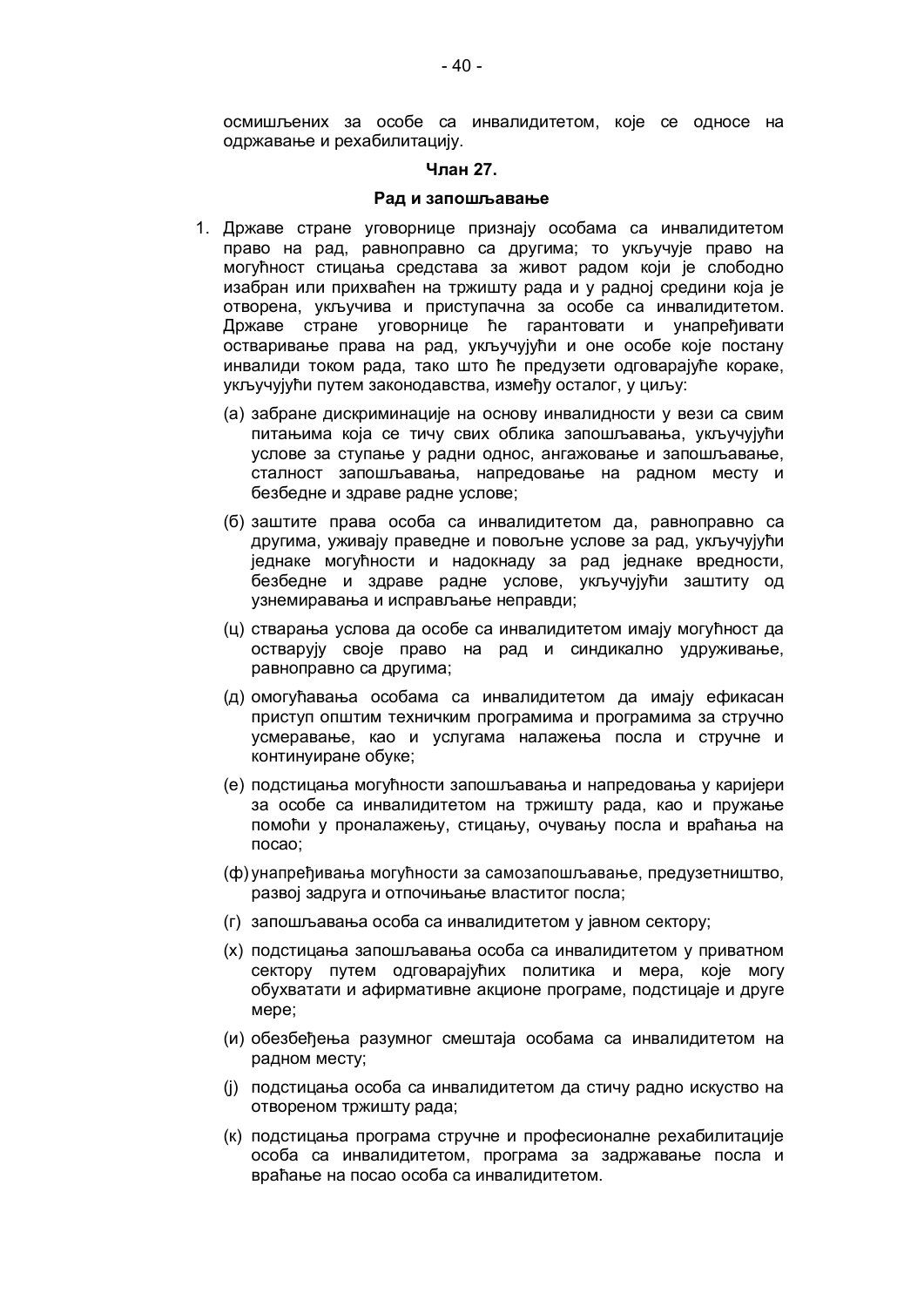осмишљених за особе са инвалидитетом, које се односе на одржавање и рехабилитацију.

## **Члан 27.**

#### **Рад и запошљавање**

- 1. Државе стране уговорнице признају особама са инвалидитетом право на рад, равноправно са другима; то укључује право на могућност стицања средстава за живот радом који је слободно изабран или прихваћен на тржишту рада и у радној средини која је отворена, укључива и приступачна за особе са инвалидитетом. Државе стране уговорнице ће гарантовати и унапређивати остваривање права на рад, укључујући и оне особе које постану инвалиди током рада, тако што ће предузети одговарајуће кораке, укључујући путем законодавства, између осталог, у циљу:
	- (а) забране дискриминације на основу инвалидности у вези са свим питањима која се тичу свих облика запошљавања, укључујући услове за ступање у радни однос, ангажовање и запошљавање, сталност запошљавања, напредовање на радном месту и безбедне и здраве радне услове;
	- (б) заштите права особа са инвалидитетом да, равноправно са другима, уживају праведне и повољне услове за рад, укључујући једнаке могућности и надокнаду за рад једнаке вредности, безбедне и здраве радне услове, укључујући заштиту од узнемиравања и исправљање неправди;
	- (ц) стварања услова да особе са инвалидитетом имају могућност да остварују своје право на рад и синдикално удруживање, равноправно са другима;
	- (д) омогућавања особама са инвалидитетом да имају ефикасан приступ општим техничким програмима и програмима за стручно усмеравање, као и услугама налажења посла и стручне и континуиране обуке;
	- (е) подстицања могућности запошљавања и напредовања у каријери за особе са инвалидитетом на тржишту рада, као и пружање помоћи у проналажењу, стицању, очувању посла и враћања на посао;
	- (ф) унапређивања могућности за самозапошљавање, предузетништво, развој задруга и отпочињање властитог посла;
	- (г) запошљавања особа са инвалидитетом у јавном сектору;
	- (х) подстицања запошљавања особа са инвалидитетом у приватном сектору путем одговарајућих политика и мера, које могу обухватати и афирмативне акционе програме, подстицаје и друге мере;
	- (и) обезбеђења разумног смештаја особама са инвалидитетом на радном месту;
	- (ј) подстицања особа са инвалидитетом да стичу радно искуство на отвореном тржишту рада;
	- (к) подстицања програма стручне и професионалне рехабилитације особа са инвалидитетом, програма за задржавање посла и враћање на посао особа са инвалидитетом.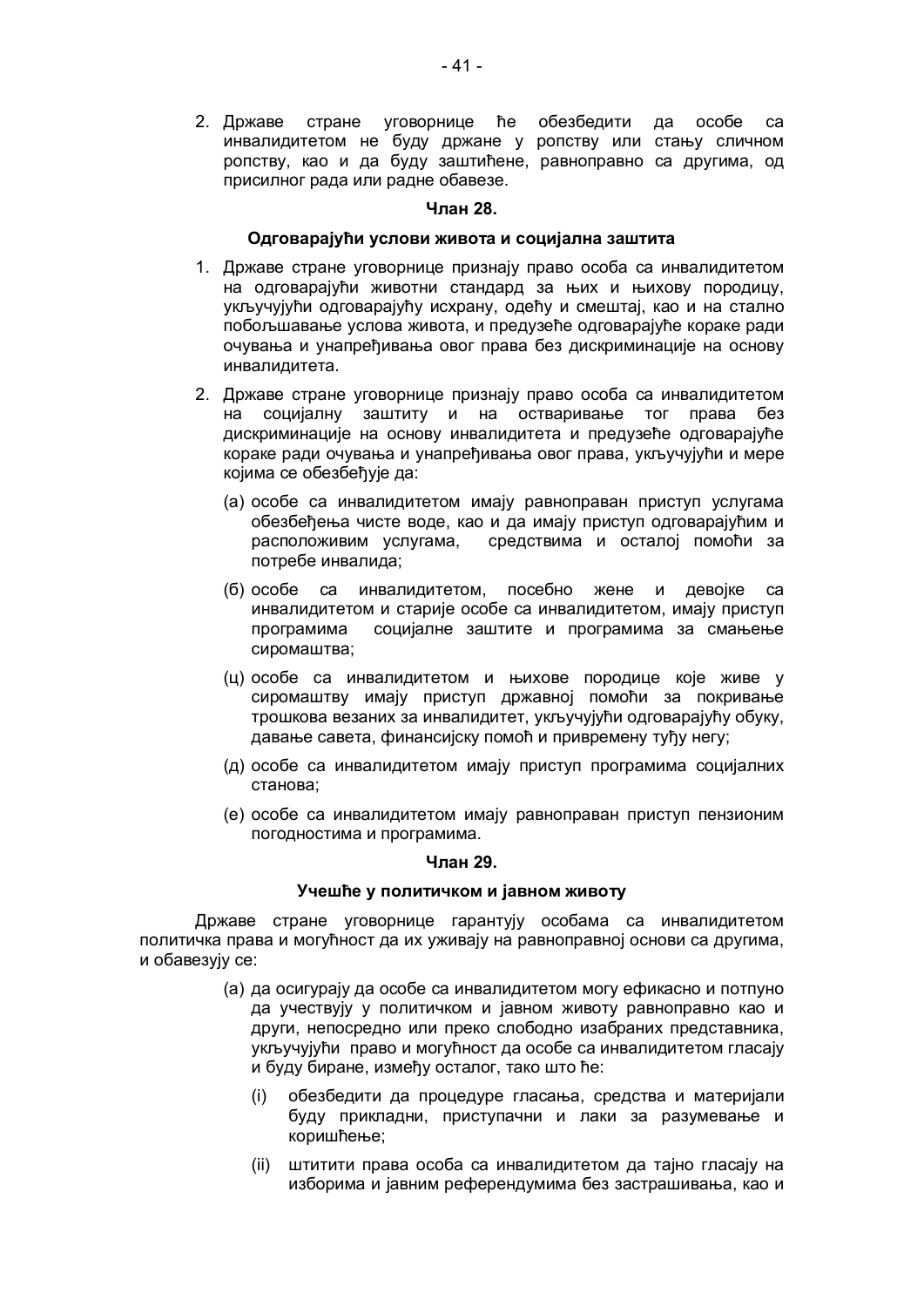2. Државе стране уговорнице ће обезбедити да особе са инвалидитетом не буду држане у ропству или стању сличном ропству, као и да буду заштићене, равноправно са другима, од присилног рада или радне обавезе.

### **Члан 28.**

## **Одговарајући услови живота и социјална заштита**

- 1. Државе стране уговорнице признају право особа са инвалидитетом на одговарајући животни стандард за њих и њихову породицу, укључујући одговарајућу исхрану, одећу и смештај, као и на стално побољшавање услова живота, и предузеће одговарајуће кораке ради очувања и унапређивања овог права без дискриминације на основу инвалидитета.
- 2. Државе стране уговорнице признају право особа са инвалидитетом на социјалну заштиту и на остваривање тог права без дискриминације на основу инвалидитета и предузеће одговарајуће кораке ради очувања и унапређивања овог права, укључујући и мере којима се обезбеђује да:
	- (а) особе са инвалидитетом имају равноправан приступ услугама обезбеђења чисте воде, као и да имају приступ одговарајућим и расположивим услугама, средствима и осталој помоћи за потребе инвалида;
	- (б) особе са инвалидитетом, посебно жене и девојке са инвалидитетом и старије особе са инвалидитетом, имају приступ програмима социјалне заштите и програмима за смањење сиромаштва;
	- (ц) особе са инвалидитетом и њихове породице које живе у сиромаштву имају приступ државној помоћи за покривање трошкова везаних за инвалидитет, укључујући одговарајућу обуку, давање савета, финансијску помоћ и привремену туђу негу;
	- (д) особе са инвалидитетом имају приступ програмима социјалних станова;
	- (е) особе са инвалидитетом имају равноправан приступ пензионим погодностима и програмима.

### **Члан 29.**

#### **Учешће у политичком и јавном животу**

Државе стране уговорнице гарантују особама са инвалидитетом политичка права и могућност да их уживају на равноправној основи са другима, и обавезују се:

- (а) да осигурају да особе са инвалидитетом могу ефикасно и потпуно да учествују у политичком и јавном животу равноправно као и други, непосредно или преко слободно изабраних представника, укључујући право и могућност да особе са инвалидитетом гласају и буду биране, између осталог, тако што ће:
	- (i) обезбедити да процедуре гласања, средства и материјали буду прикладни, приступачни и лаки за разумевање и коришћење;
	- (ii) штитити права особа са инвалидитетом да тајно гласају на изборима и јавним референдумима без застрашивања, као и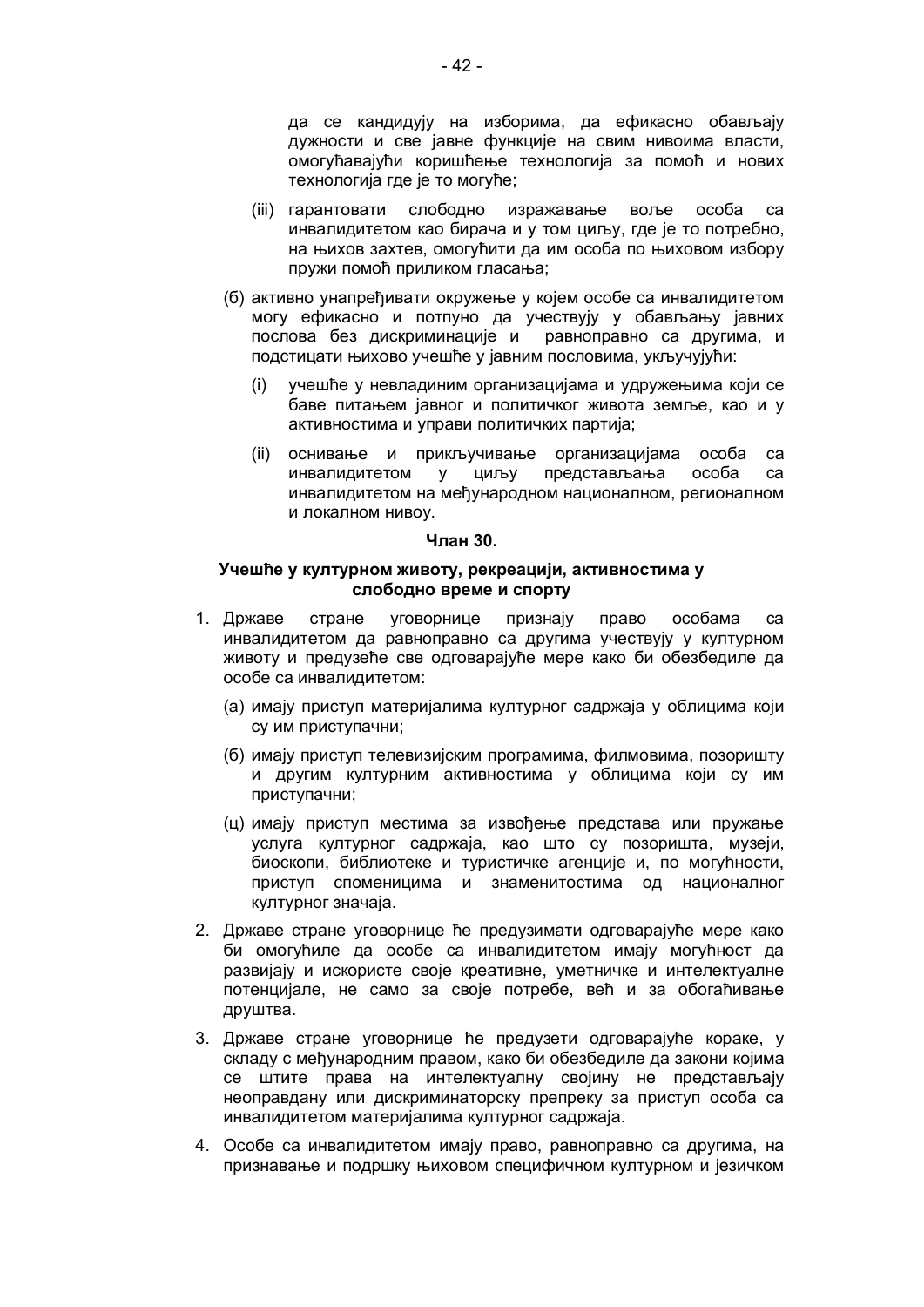да се кандидују на изборима, да ефикасно обављају дужности и све јавне функције на свим нивоима власти, омогућавајући коришћење технологија за помоћ и нових технологија где је то могуће;

- (iii) гарантовати слободно изражавање воље особа са инвалидитетом као бирача и у том циљу, где је то потребно, на њихов захтев, омогућити да им особа по њиховом избору пружи помоћ приликом гласања;
- (б) активно унапређивати окружење у којем особе са инвалидитетом могу ефикасно и потпуно да учествују у обављању јавних послова без дискриминације и равноправно са другима, и подстицати њихово учешће у јавним пословима, укључујући:
	- (i) учешће у невладиним организацијама и удружењима који се баве питањем јавног и политичког живота земље, као и у активностима и управи политичких партија;
	- (ii) оснивање и прикључивање организацијама особа са инвалидитетом у циљу представљања особа са инвалидитетом на међународном националном, регионалном и локалном нивоу.

#### **Члан 30.**

#### **Учешће у културном животу, рекреацији, активностима у слободно време и спорту**

- 1. Државе стране уговорнице признају право особама са инвалидитетом да равноправно са другима учествују у културном животу и предузеће све одговарајуће мере како би обезбедиле да особе са инвалидитетом:
	- (а) имају приступ материјалима културног садржаја у облицима који су им приступачни;
	- (б) имају приступ телевизијским програмима, филмовима, позоришту и другим културним активностима у облицима који су им приступачни;
	- (ц) имају приступ местима за извођење представа или пружање услуга културног садржаја, као што су позоришта, музеји, биоскопи, библиотеке и туристичке агенције и, по могућности, приступ споменицима и знаменитостима од националног културног значаја.
- 2. Државе стране уговорнице ће предузимати одговарајуће мере како би омогућиле да особе са инвалидитетом имају могућност да развијају и искористе своје креативне, уметничке и интелектуалне потенцијале, не само за своје потребе, већ и за обогаћивање друштва.
- 3. Државе стране уговорнице ће предузети одговарајуће кораке, у складу с међународним правом, како би обезбедиле да закони којима се штите права на интелектуалну својину не представљају неоправдану или дискриминаторску препреку за приступ особа са инвалидитетом материјалима културног садржаја.
- 4. Особе са инвалидитетом имају право, равноправно са другима, на признавање и подршку њиховом специфичном културном и језичком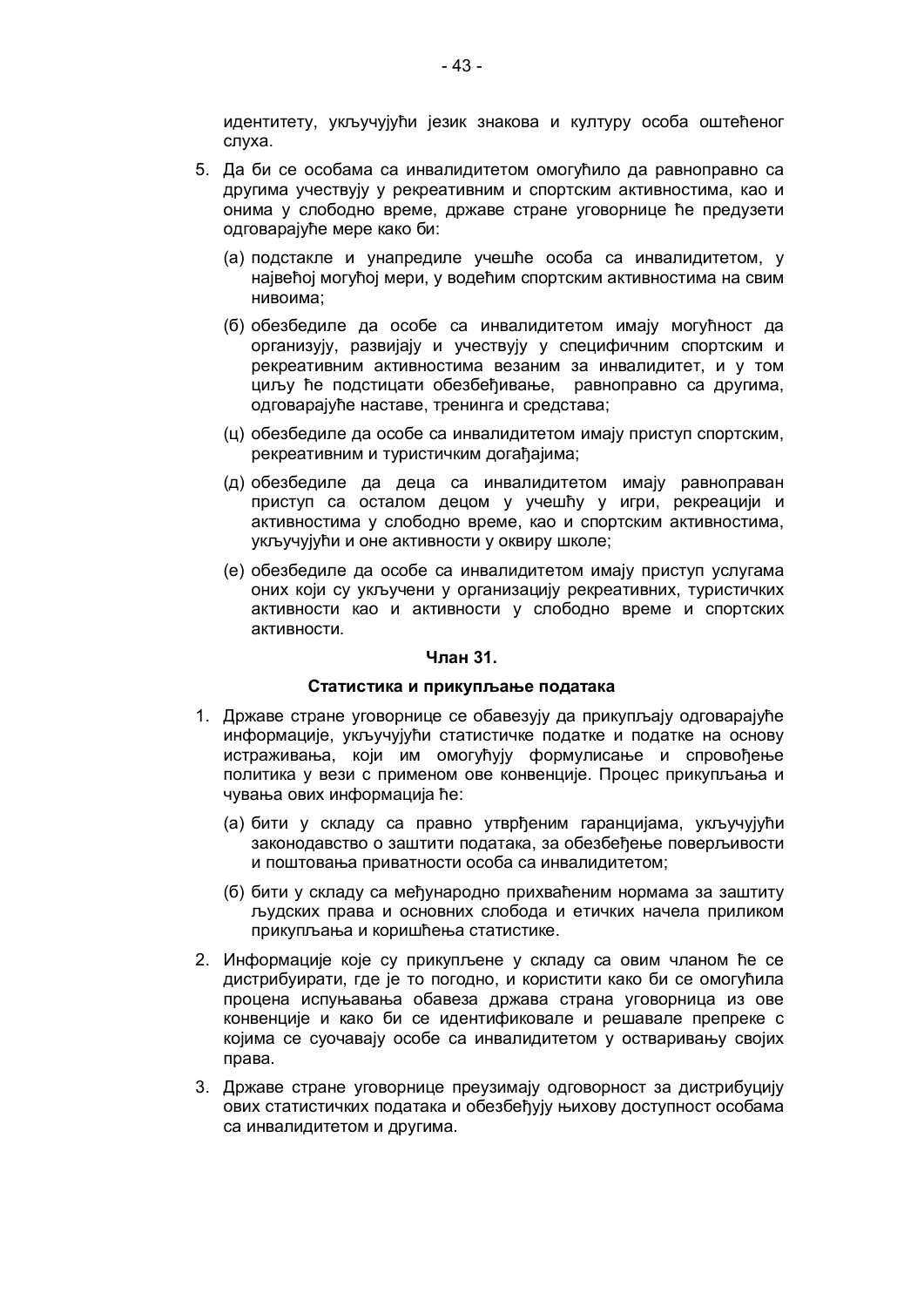идентитету, укључујући језик знакова и културу особа оштећеног слуха.

- 5. Да би се особама са инвалидитетом омогућило да равноправно са другима учествују у рекреативним и спортским активностима, као и онима у слободно време, државе стране уговорнице ће предузети одговарајуће мере како би:
	- (а) подстакле и унапредиле учешће особа са инвалидитетом, у највећој могућој мери, у водећим спортским активностима на свим нивоима;
	- (б) обезбедиле да особе са инвалидитетом имају могућност да организују, развијају и учествују у специфичним спортским и рекреативним активностима везаним за инвалидитет, и у том циљу ће подстицати обезбеђивање, равноправно са другима, одговарајуће наставе, тренинга и средстава;
	- (ц) обезбедиле да особе са инвалидитетом имају приступ спортским, рекреативним и туристичким догађајима;
	- (д) обезбедиле да деца са инвалидитетом имају равноправан приступ са осталом децом у учешћу у игри, рекреацији и активностима у слободно време, као и спортским активностима, укључујући и оне активности у оквиру школе;
	- (е) обезбедиле да особе са инвалидитетом имају приступ услугама оних који су укључени у организацију рекреативних, туристичких активности као и активности у слободно време и спортских активности.

## **Члан 31.**

### **Статистика и прикупљање података**

- 1. Државе стране уговорнице се обавезују да прикупљају одговарајуће информације, укључујући статистичке податке и податке на основу истраживања, који им омогућују формулисање и спровођење политика у вези с применом ове конвенције. Процес прикупљања и чувања ових информација ће:
	- (а) бити у складу са правно утврђеним гаранцијама, укључујући законодавство о заштити података, за обезбеђење поверљивости и поштовања приватности особа са инвалидитетом;
	- (б) бити у складу са међународно прихваћеним нормама за заштиту људских права и основних слобода и етичких начела приликом прикупљања и коришћења статистике.
- 2. Информације које су прикупљене у складу са овим чланом ће се дистрибуирати, где је то погодно, и користити како би се омогућила процена испуњавања обавеза држава страна уговорница из ове конвенције и како би се идентификовале и решавале препреке с којима се суочавају особе са инвалидитетом у остваривању својих права.
- 3. Државе стране уговорнице преузимају одговорност за дистрибуцију ових статистичких података и обезбеђују њихову доступност особама са инвалидитетом и другима.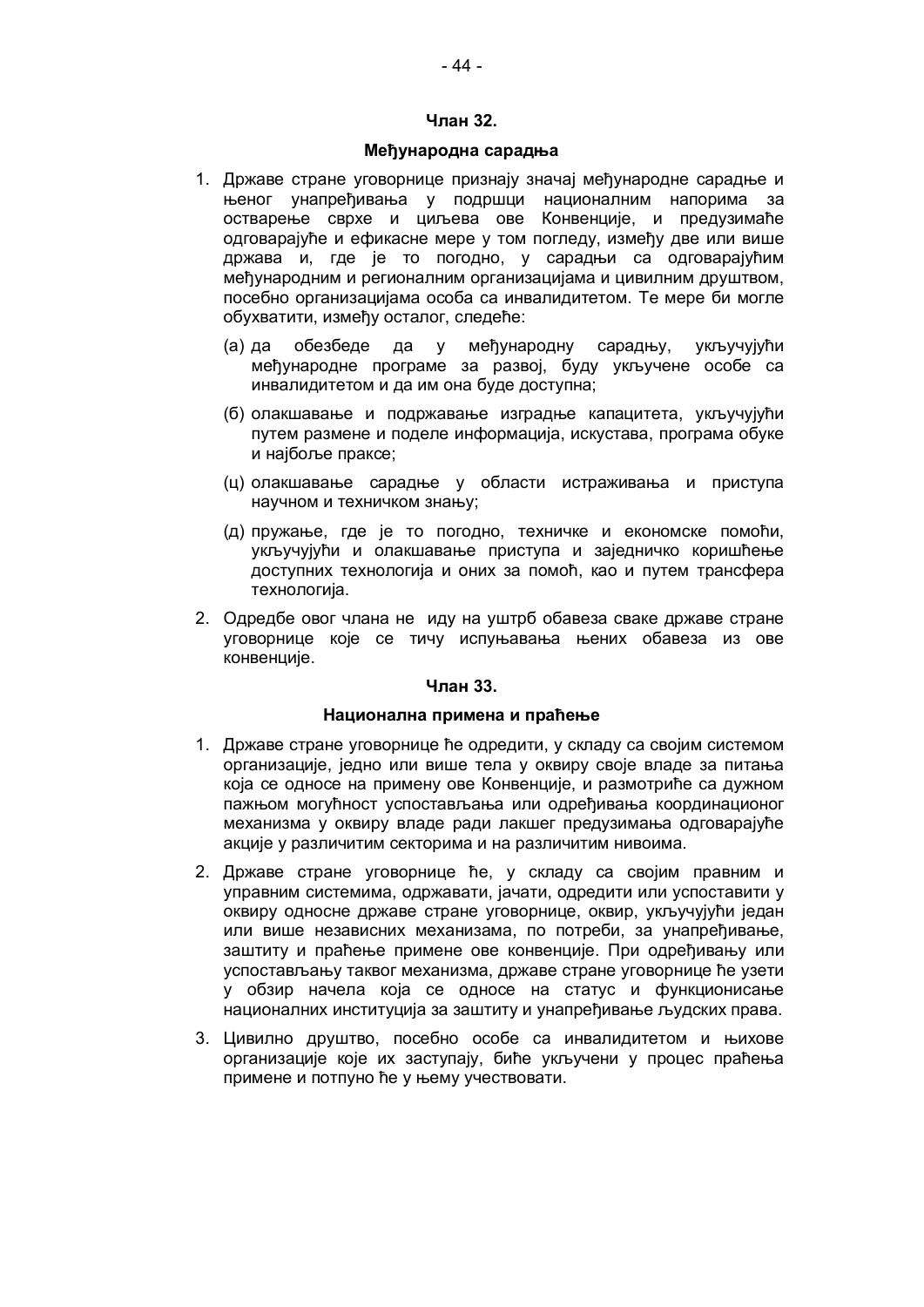## **Члан 32.**

#### **Међународна сарадња**

- 1. Државе стране уговорнице признају значај међународне сарадње и њеног унапређивања у подршци националним напорима за остварење сврхе и циљева ове Конвенције, и предузимаће одговарајуће и ефикасне мере у том погледу, између две или више држава и, где је то погодно, у сарадњи са одговарајућим међународним и регионалним организацијама и цивилним друштвом, посебно организацијама особа са инвалидитетом. Те мере би могле обухватити, између осталог, следеће:
	- (а) да обезбеде да у међународну сарадњу, укључујући међународне програме за развој, буду укључене особе са инвалидитетом и да им она буде доступна;
	- (б) олакшавање и подржавање изградње капацитета, укључујући путем размене и поделе информација, искустава, програма обуке и најбоље праксе;
	- (ц) олакшавање сарадње у области истраживања и приступа научном и техничком знању;
	- (д) пружање, где је то погодно, техничке и економске помоћи, укључујући и олакшавање приступа и заједничко коришћење доступних технологија и оних за помоћ, као и путем трансфера технологија.
- 2. Одредбе овог члана не иду на уштрб обавеза сваке државе стране уговорнице које се тичу испуњавања њених обавеза из ове конвенције.

#### **Члан 33.**

### **Национална примена и праћење**

- 1. Државе стране уговорнице ће одредити, у складу са својим системом организације, једно или више тела у оквиру своје владе за питања која се односе на примену ове Конвенције, и размотриће са дужном пажњом могућност успостављања или одређивања координационог механизма у оквиру владе ради лакшег предузимања одговарајуће акције у различитим секторима и на различитим нивоима.
- 2. Државе стране уговорнице ће, у складу са својим правним и управним системима, одржавати, јачати, одредити или успоставити у оквиру односне државе стране уговорнице, оквир, укључујући један или више независних механизама, по потреби, за унапређивање, заштиту и праћење примене ове конвенције. При одређивању или успостављању таквог механизма, државе стране уговорнице ће узети у обзир начела која се односе на статус и функционисање националних институција за заштиту и унапређивање људских права.
- 3. Цивилно друштво, посебно особе са инвалидитетом и њихове организације које их заступају, биће укључени у процес праћења примене и потпуно ће у њему учествовати.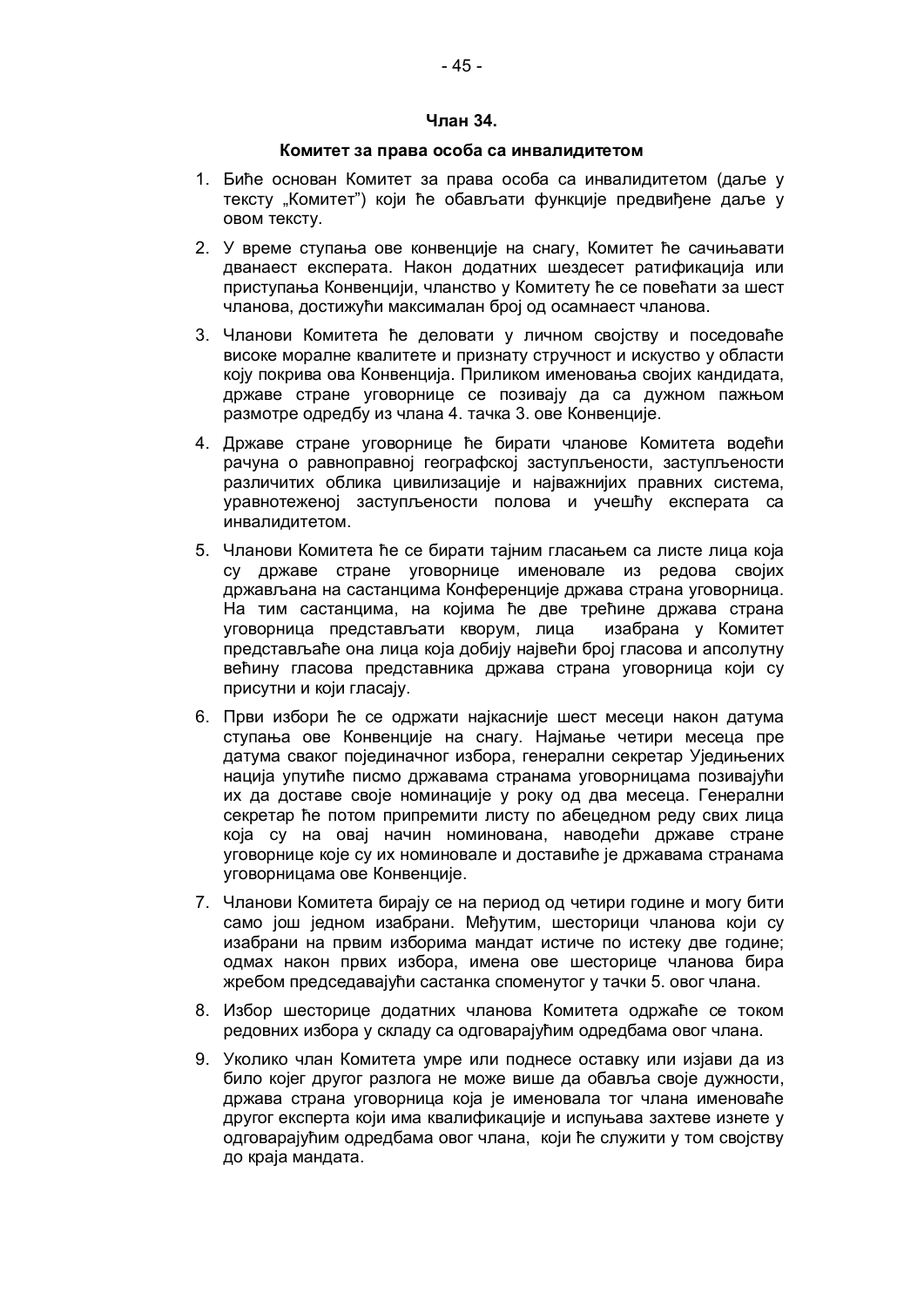## **Члан 34.**

#### **Комитет за права особа са инвалидитетом**

- 1. Биће основан Комитет за права особа са инвалидитетом (даље у тексту "Комитет") који ће обављати функције предвићене даље у овом тексту.
- 2. У време ступања ове конвенције на снагу, Комитет ће сачињавати дванаест експерата. Након додатних шездесет ратификација или приступања Конвенцији, чланство у Комитету ће се повећати за шест чланова, достижући максималан број од осамнаест чланова.
- 3. Чланови Комитета ће деловати у личном својству и поседоваће високе моралне квалитете и признату стручност и искуство у области коју покрива ова Конвенција. Приликом именовања својих кандидата, државе стране уговорнице се позивају да са дужном пажњом размотре одредбу из члана 4. тачка 3. ове Конвенције.
- 4. Државе стране уговорнице ће бирати чланове Комитета водећи рачуна о равноправној географској заступљености, заступљености различитих облика цивилизације и најважнијих правних система, уравнотеженој заступљености полова и учешћу експерата са инвалидитетом.
- 5. Чланови Комитета ће се бирати тајним гласањем са листе лица која су државе стране уговорнице именовале из редова својих држављана на састанцима Конференције држава страна уговорница. На тим састанцима, на којима ће две трећине држава страна уговорница представљати кворум, лица изабрана у Комитет представљаће она лица која добију највећи број гласова и апсолутну већину гласова представника држава страна уговорница који су присутни и који гласају.
- 6. Први избори ће се одржати најкасније шест месеци након датума ступања ове Конвенције на снагу. Најмање четири месеца пре датума сваког појединачног избора, генерални секретар Уједињених нација упутиће писмо државама странама уговорницама позивајући их да доставе своје номинације у року од два месеца. Генерални секретар ће потом припремити листу по абецедном реду свих лица која су на овај начин номинована, наводећи државе стране уговорнице које су их номиновале и доставиће је државама странама уговорницама ове Конвенције.
- 7. Чланови Комитета бирају се на период од четири године и могу бити само још једном изабрани. Међутим, шесторици чланова који су изабрани на првим изборима мандат истиче по истеку две године; одмах након првих избора, имена ове шесторице чланова бира жребом председавајући састанка споменутог у тачки 5. овог члана.
- 8. Избор шесторице додатних чланова Комитета одржаће се током редовних избора у складу са одговарајућим одредбама овог члана.
- 9. Уколико члан Комитета умре или поднесе оставку или изјави да из било којег другог разлога не може више да обавља своје дужности, држава страна уговорница која је именовала тог члана именоваће другог експерта који има квалификације и испуњава захтеве изнете у одговарајућим одредбама овог члана, који ће служити у том својству до краја мандата.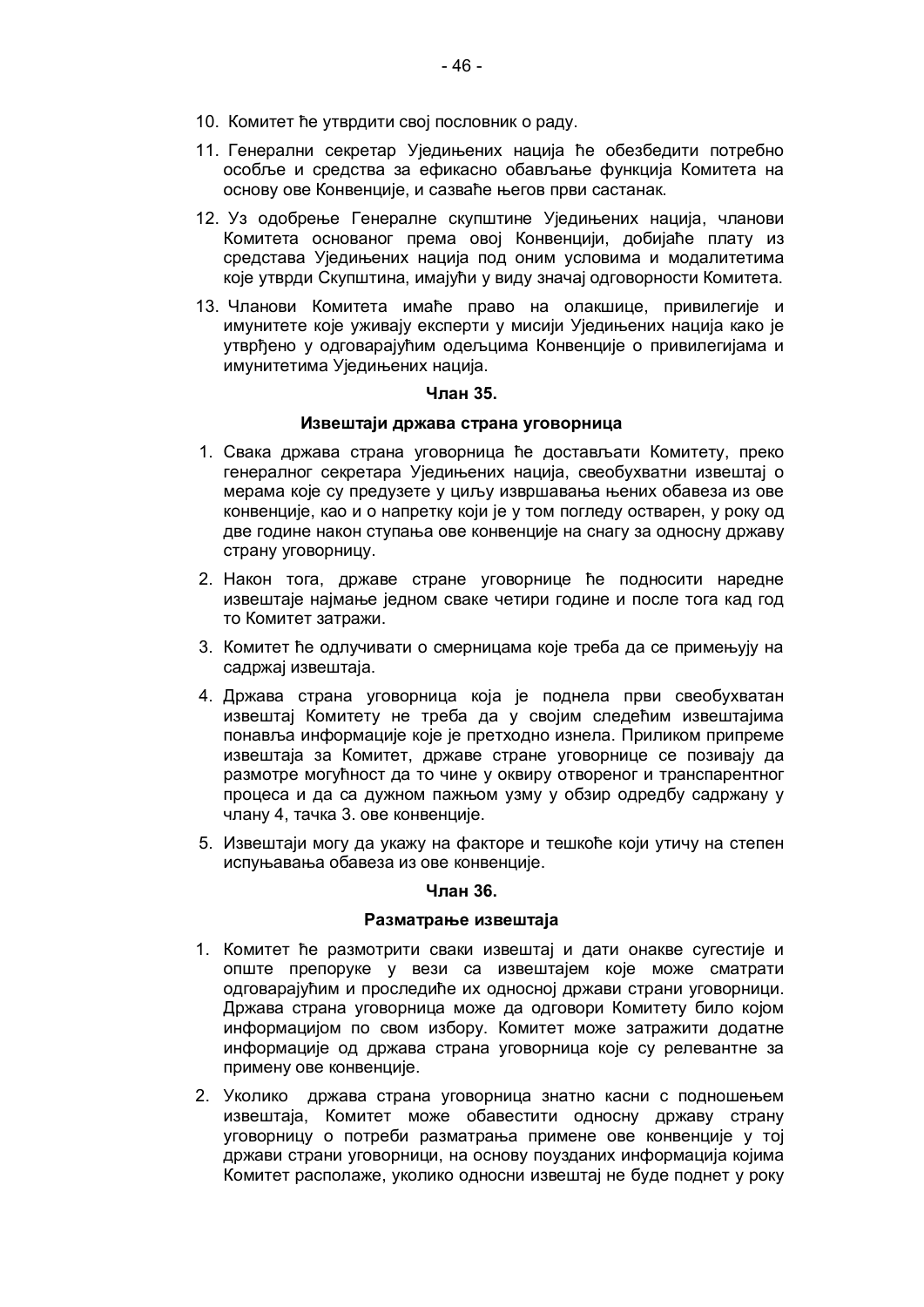- 10. Комитет ће утврдити свој пословник о раду.
- 11. Генерални секретар Уједињених нација ће обезбедити потребно особље и средства за ефикасно обављање функција Комитета на основу ове Конвенције, и сазваће његов први састанак.
- 12. Уз одобрење Генералне скупштине Уједињених нација, чланови Комитета основаног према овој Конвенцији, добијаће плату из средстава Уједињених нација под оним условима и модалитетима које утврди Скупштина, имајући у виду значај одговорности Комитета.
- 13. Чланови Комитета имаће право на олакшице, привилегије и имунитете које уживају експерти у мисији Уједињених нација како је утврђено у одговарајућим одељцима Конвенције о привилегијама и имунитетима Уједињених нација.

### **Члан 35.**

## **Извештаји држава страна уговорница**

- 1. Свака држава страна уговорница ће достављати Комитету, преко генералног секретара Уједињених нација, свеобухватни извештај о мерама које су предузете у циљу извршавања њених обавеза из ове конвенције, као и о напретку који је у том погледу остварен, у року од две године након ступања ове конвенције на снагу за односну државу страну уговорницу.
- 2. Након тога, државе стране уговорнице ће подносити наредне извештаје најмање једном сваке четири године и после тога кад год то Комитет затражи.
- 3. Комитет ће одлучивати о смерницама које треба да се примењују на садржај извештаја.
- 4. Држава страна уговорница која је поднела први свеобухватан извештај Комитету не треба да у својим следећим извештајима понавља информације које је претходно изнела. Приликом припреме извештаја за Комитет, државе стране уговорнице се позивају да размотре могућност да то чине у оквиру отвореног и транспарентног процеса и да са дужном пажњом узму у обзир одредбу садржану у члану 4, тачка 3. ове конвенције.
- 5. Извештаји могу да укажу на факторе и тешкоће који утичу на степен испуњавања обавеза из ове конвенције.

## **Члан 36.**

### **Разматрање извештаја**

- 1. Комитет ће размотрити сваки извештај и дати онакве сугестије и опште препоруке у вези са извештајем које може сматрати одговарајућим и проследиће их односној држави страни уговорници. Држава страна уговорница може да одговори Комитету било којом информацијом по свом избору. Комитет може затражити додатне информације од држава страна уговорница које су релевантне за примену ове конвенције.
- 2. Уколико држава страна уговорница знатно касни с подношењем извештаја, Комитет може обавестити односну државу страну уговорницу о потреби разматрања примене ове конвенције у тој држави страни уговорници, на основу поузданих информација којима Комитет располаже, уколико односни извештај не буде поднет у року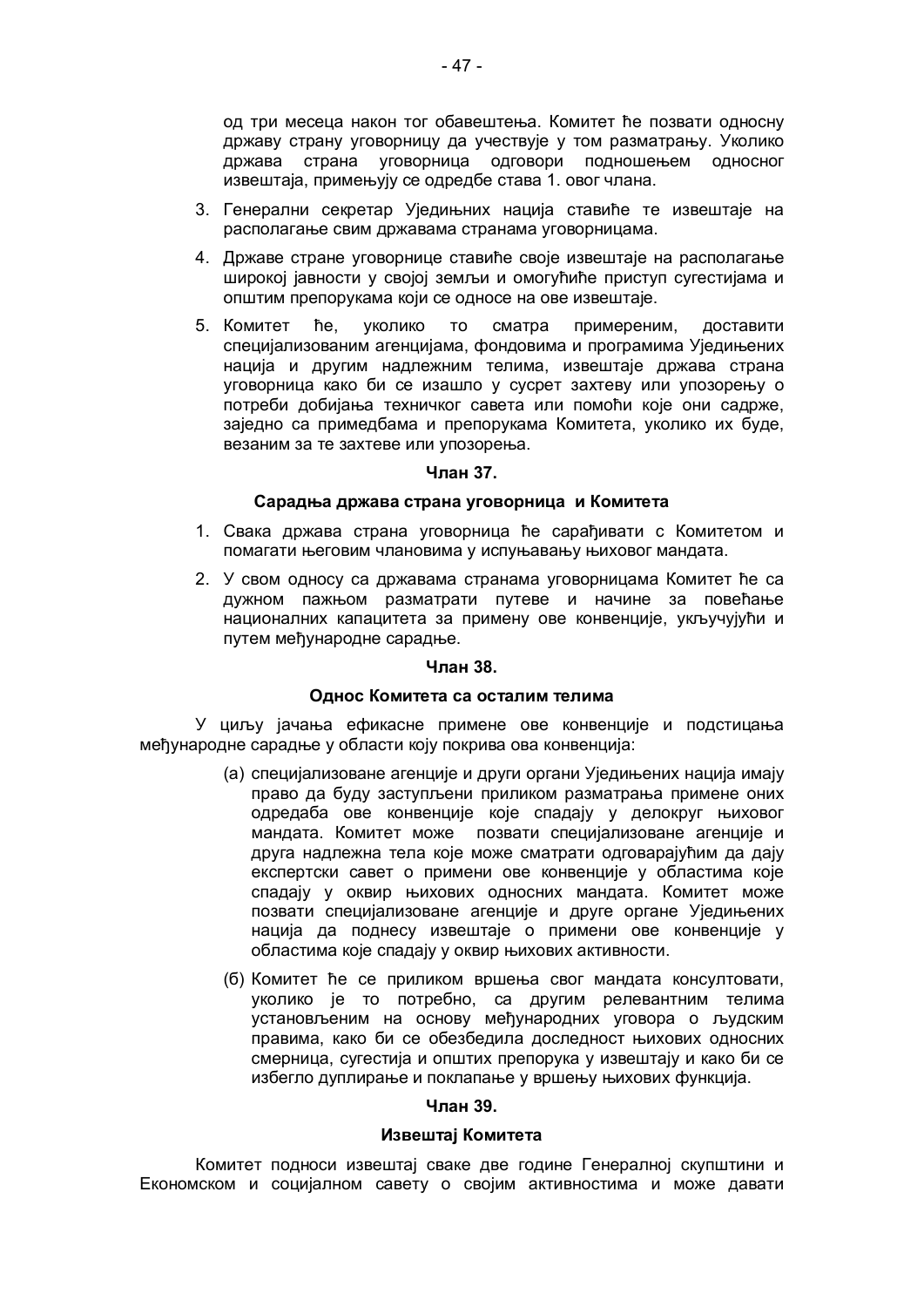од три месеца након тог обавештења. Комитет ће позвати односну државу страну уговорницу да учествује у том разматрању. Уколико држава страна уговорница одговори подношењем односног извештаја, примењују се одредбе става 1. овог члана.

- 3. Генерални секретар Уједињних нација ставиће те извештаје на располагање свим државама странама уговорницама.
- 4. Државе стране уговорнице ставиће своје извештаје на располагање широкој јавности у својој земљи и омогућиће приступ сугестијама и општим препорукама који се односе на ове извештаје.
- 5. Комитет ће, уколико то сматра примереним, доставити специјализованим агенцијама, фондовима и програмима Уједињених нација и другим надлежним телима, извештаје држава страна уговорница како би се изашло у сусрет захтеву или упозорењу о потреби добијања техничког савета или помоћи које они садрже, заједно са примедбама и препорукама Комитета, уколико их буде, везаним за те захтеве или упозорења.

#### **Члан 37.**

#### **Сарадња држава страна уговорница и Комитета**

- 1. Свака држава страна уговорница ће сарађивати с Комитетом и помагати његовим члановима у испуњавању њиховог мандата.
- 2. У свом односу са државама странама уговорницама Комитет ће са дужном пажњом разматрати путеве и начине за повећање националних капацитета за примену ове конвенције, укључујући и путем међународне сарадње.

#### **Члан 38.**

#### **Однос Комитета са осталим телима**

У циљу јачања ефикасне примене ове конвенције и подстицања међународне сарадње у области коју покрива ова конвенција:

- (а) специјализоване агенције и други органи Уједињених нација имају право да буду заступљени приликом разматрања примене оних одредаба ове конвенције које спадају у делокруг њиховог мандата. Комитет може позвати специјализоване агенције и друга надлежна тела које може сматрати одговарајућим да дају експертски савет о примени ове конвенције у областима које спадају у оквир њихових односних мандата. Комитет може позвати специјализоване агенције и друге органе Уједињених нација да поднесу извештаје о примени ове конвенције у областима које спадају у оквир њихових активности.
- (б) Комитет ће се приликом вршења свог мандата консултовати, уколико је то потребно, са другим релевантним телима установљеним на основу међународних уговора о људским правима, како би се обезбедила доследност њихових односних смерница, сугестија и општих препорука у извештају и како би се избегло дуплирање и поклапање у вршењу њихових функција.

### **Члан 39.**

## **Извештај Комитета**

Комитет подноси извештај сваке две године Генералној скупштини и Економском и социјалном савету о својим активностима и може давати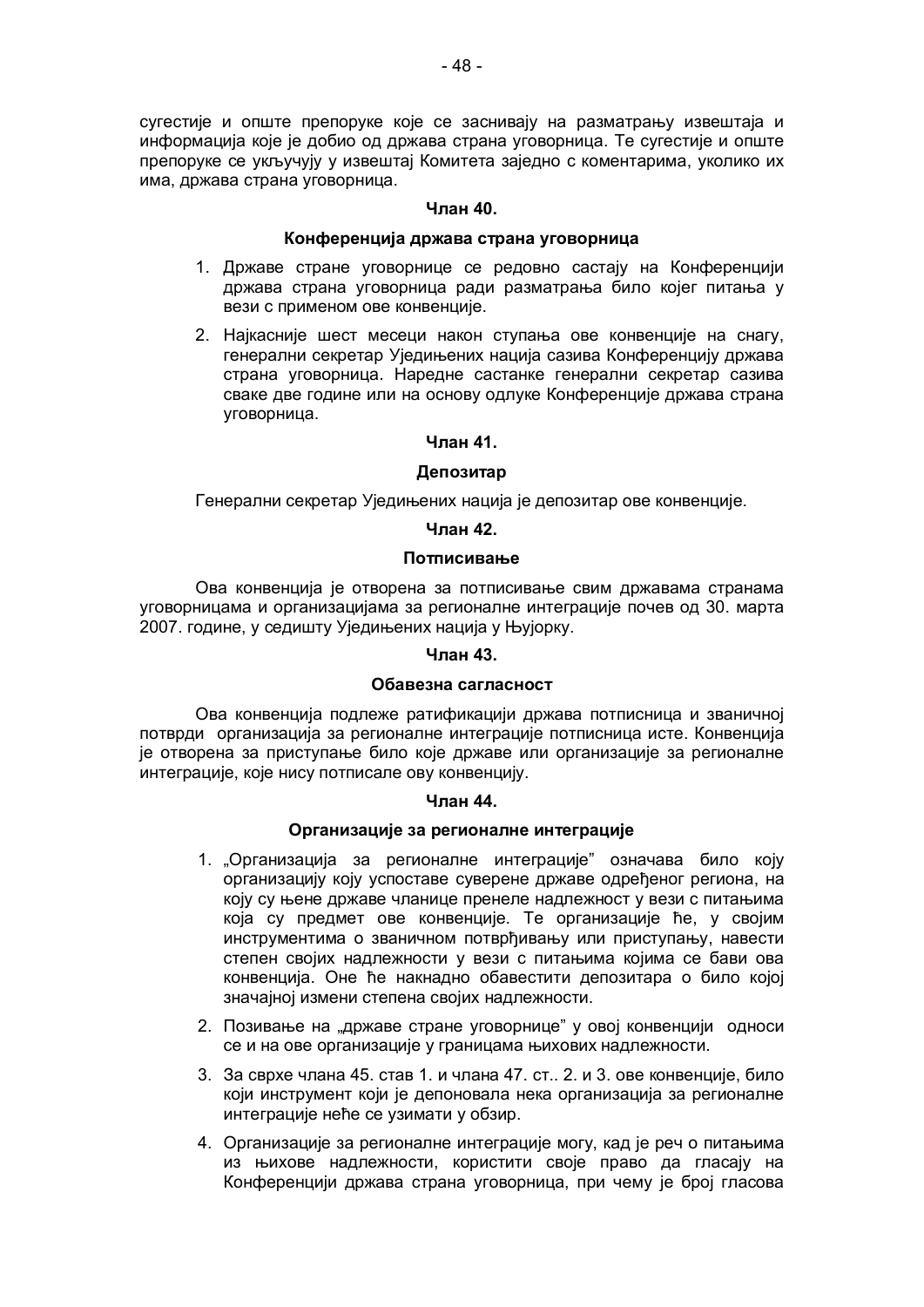сугестије и опште препоруке које се заснивају на разматрању извештаја и информација које је добио од држава страна уговорница. Те сугестије и опште препоруке се укључују у извештај Комитета заједно с коментарима, уколико их има, држава страна уговорница.

#### **Члан 40.**

#### **Конференција држава страна уговорница**

- 1. Државе стране уговорнице се редовно састају на Конференцији држава страна уговорница ради разматрања било којег питања у вези с применом ове конвенције.
- 2. Најкасније шест месеци након ступања ове конвенције на снагу, генерални секретар Уједињених нација сазива Конференцију држава страна уговорница. Наредне састанке генерални секретар сазива сваке две године или на основу одлуке Конференције држава страна уговорница.

### **Члан 41.**

### **Депозитар**

Генерални секретар Уједињених нација је депозитар ове конвенције.

#### **Члан 42.**

#### **Потписивање**

Ова конвенција је отворена за потписивање свим државама странама уговорницама и организацијама за регионалне интеграције почев од 30. марта 2007. године, у седишту Уједињених нација у Њујорку.

#### **Члан 43.**

#### **Обавезна сагласност**

Ова конвенција подлеже ратификацији држава потписница и званичној потврди организација за регионалне интеграције потписница исте. Конвенција је отворена за приступање било које државе или организације за регионалне интеграције, које нису потписале ову конвенцију.

#### **Члан 44.**

#### **Организације за регионалне интеграције**

- 1. "Организација за регионалне интеграције" означава било коју организацију коју успоставе суверене државе одређеног региона, на коју су њене државе чланице пренеле надлежност у вези с питањима која су предмет ове конвенције. Те организације ће, у својим инструментима о званичном потврђивању или приступању, навести степен својих надлежности у вези с питањима којима се бави ова конвенција. Оне ће накнадно обавестити депозитара о било којој значајној измени степена својих надлежности.
- 2. Позивање на "државе стране уговорнице" у овој конвенцији односи се и на ове организације у границама њихових надлежности.
- 3. За сврхе члана 45. став 1. и члана 47. ст.. 2. и 3. ове конвенције, било који инструмент који је депоновала нека организација за регионалне интеграције неће се узимати у обзир.
- 4. Организације за регионалне интеграције могу, кад је реч о питањима из њихове надлежности, користити своје право да гласају на Конференцији држава страна уговорница, при чему је број гласова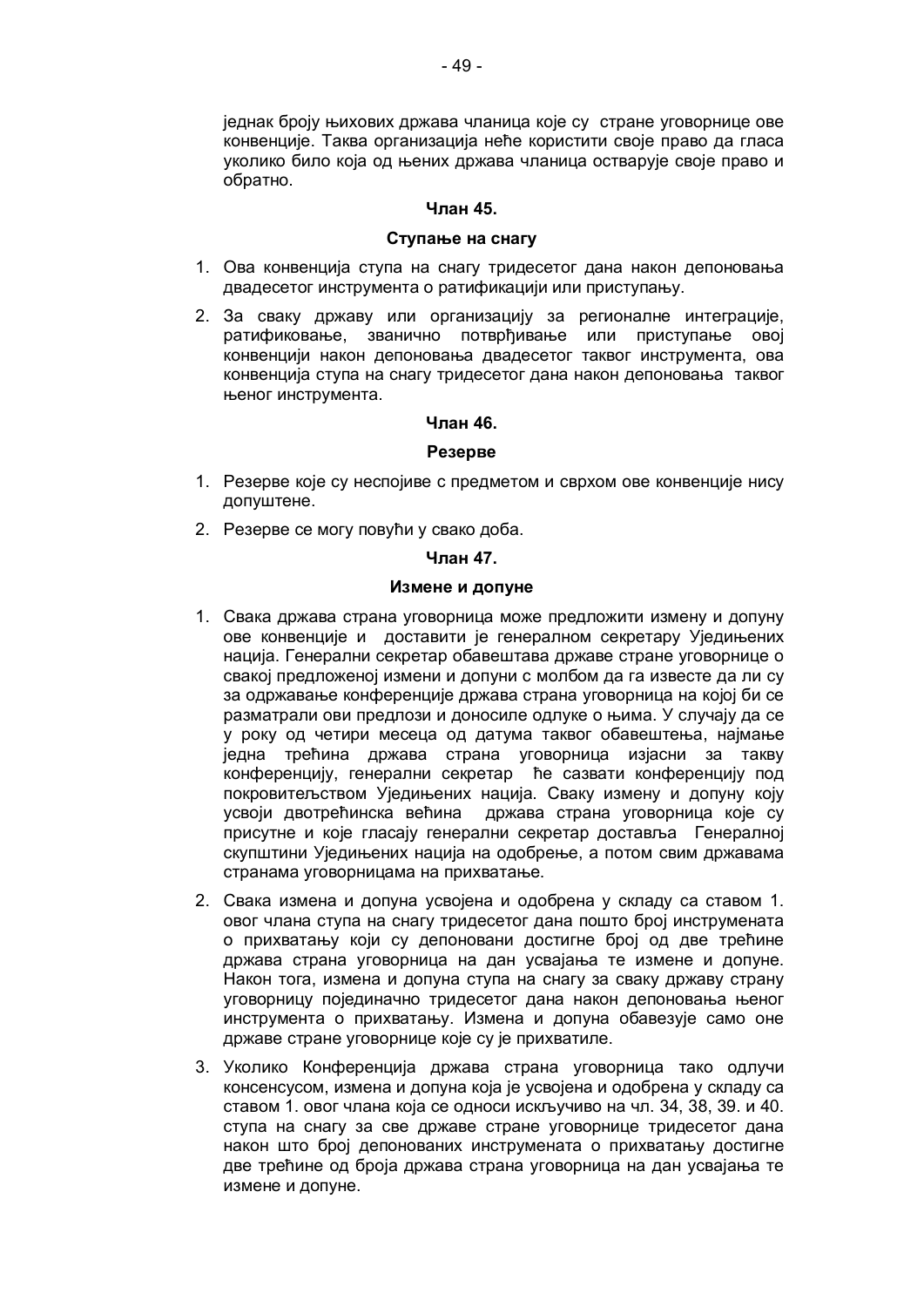једнак броју њихових држава чланица које су стране уговорнице ове конвенције. Таква организација неће користити своје право да гласа уколико било која од њених држава чланица остварује своје право и обратно.

#### **Члан 45.**

### **Ступање на снагу**

- 1. Ова конвенција ступа на снагу тридесетог дана након депоновања двадесетог инструмента о ратификацији или приступању.
- 2. За сваку државу или организацију за регионалне интеграције, ратификовање, званично потврђивање или приступање овој конвенцији након депоновања двадесетог таквог инструмента, ова конвенција ступа на снагу тридесетог дана након депоновања таквог њеног инструмента.

#### **Члан 46.**

#### **Резерве**

- 1. Резерве које су неспојиве с предметом и сврхом ове конвенције нису допуштене.
- 2. Резерве се могу повући у свако доба.

#### **Члан 47.**

#### **Измене и допуне**

- 1. Свака држава страна уговорница може предложити измену и допуну ове конвенције и доставити је генералном секретару Уједињених нација. Генерални секретар обавештава државе стране уговорнице о свакој предложеној измени и допуни с молбом да га известе да ли су за одржавање конференције држава страна уговорница на којој би се разматрали ови предлози и доносиле одлуке о њима. У случају да се у року од четири месеца од датума таквог обавештења, најмање једна трећина држава страна уговорница изјасни за такву конференцију, генерални секретар ће сазвати конференцију под покровитељством Уједињених нација. Сваку измену и допуну коју усвоји двотрећинска већина држава страна уговорница које су присутне и које гласају генерални секретар доставља Генералној скупштини Уједињених нација на одобрење, а потом свим државама странама уговорницама на прихватање.
- 2. Свака измена и допуна усвојена и одобрена у складу са ставом 1. овог члана ступа на снагу тридесетог дана пошто број инструмената о прихватању који су депоновани достигне број од две трећине држава страна уговорница на дан усвајања те измене и допуне. Након тога, измена и допуна ступа на снагу за сваку државу страну уговорницу појединачно тридесетог дана након депоновања њеног инструмента о прихватању. Измена и допуна обавезује само оне државе стране уговорнице које су је прихватиле.
- 3. Уколико Конференција држава страна уговорница тако одлучи консенсусом, измена и допуна која је усвојена и одобрена у складу са ставом 1. овог члана која се односи искључиво на чл. 34, 38, 39. и 40. ступа на снагу за све државе стране уговорнице тридесетог дана након што број депонованих инструмената о прихватању достигне две трећине од броја држава страна уговорница на дан усвајања те измене и допуне.